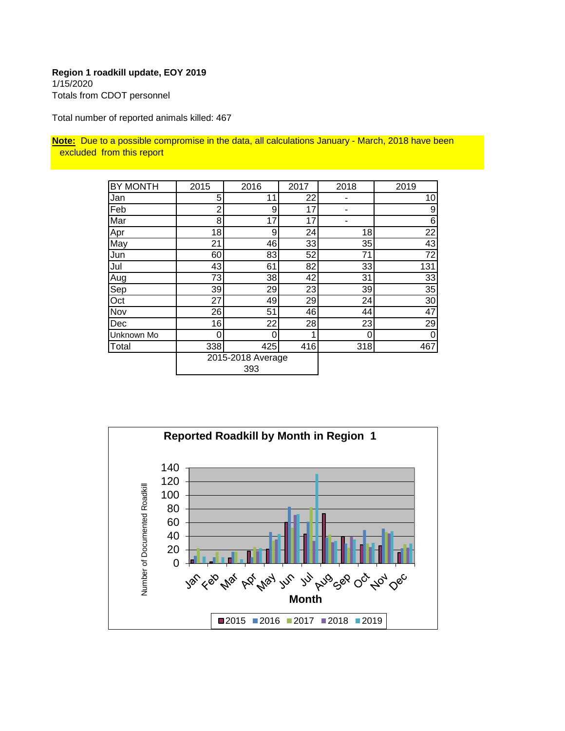#### **Region 1 roadkill update, EOY 2019** 1/15/2020 Totals from CDOT personnel

Total number of reported animals killed: 467

**Note:** Due to a possible compromise in the data, all calculations January - March, 2018 have been excluded from this report

| <b>BY MONTH</b> | 2015 | 2016              | 2017 | 2018 | 2019             |
|-----------------|------|-------------------|------|------|------------------|
| Jan             | 5    | 11                | 22   |      | 10               |
| Feb             | 2    | 9                 | 17   |      | $\overline{9}$   |
| Mar             | 8    | 17                | 17   |      | $6 \overline{6}$ |
| Apr             | 18   | 9                 | 24   | 18   | 22               |
| May             | 21   | 46                | 33   | 35   | 43               |
| Jun             | 60   | 83                | 52   | 71   | 72               |
| Jul             | 43   | 61                | 82   | 33   | 131              |
| Aug             | 73   | 38                | 42   | 31   | 33               |
| Sep             | 39   | 29                | 23   | 39   | 35               |
| Oct             | 27   | 49                | 29   | 24   | 30 <sup>°</sup>  |
| Nov             | 26   | 51                | 46   | 44   | 47               |
| Dec             | 16   | 22                | 28   | 23   | 29               |
| Unknown Mo      | 0    | 0                 |      | 0    | 0                |
| Total           | 338  | 425               | 416  | 318  | 467              |
|                 |      | 2015-2018 Average |      |      |                  |
|                 |      | 393               |      |      |                  |

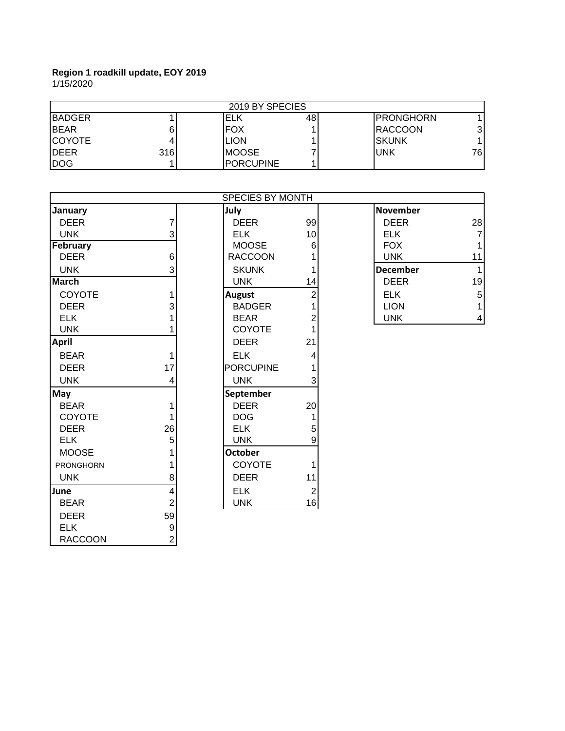1/15/2020

|              |     | 2019 BY SPECIES  |     |                  |     |
|--------------|-----|------------------|-----|------------------|-----|
| IBADGER      |     | ELK              | 481 | <b>PRONGHORN</b> |     |
| IBEAR        |     | FOX              |     | <b>IRACCOON</b>  | 31  |
| ICOYOTE      |     | LION             |     | ISKUNK           |     |
| <b>IDEER</b> | 316 | <b>IMOOSE</b>    |     | <b>UNK</b>       | 761 |
| IDOG         |     | <b>PORCUPINE</b> |     |                  |     |

|                  |                  | SPECIES BY MONTH |                |                 |                 |
|------------------|------------------|------------------|----------------|-----------------|-----------------|
| January          |                  | July             |                | <b>November</b> |                 |
| <b>DEER</b>      | 7                | <b>DEER</b>      | 99             | <b>DEER</b>     | 28              |
| <b>UNK</b>       | 3                | <b>ELK</b>       | 10             | <b>ELK</b>      | $\overline{7}$  |
| February         |                  | <b>MOOSE</b>     | 6              | <b>FOX</b>      | 1               |
| <b>DEER</b>      | $\,6$            | <b>RACCOON</b>   |                | <b>UNK</b>      | 11              |
| <b>UNK</b>       | 3                | <b>SKUNK</b>     | 1              | <b>December</b> | 1               |
| <b>March</b>     |                  | <b>UNK</b>       | 14             | <b>DEER</b>     | 19              |
| COYOTE           | 1                | <b>August</b>    | $\overline{2}$ | <b>ELK</b>      | $\overline{5}$  |
| <b>DEER</b>      | 3                | <b>BADGER</b>    |                | <b>LION</b>     | $\mathbf{1}$    |
| <b>ELK</b>       |                  | <b>BEAR</b>      | $\overline{2}$ | <b>UNK</b>      | $\vert 4 \vert$ |
| <b>UNK</b>       |                  | <b>COYOTE</b>    |                |                 |                 |
| <b>April</b>     |                  | <b>DEER</b>      | 21             |                 |                 |
| <b>BEAR</b>      | 1                | <b>ELK</b>       | 4              |                 |                 |
| <b>DEER</b>      | 17               | <b>PORCUPINE</b> |                |                 |                 |
| <b>UNK</b>       | 4                | <b>UNK</b>       | 3              |                 |                 |
| May              |                  | September        |                |                 |                 |
| <b>BEAR</b>      |                  | <b>DEER</b>      | 20             |                 |                 |
| <b>COYOTE</b>    | 1                | <b>DOG</b>       | 1              |                 |                 |
| <b>DEER</b>      | 26               | <b>ELK</b>       | 5              |                 |                 |
| <b>ELK</b>       | 5                | <b>UNK</b>       | 9              |                 |                 |
| <b>MOOSE</b>     |                  | <b>October</b>   |                |                 |                 |
| <b>PRONGHORN</b> |                  | COYOTE           | 1              |                 |                 |
| <b>UNK</b>       | 8                | <b>DEER</b>      | 11             |                 |                 |
| June             | 4                | <b>ELK</b>       | $\overline{2}$ |                 |                 |
| <b>BEAR</b>      | $\overline{2}$   | <b>UNK</b>       | 16             |                 |                 |
| <b>DEER</b>      | 59               |                  |                |                 |                 |
| <b>ELK</b>       | $\boldsymbol{9}$ |                  |                |                 |                 |
| <b>RACCOON</b>   | $\overline{2}$   |                  |                |                 |                 |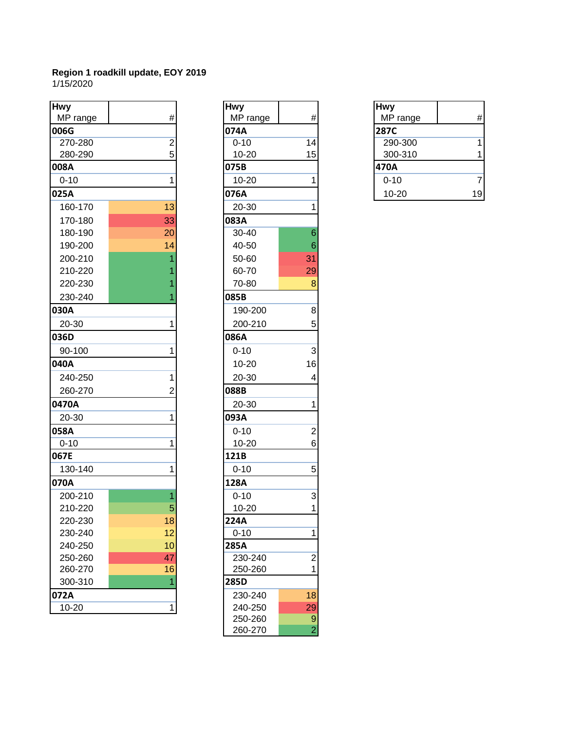1/15/2020

| <b>Hwy</b>       | $\#$           | <b>Hwy</b>       | $\#$            | <b>Hwy</b>              | #              |
|------------------|----------------|------------------|-----------------|-------------------------|----------------|
| MP range<br>006G |                | MP range<br>074A |                 | MP range<br><b>287C</b> |                |
| 270-280          | $\overline{c}$ | $0 - 10$         | 14              | 290-300                 | 1              |
| 280-290          | 5              | $10 - 20$        | 15              | 300-310                 | 1              |
| 008A             |                | 075B             |                 | 470A                    |                |
| $0 - 10$         | 1              | $10 - 20$        | 1               | $0 - 10$                | $\overline{7}$ |
| 025A             |                | 076A             |                 | 10-20                   | 19             |
| 160-170          | 13             | 20-30            | 1               |                         |                |
| 170-180          | 33             | 083A             |                 |                         |                |
| 180-190          | 20             | 30-40            | $\,6$           |                         |                |
| 190-200          | 14             | 40-50            | $6\phantom{1}6$ |                         |                |
| 200-210          |                | 50-60            | 31              |                         |                |
| 210-220          |                | 60-70            | 29              |                         |                |
| 220-230          |                | 70-80            | 8               |                         |                |
| 230-240          |                | 085B             |                 |                         |                |
| 030A             |                | 190-200          | $\bf{8}$        |                         |                |
| 20-30            | 1              | 200-210          | 5               |                         |                |
| 036D             |                | 086A             |                 |                         |                |
| 90-100           |                | $0 - 10$         | $\mathfrak{S}$  |                         |                |
| 040A             |                | $10 - 20$        | 16              |                         |                |
| 240-250          | 1              | 20-30            | 4               |                         |                |
| 260-270          | 2              | 088B             |                 |                         |                |
| 0470A            |                | 20-30            | 1               |                         |                |
| 20-30            | 1              | 093A             |                 |                         |                |
| 058A             |                | $0 - 10$         | $\overline{2}$  |                         |                |
| $0 - 10$         | 1              | $10 - 20$        | 6               |                         |                |
| 067E             |                | 121B             |                 |                         |                |
| 130-140          |                | $0 - 10$         | 5               |                         |                |
| 070A             |                | 128A             |                 |                         |                |
| 200-210          |                | $0 - 10$         | $\mathbf{3}$    |                         |                |
| 210-220          | 5              | $10 - 20$        | 1               |                         |                |
| 220-230          | 18             | 224A             |                 |                         |                |
| 230-240          | 12             | $0 - 10$         | 1               |                         |                |
| 240-250          | 10             | 285A             |                 |                         |                |
| 250-260          | 47             | 230-240          | $\overline{2}$  |                         |                |
| 260-270          | 16             | 250-260          | 1               |                         |                |
| 300-310          |                | 285D             |                 |                         |                |
| 072A             |                | 230-240          | 18              |                         |                |
| $10 - 20$        | 1              | 240-250          | 29              |                         |                |

| <b>Hwy</b> |                |
|------------|----------------|
| MP range   | #              |
| 074A       |                |
| $0 - 10$   | 14             |
| 10-20      | 15             |
| 075B       |                |
| 10-20      | 1              |
| 076A       |                |
| 20-30      | 1              |
| 083A       |                |
| 30-40      | 6              |
| 40-50      | 6              |
| 50-60      | 31             |
| 60-70      | 29             |
| 70-80      | 8              |
| 085B       |                |
| 190-200    | 8              |
| 200-210    | 5              |
| 086A       |                |
|            |                |
| $0 - 10$   | 3              |
| 10-20      | 16             |
| 20-30      | 4              |
| 088B       |                |
| 20-30      | 1              |
| 093A       |                |
| $0 - 10$   | $\overline{c}$ |
| 10-20      | 6              |
| 121B       |                |
| $0 - 10$   | 5              |
| 128A       |                |
| $0 - 10$   | 3              |
| 10-20      | 1              |
| 224A       |                |
| $0 - 10$   | 1              |
| 285A       |                |
| 230-240    | $\overline{c}$ |
| 250-260    | 1              |
| 285D       |                |
| 230-240    | 18             |
| 240-250    | 29             |
| 250-260    | 9              |
| 260-270    |                |

| <b>Hwy</b> |    |
|------------|----|
| MP range   |    |
| 287C       |    |
| 290-300    |    |
| 300-310    |    |
| 470A       |    |
| $0 - 10$   |    |
| $10 - 20$  | 19 |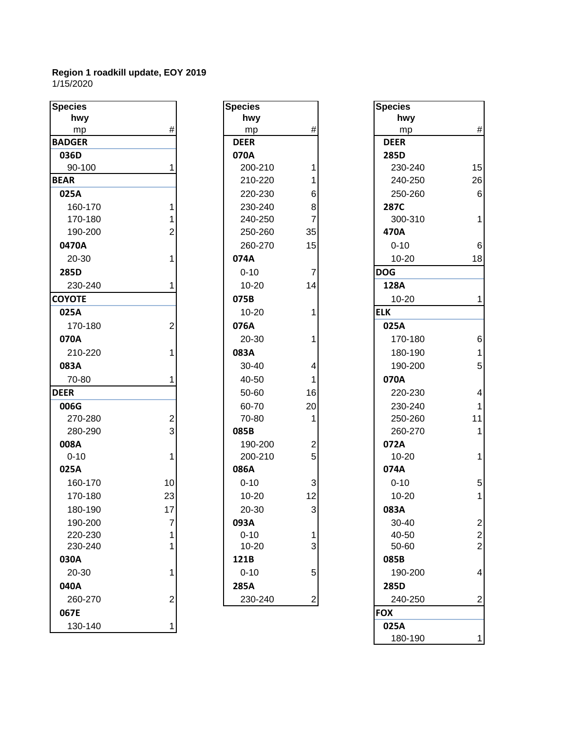#### **Region 1 roadkill update, EOY 2019** 1/15/2020

| <b>Species</b> |      | <b>Species</b> |                         | <b>Species</b> |                 |
|----------------|------|----------------|-------------------------|----------------|-----------------|
| hwy            |      | hwy            |                         | hwy            |                 |
| mp             | $\#$ | mp             | $\#$                    | mp             | #               |
| <b>BADGER</b>  |      | <b>DEER</b>    |                         | <b>DEER</b>    |                 |
| 036D           |      | 070A           |                         | 285D           |                 |
| 90-100         |      | 200-210        |                         | 230-240        | 15              |
| <b>BEAR</b>    |      | 210-220        |                         | 240-250        | 26              |
| 025A           |      | 220-230        | 6                       | 250-260        | $6\phantom{1}6$ |
| 160-170        |      | 230-240        | 8                       | 287C           |                 |
| 170-180        |      | 240-250        | 7                       | 300-310        | 1               |
| 190-200        | 2    | 250-260        | 35                      | 470A           |                 |
| 0470A          |      | 260-270        | 15                      | $0 - 10$       | 6               |
| 20-30          |      | 074A           |                         | $10 - 20$      | 18              |
| 285D           |      | $0 - 10$       | $\overline{7}$          | <b>DOG</b>     |                 |
| 230-240        |      | $10 - 20$      | 14                      | 128A           |                 |
| <b>COYOTE</b>  |      | 075B           |                         | $10 - 20$      | 1               |
| 025A           |      | $10 - 20$      |                         | <b>ELK</b>     |                 |
| 170-180        | 2    | 076A           |                         | 025A           |                 |
| 070A           |      | 20-30          |                         | 170-180        | 6               |
| 210-220        |      | 083A           |                         | 180-190        | 1               |
| 083A           |      | 30-40          | 4                       | 190-200        | 5               |
| 70-80          |      | 40-50          | 1                       | 070A           |                 |
| <b>DEER</b>    |      | 50-60          | 16                      | 220-230        | $\overline{4}$  |
| 006G           |      | 60-70          | 20                      | 230-240        | $\overline{1}$  |
| 270-280        | 2    | 70-80          | 1                       | 250-260        | 11              |
| 280-290        | 3    | 085B           |                         | 260-270        | 1               |
| 008A           |      | 190-200        | $\overline{\mathbf{c}}$ | 072A           |                 |
| $0 - 10$       |      | 200-210        | 5                       | $10 - 20$      | 1               |
| 025A           |      | 086A           |                         | 074A           |                 |
| 160-170        | 10   | $0 - 10$       | 3                       | $0 - 10$       | 5               |
| 170-180        | 23   | $10 - 20$      | 12                      | $10 - 20$      | 1               |
| 180-190        | 17   | 20-30          | $\overline{3}$          | 083A           |                 |
| 190-200        | 7    | 093A           |                         | 30-40          | $\overline{c}$  |
| 220-230        |      | $0 - 10$       | 1                       | 40-50          | $\overline{c}$  |
| 230-240        |      | $10 - 20$      | 3                       | 50-60          | $\overline{c}$  |
| 030A           |      | 121B           |                         | 085B           |                 |
| 20-30          |      | $0 - 10$       | 5                       | 190-200        | $\overline{4}$  |
| 040A           |      | 285A           |                         | 285D           |                 |
| 260-270        | 2    | 230-240        | $\mathbf{2}$            | 240-250        | $\overline{c}$  |
| 067E           |      |                |                         | <b>FOX</b>     |                 |
| 130-140        |      |                |                         | 025A           |                 |

| <b>Species</b> |                                                        |
|----------------|--------------------------------------------------------|
| hwy            |                                                        |
| mp             | #                                                      |
| <b>DEER</b>    |                                                        |
| 070A           |                                                        |
| 200-210        | 1                                                      |
| 210-220        | 1                                                      |
| 220-230        |                                                        |
| 230-240        | 6<br>8<br>7                                            |
| 240-250        |                                                        |
| 250-260        | 35                                                     |
| 260-270        | 15                                                     |
| 074A           |                                                        |
| $0 - 10$       | 7                                                      |
| 10-20          | 14                                                     |
| 075B           |                                                        |
| 10-20          | 1                                                      |
| 076A           |                                                        |
| 20-30          | 1                                                      |
| 083A           |                                                        |
| 30-40          | 4                                                      |
| 40-50          | $\overline{\mathbf{1}}$                                |
| 50-60          | 16                                                     |
| 60-70          | 20                                                     |
| 70-80          | 1                                                      |
| 085B           |                                                        |
| 190-200        |                                                        |
| 200-210        |                                                        |
| 086A           |                                                        |
| $0 - 10$       | $\begin{array}{cc}\n2 & 5 \\ 3 & 3 \\ 12\n\end{array}$ |
| 10-20          |                                                        |
| 20-30          | 3                                                      |
| 093A           |                                                        |
| $0 - 10$       |                                                        |
| 10-20          |                                                        |
| 121B           |                                                        |
| $0 - 10$       |                                                        |
| 285A           |                                                        |
| 230-240        |                                                        |

| cies        |                | <b>Species</b> |                | <b>Species</b> |                         |
|-------------|----------------|----------------|----------------|----------------|-------------------------|
| hwy         |                | hwy            |                | hwy            |                         |
| mp          | $\#$           | mp             | $\#$           | mp             | $\#$                    |
| <b>OGER</b> |                | <b>DEER</b>    |                | <b>DEER</b>    |                         |
| 36D         |                | 070A           |                | 285D           |                         |
| 90-100      | 1              | 200-210        | 1              | 230-240        | 15                      |
| ιR.         |                | 210-220        |                | 240-250        | 26                      |
| 25A         |                | 220-230        | 6              | 250-260        | 6                       |
| 160-170     | 1              | 230-240        | 8              | 287C           |                         |
| 170-180     |                | 240-250        | $\overline{7}$ | 300-310        | 1                       |
| 190-200     | 2              | 250-260        | 35             | 470A           |                         |
| 170A        |                | 260-270        | 15             | $0 - 10$       | 6                       |
| 20-30       | 1              | 074A           |                | $10 - 20$      | 18                      |
| 35D         |                | $0 - 10$       | 7              | <b>DOG</b>     |                         |
| 230-240     | 1              | $10 - 20$      | 14             | 128A           |                         |
| <b>OTE</b>  |                | 075B           |                | $10 - 20$      | 1                       |
| 25A         |                | $10 - 20$      | 1              | <b>ELK</b>     |                         |
| 170-180     | $\overline{2}$ | 076A           |                | 025A           |                         |
| 70A         |                | 20-30          | 1              | 170-180        | 6                       |
| 210-220     | 1              | 083A           |                | 180-190        | 1                       |
| 33A         |                | 30-40          | 4              | 190-200        | 5                       |
| 70-80       | 1              | 40-50          | 1              | 070A           |                         |
| R           |                | 50-60          | 16             | 220-230        | 4                       |
| )6G         |                | 60-70          | 20             | 230-240        |                         |
| 270-280     | 2              | 70-80          | 1              | 250-260        | 11                      |
| 280-290     | 3              | 085B           |                | 260-270        | 1                       |
| 08A         |                | 190-200        | $\mathbf{2}$   | 072A           |                         |
| $0 - 10$    | 1              | 200-210        | 5 <sup>1</sup> | $10 - 20$      | 1                       |
| 25A         |                | 086A           |                | 074A           |                         |
| 160-170     | 10             | $0 - 10$       | $\mathbf{3}$   | $0 - 10$       | 5                       |
| 170-180     | 23             | $10 - 20$      | 12             | $10 - 20$      | $\mathbf{1}$            |
| 180-190     | 17             | 20-30          | $\overline{3}$ | 083A           |                         |
| 190-200     | $\overline{7}$ | 093A           |                | 30-40          | $\overline{\mathbf{c}}$ |
| 220-230     | 1              | $0 - 10$       | 1              | 40-50          | $\overline{\mathbf{c}}$ |
| 230-240     | 1              | $10 - 20$      | $\mathbf{3}$   | 50-60          | $\overline{2}$          |
| 30A         |                | 121B           |                | 085B           |                         |
| 20-30       | 1              | $0 - 10$       | 5 <sup>1</sup> | 190-200        | 4                       |
| 10A         |                | 285A           |                | 285D           |                         |
| 260-270     | 2              | 230-240        | $\mathbf{2}$   | 240-250        | $\overline{c}$          |
| 57E         |                |                |                | <b>FOX</b>     |                         |
| 130-140     | 1              |                |                | 025A           |                         |
|             |                |                |                | 180-190        | $\mathbf{1}$            |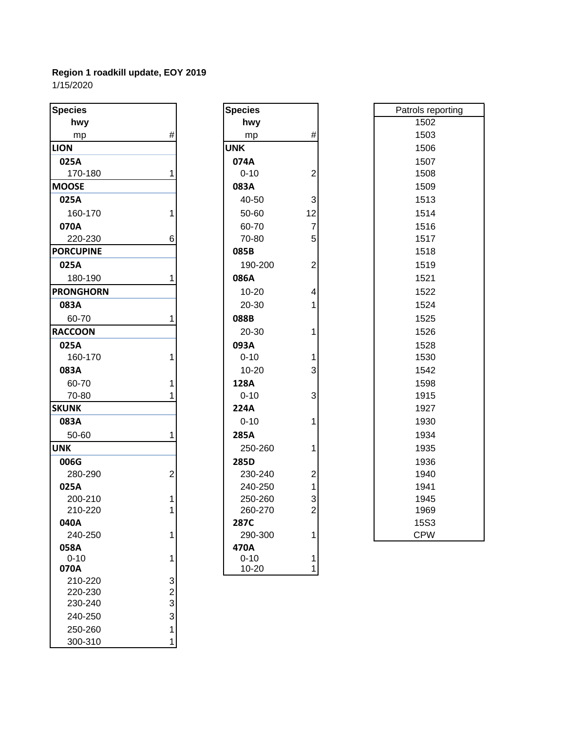1/15/2020

| <b>Species</b>     |                              | <b>Species</b> |                | Patrols re  |
|--------------------|------------------------------|----------------|----------------|-------------|
| hwy                |                              | hwy            |                | 1502        |
| mp                 | $\#$                         | mp             | $\#$           | 1503        |
| <b>LION</b>        |                              | <b>UNK</b>     |                | 1506        |
| 025A               |                              | 074A           |                | 1507        |
| 170-180            | 1                            | $0 - 10$       | $\overline{2}$ | 1508        |
| <b>MOOSE</b>       |                              | 083A           |                | 1509        |
| 025A               |                              | 40-50          | 3              | 1513        |
| 160-170            | 1                            | 50-60          | 12             | 1514        |
| 070A               |                              | 60-70          | $\overline{7}$ | 1516        |
| 220-230            | 6                            | 70-80          | 5              | 1517        |
| <b>PORCUPINE</b>   |                              | 085B           |                | 1518        |
| 025A               |                              | 190-200        | $\overline{2}$ | 1519        |
| 180-190            | 1                            | 086A           |                | 1521        |
| <b>PRONGHORN</b>   |                              | 10-20          | 4              | 1522        |
| 083A               |                              | 20-30          | 1              | 1524        |
| 60-70              | 1                            | 088B           |                | 1525        |
| <b>RACCOON</b>     |                              | 20-30          | 1              | 1526        |
| 025A               |                              | 093A           |                | 1528        |
| 160-170            | 1                            | $0 - 10$       | 1              | 1530        |
| 083A               |                              | $10 - 20$      | 3              | 1542        |
| 60-70              | 1                            | 128A           |                | 1598        |
| 70-80              |                              | $0 - 10$       | 3              | 1915        |
| <b>SKUNK</b>       |                              | 224A           |                | 1927        |
| 083A               |                              | $0 - 10$       | 1              | 1930        |
| 50-60              | 1                            | 285A           |                | 1934        |
| <b>UNK</b>         |                              | 250-260        | 1              | 1935        |
| 006G               |                              | 285D           |                | 1936        |
| 280-290            | $\overline{2}$               | 230-240        | $\overline{c}$ | 1940        |
| 025A               |                              | 240-250        | $\mathbf{1}$   | 1941        |
| 200-210            |                              | 250-260        | 3              | 1945        |
| 210-220            | 1                            | 260-270        | $\overline{2}$ | 1969        |
| 040A               |                              | 287C           |                | <b>15S3</b> |
| 240-250            | 1                            | 290-300        | 1              | <b>CPW</b>  |
| 058A               |                              | 470A           |                |             |
| $0 - 10$           | 1                            | $0 - 10$       | 1              |             |
| 070A               |                              | 10-20          | $\mathbf{1}$   |             |
| 210-220            | 3                            |                |                |             |
| 220-230<br>230-240 | $\overline{\mathbf{c}}$<br>3 |                |                |             |
| 240-250            | 3                            |                |                |             |
|                    |                              |                |                |             |
| 250-260            | 1<br>1                       |                |                |             |
| 300-310            |                              |                |                |             |

| pecies            |                                                  |  |
|-------------------|--------------------------------------------------|--|
| hwy               |                                                  |  |
| mp                | #                                                |  |
| <b>INK</b>        |                                                  |  |
| 074A              |                                                  |  |
| $0 - 10$          | $\overline{c}$                                   |  |
| 083A              |                                                  |  |
| 40-50             |                                                  |  |
| 50-60             | $\begin{array}{c} 3 \\ 12 \\ 7 \\ 5 \end{array}$ |  |
| 60-70             |                                                  |  |
| 70-80             |                                                  |  |
| 085B              |                                                  |  |
| 190-200           | $\overline{c}$                                   |  |
| 086A              |                                                  |  |
| $10 - 20$         | 4                                                |  |
| 20-30             | 1                                                |  |
| 088B              |                                                  |  |
| 20-30             | 1                                                |  |
| 093A              |                                                  |  |
| 0-10              |                                                  |  |
| 10-20             | $\frac{1}{3}$                                    |  |
| 128A              |                                                  |  |
| $0 - 10$          | 3                                                |  |
| 224A              |                                                  |  |
| $0 - 10$          | 1                                                |  |
| 285A              |                                                  |  |
| 250-260           | 1                                                |  |
| 285D              |                                                  |  |
| 230-240           | $\begin{array}{c} 2 \\ 1 \\ 3 \\ 2 \end{array}$  |  |
| 240-250           |                                                  |  |
| 250-260           |                                                  |  |
| 260-270           |                                                  |  |
| 287C              |                                                  |  |
| 290-300           | $\overline{1}$                                   |  |
| 470A              |                                                  |  |
| $0 - 10$<br>10-20 | 1<br>$\overline{1}$                              |  |
|                   |                                                  |  |

| Patrols reporting |
|-------------------|
| 1502              |
| 1503              |
| 1506              |
| 1507              |
| 1508              |
| 1509              |
| 1513              |
| 1514              |
| 1516              |
| 1517              |
| 1518              |
| 1519              |
| 1521              |
| 1522              |
| 1524              |
| 1525              |
| 1526              |
| 1528              |
| 1530              |
| 1542              |
| 1598              |
| 1915              |
| 1927              |
| 1930              |
| 1934              |
| 1935              |
| 1936              |
| 1940              |
| 1941              |
| 1945              |
| 1969              |
| <b>15S3</b>       |
| <b>CPW</b>        |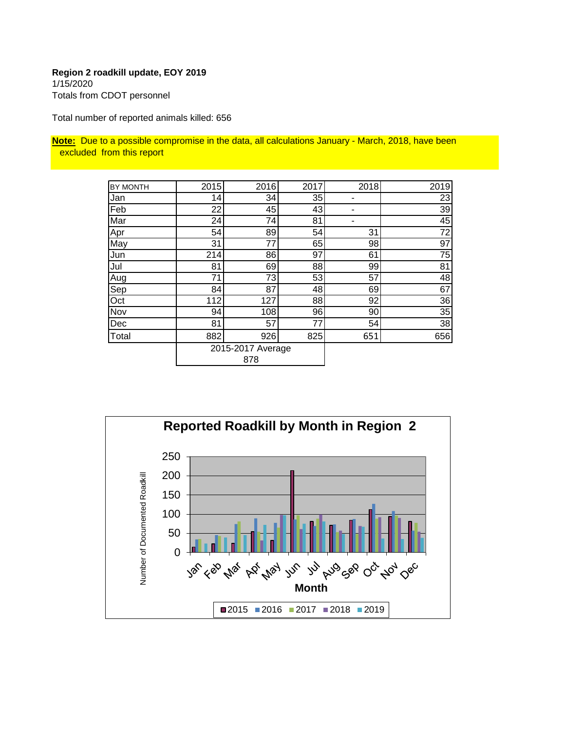## **Region 2 roadkill update, EOY 2019** 1/15/2020

Totals from CDOT personnel

Total number of reported animals killed: 656

**Note:** Due to a possible compromise in the data, all calculations January - March, 2018, have been excluded from this report

| BY MONTH | 2015 | 2016              | 2017 | 2018 | 2019 |
|----------|------|-------------------|------|------|------|
|          |      |                   |      |      |      |
| Jan      | 14   | 34                | 35   |      | 23   |
| Feb      | 22   | 45                | 43   |      | 39   |
| Mar      | 24   | 74                | 81   |      | 45   |
| Apr      | 54   | 89                | 54   | 31   | 72   |
| May      | 31   | 77                | 65   | 98   | 97   |
| Jun      | 214  | 86                | 97   | 61   | 75   |
| Jul      | 81   | 69                | 88   | 99   | 81   |
| Aug      | 71   | 73                | 53   | 57   | 48   |
| Sep      | 84   | 87                | 48   | 69   | 67   |
| Oct      | 112  | 127               | 88   | 92   | 36   |
| Nov      | 94   | 108               | 96   | 90   | 35   |
| Dec      | 81   | 57                | 77   | 54   | 38   |
| Total    | 882  | 926               | 825  | 651  | 656  |
|          |      | 2015-2017 Average |      |      |      |
|          |      | 878               |      |      |      |

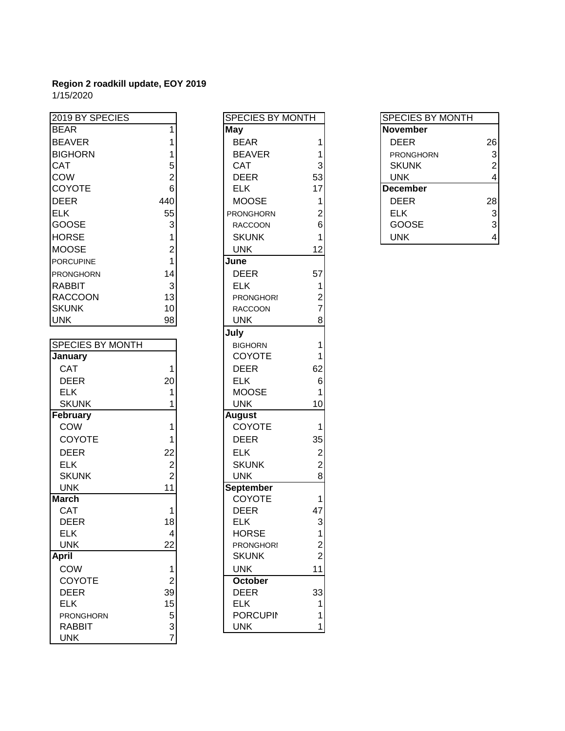1/15/2020

| 2019 BY SPECIES         |                 | <b>SPECIES BY MONTH</b> |                         | <b>SPECIES BY MONTH</b> |                |
|-------------------------|-----------------|-------------------------|-------------------------|-------------------------|----------------|
| <b>BEAR</b>             |                 | May                     |                         | <b>November</b>         |                |
| <b>BEAVER</b>           |                 | <b>BEAR</b>             | 1                       | <b>DEER</b>             | 26             |
| <b>BIGHORN</b>          |                 | <b>BEAVER</b>           |                         | <b>PRONGHORN</b>        | 3              |
| <b>CAT</b>              | 5               | <b>CAT</b>              | 3                       | <b>SKUNK</b>            | $\overline{2}$ |
| COW                     | 2               | <b>DEER</b>             | 53                      | <b>UNK</b>              | 4              |
| <b>COYOTE</b>           | $6\phantom{1}6$ | <b>ELK</b>              | 17                      | <b>December</b>         |                |
| <b>DEER</b>             | 440             | <b>MOOSE</b>            | 1                       | <b>DEER</b>             | 28             |
| <b>ELK</b>              | 55              | PRONGHORN               | 2                       | <b>ELK</b>              | 3              |
| <b>GOOSE</b>            | 3               | <b>RACCOON</b>          | 6                       | GOOSE                   | 3              |
| <b>HORSE</b>            |                 | <b>SKUNK</b>            | 1                       | <b>UNK</b>              | 4              |
| <b>MOOSE</b>            | $\overline{c}$  | <b>UNK</b>              | 12                      |                         |                |
| <b>PORCUPINE</b>        | 1               | June                    |                         |                         |                |
| <b>PRONGHORN</b>        | 14              | <b>DEER</b>             | 57                      |                         |                |
| <b>RABBIT</b>           | 3               | <b>ELK</b>              | 1                       |                         |                |
| <b>RACCOON</b>          | 13              | <b>PRONGHORI</b>        | 2                       |                         |                |
| <b>SKUNK</b>            | 10              | <b>RACCOON</b>          | $\overline{7}$          |                         |                |
| <b>UNK</b>              | 98              | <b>UNK</b>              | 8                       |                         |                |
|                         |                 | July                    |                         |                         |                |
| <b>SPECIES BY MONTH</b> |                 | <b>BIGHORN</b>          | 1                       |                         |                |
| January                 |                 | <b>COYOTE</b>           | 1                       |                         |                |
| <b>CAT</b>              | 1               | <b>DEER</b>             | 62                      |                         |                |
| <b>DEER</b>             | 20              | <b>ELK</b>              | $\,$ 6 $\,$             |                         |                |
| <b>ELK</b>              | 1               | <b>MOOSE</b>            | 1                       |                         |                |
| <b>SKUNK</b>            |                 | <b>UNK</b>              | 10                      |                         |                |
| February                |                 | <b>August</b>           |                         |                         |                |
| COW                     | 1               | COYOTE                  | $\mathbf{1}$            |                         |                |
| COYOTE                  |                 | <b>DEER</b>             | 35                      |                         |                |
| <b>DEER</b>             | 22              | <b>ELK</b>              | $\overline{2}$          |                         |                |
| <b>ELK</b>              | $\overline{c}$  | <b>SKUNK</b>            | $\overline{\mathbf{c}}$ |                         |                |
| <b>SKUNK</b>            | $\overline{2}$  | <b>UNK</b>              | 8                       |                         |                |
| <b>UNK</b>              | 11              | September               |                         |                         |                |
| <b>March</b>            |                 | COYOTE                  | 1                       |                         |                |
| <b>CAT</b>              | 1               | <b>DEER</b>             | 47                      |                         |                |
| <b>DEER</b>             | 18              | <b>ELK</b>              | $\overline{3}$          |                         |                |
| <b>ELK</b>              | 4               | <b>HORSE</b>            | 1                       |                         |                |
| <b>UNK</b>              | 22              | <b>PRONGHORI</b>        | $\boldsymbol{2}$        |                         |                |
| <b>April</b>            |                 | <b>SKUNK</b>            | $\overline{2}$          |                         |                |
| COW                     | 1               | <b>UNK</b>              | 11                      |                         |                |
| <b>COYOTE</b>           | $\overline{2}$  | October                 |                         |                         |                |
| <b>DEER</b>             | 39              | <b>DEER</b>             | 33                      |                         |                |
| <b>ELK</b>              | 15              | <b>ELK</b>              | 1                       |                         |                |
| <b>PRONGHORN</b>        | 5               | <b>PORCUPIN</b>         | 1                       |                         |                |
| <b>RABBIT</b>           | $\frac{3}{7}$   | <b>UNK</b>              | 1                       |                         |                |
| <b>UNK</b>              |                 |                         |                         |                         |                |

| SPECIES BY MONTH |                                                                                          |
|------------------|------------------------------------------------------------------------------------------|
| <b>May</b>       |                                                                                          |
| <b>BEAR</b>      | 1                                                                                        |
| <b>BEAVER</b>    | $\begin{array}{cccc}\n1 & 3 & 53 \\ 53 & 17 & 1 & 2 & 6 \\ 6 & 1 & 12 & 12\n\end{array}$ |
| CAT              |                                                                                          |
| DEER             |                                                                                          |
| <b>ELK</b>       |                                                                                          |
| <b>MOOSE</b>     |                                                                                          |
| PRONGHORN        |                                                                                          |
| RACCOON          |                                                                                          |
| <b>SKUNK</b>     |                                                                                          |
| UNK              |                                                                                          |
| June             |                                                                                          |
| DEER             |                                                                                          |
| <b>ELK</b>       |                                                                                          |
| <b>PRONGHORI</b> | $57$ 1<br>2<br>7<br>8                                                                    |
| RACCOON          |                                                                                          |
| <b>UNK</b>       |                                                                                          |
| July             |                                                                                          |
| <b>BIGHORN</b>   | 1                                                                                        |
| <b>COYOTE</b>    |                                                                                          |
| <b>DEER</b>      | $\begin{array}{c} 1 \\ 62 \end{array}$                                                   |
| <b>ELK</b>       | 6<br>1                                                                                   |
| MOOSE            |                                                                                          |
| UNK              | 10                                                                                       |
| August           |                                                                                          |
| <b>COYOTE</b>    | 1                                                                                        |
| <b>DEER</b>      |                                                                                          |
| ELK              |                                                                                          |
| <b>SKUNK</b>     | 35<br>2<br>2<br>8                                                                        |
| <b>UNK</b>       |                                                                                          |
| September        |                                                                                          |
| COYOTE           | 1                                                                                        |
| <b>DEER</b>      | 47                                                                                       |
| <b>ELK</b>       | 3                                                                                        |
| HORSE            | 1                                                                                        |
| <b>PRONGHORI</b> | $\frac{2}{2}$                                                                            |
| SKUNK            |                                                                                          |
| UNK              | 11                                                                                       |
| October          |                                                                                          |
| <b>DEER</b>      | 33                                                                                       |
| <b>ELK</b>       | $\begin{array}{c} 1 \\ 1 \end{array}$                                                    |
| <b>PORCUPIN</b>  |                                                                                          |
| UNK              | 1                                                                                        |

| <b>SPECIES BY MONTH</b> |                |
|-------------------------|----------------|
| <b>November</b>         |                |
| DEER                    | 26             |
| PRONGHORN               | 3              |
| <b>SKUNK</b>            | $\overline{2}$ |
| UNK                     | 4              |
| <b>December</b>         |                |
| DEER                    | 28             |
| ELK                     | 3              |
| GOOSE                   | 3              |
| UNK                     |                |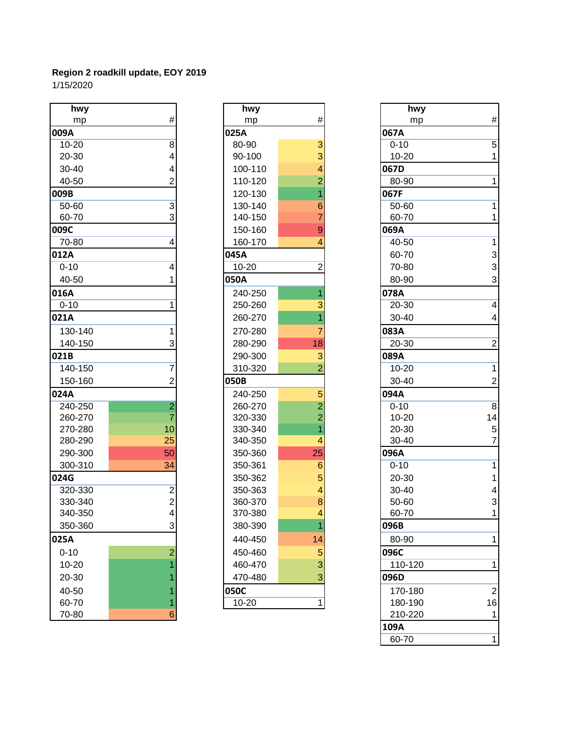1/15/2020

| hwy                                                    | hwy       |                | hwy       |                |
|--------------------------------------------------------|-----------|----------------|-----------|----------------|
| #<br>mp                                                | mp        | $\#$           | mp        | #              |
| 009A                                                   | 025A      |                | 067A      |                |
| $10 - 20$<br>8                                         | 80-90     | 3              | $0 - 10$  | 5              |
| 20-30<br>4                                             | 90-100    | 3              | $10 - 20$ | 1              |
| 30-40                                                  | 100-110   |                | 067D      |                |
| 40-50<br>2                                             | 110-120   |                | 80-90     | 1              |
| 009B                                                   | 120-130   |                | 067F      |                |
| $\overline{3}$<br>50-60                                | 130-140   |                | 50-60     | 1              |
| 3<br>60-70                                             | 140-150   |                | 60-70     | 1              |
| 009C                                                   | 150-160   | 9              | 069A      |                |
| 70-80<br>4                                             | 160-170   |                | 40-50     | 1              |
| 012A                                                   | 045A      |                | 60-70     | 3              |
| $0 - 10$<br>4                                          | $10 - 20$ | 2              | 70-80     | 3              |
| 40-50                                                  | 050A      |                | 80-90     | 3              |
| 016A                                                   | 240-250   |                | 078A      |                |
| $0 - 10$<br>1                                          | 250-260   |                | 20-30     | 4              |
| 021A                                                   | 260-270   |                | 30-40     | 4              |
| 130-140                                                | 270-280   | 7              | 083A      |                |
| 140-150<br>3                                           | 280-290   | 18             | $20 - 30$ | $\overline{2}$ |
| 021B                                                   | 290-300   | 3              | 089A      |                |
| 140-150<br>7                                           | 310-320   | $\overline{2}$ | $10 - 20$ | 1              |
| 150-160<br>2                                           | 050B      |                | 30-40     | $\overline{2}$ |
| 024A                                                   | 240-250   | 5              | 094A      |                |
| $\overline{\mathbf{c}}$<br>240-250                     | 260-270   | $\overline{2}$ | $0 - 10$  | $\overline{8}$ |
| $\overline{7}$<br>260-270                              | 320-330   | $\overline{2}$ | $10 - 20$ | 14             |
| 10<br>270-280                                          | 330-340   |                | 20-30     | 5              |
| 25<br>280-290                                          | 340-350   | 4              | 30-40     | $\overline{7}$ |
| 50<br>290-300                                          | 350-360   | 25             | 096A      |                |
| 300-310<br>34                                          | 350-361   | 6              | $0 - 10$  | 1              |
| 024G                                                   | 350-362   | 5              | 20-30     | 1              |
| 320-330                                                | 350-363   | 4              | 30-40     | 4              |
| $\begin{bmatrix} 2 \\ 2 \\ 4 \end{bmatrix}$<br>330-340 | 360-370   | 8              | 50-60     | 3              |
| 340-350                                                | 370-380   | $\overline{4}$ | 60-70     | 1              |
| 3<br>350-360                                           | 380-390   |                | 096B      |                |
| 025A                                                   | 440-450   | 14             | 80-90     | 1              |
| $\overline{c}$<br>$0 - 10$                             | 450-460   | 5              | 096C      |                |
| $10 - 20$                                              | 460-470   | 3              | 110-120   | 1              |
| 20-30                                                  | 470-480   | 3              | 096D      |                |
| 40-50                                                  | 050C      |                | 170-180   | $\overline{a}$ |
| 60-70<br>1                                             | $10 - 20$ | $\mathbf{1}$   | 180-190   | 16             |
| 6<br>70-80                                             |           |                | 210-220   | 1              |

| hwy       |                                                       |
|-----------|-------------------------------------------------------|
| mp        | #                                                     |
| 025A      |                                                       |
| 80-90     |                                                       |
| 90-100    |                                                       |
| 100-110   |                                                       |
| 110-120   |                                                       |
| 120-130   | 3342167                                               |
| 130-140   |                                                       |
| 140-150   |                                                       |
| 150-160   | 9                                                     |
| 160-170   | $\overline{4}$                                        |
| 045A      |                                                       |
| $10 - 20$ | $\overline{2}$                                        |
| 050A      |                                                       |
| 240-250   | $\overline{\mathbf{1}}$                               |
| 250-260   |                                                       |
| 260-270   | $\frac{3}{1}$                                         |
| 270-280   | 7                                                     |
| 280-290   | $\overline{18}$                                       |
| 290-300   | $\frac{3}{2}$                                         |
| 310-320   |                                                       |
| 050B      |                                                       |
| 240-250   |                                                       |
| 260-270   | $\frac{5}{2}$ $\frac{2}{1}$                           |
| 320-330   |                                                       |
| 330-340   |                                                       |
| 340-350   | $\overline{4}$                                        |
| 350-360   |                                                       |
| 350-361   | $\begin{array}{r} 25 \\ 6 \\ 5 \\ 4 \\ 8 \end{array}$ |
| 350-362   |                                                       |
| 350-363   |                                                       |
| 360-370   |                                                       |
| 370-380   | 4                                                     |
| 380-390   | 1                                                     |
| 440-450   | 14                                                    |
| 450-460   | $\frac{5}{3}$                                         |
| 460-470   |                                                       |
| 470-480   |                                                       |
| 050C      |                                                       |
| 10-20     | 1                                                     |

| hwy              |                | hwy       |                | hwy       |                         |
|------------------|----------------|-----------|----------------|-----------|-------------------------|
| mp               | $\#$           | mp        | #              | mp        | $\#$                    |
| )9A              |                | 025A      |                | 067A      |                         |
| 10-20            | 8              | 80-90     | 3              | $0 - 10$  | 5                       |
| 20-30            |                | 90-100    | 3              | $10 - 20$ | 1                       |
| 30-40            |                | 100-110   | 4              | 067D      |                         |
| 40-50            |                | 110-120   | $\overline{2}$ | 80-90     | 1                       |
| )9B              |                | 120-130   |                | 067F      |                         |
| 50-60            | 3              | 130-140   | 6              | 50-60     |                         |
| 60-70            | 3              | 140-150   |                | 60-70     |                         |
| )9C              |                | 150-160   | 9              | 069A      |                         |
| 70-80            |                | 160-170   |                | 40-50     |                         |
| L <sub>2</sub> A |                | 045A      |                | 60-70     | $\mathbf{3}$            |
| $0 - 10$         |                | $10 - 20$ | 2              | 70-80     | 3                       |
| 40-50            |                | 050A      |                | 80-90     | 3                       |
| L6A              |                | 240-250   |                | 078A      |                         |
| $0 - 10$         |                | 250-260   |                | 20-30     | $\overline{\mathbf{4}}$ |
| 21A              |                | 260-270   |                | 30-40     | 4                       |
| 130-140          |                | 270-280   |                | 083A      |                         |
| 140-150          | 3              | 280-290   | 18             | 20-30     | $\overline{2}$          |
| 21B              |                | 290-300   | 3              | 089A      |                         |
| 140-150          |                | 310-320   | $\overline{2}$ | $10 - 20$ |                         |
| 150-160          |                | 050B      |                | 30-40     | 2                       |
| 24A              |                | 240-250   | 5              | 094A      |                         |
| 240-250          | $\overline{2}$ | 260-270   | $\overline{2}$ | $0 - 10$  | $\boldsymbol{8}$        |
| 260-270          |                | 320-330   | $\overline{2}$ | $10 - 20$ | 14                      |
| 270-280          | 10             | 330-340   |                | 20-30     | $\sqrt{5}$              |
| 280-290          | 25             | 340-350   | 4              | 30-40     | $\overline{7}$          |
| 290-300          | 50             | 350-360   | 25             | 096A      |                         |
| 300-310          | 34             | 350-361   | 6              | $0 - 10$  |                         |
| 24G              |                | 350-362   | 5              | 20-30     |                         |
| 320-330          | 2              | 350-363   |                | $30 - 40$ | 4                       |
| 330-340          | 2              | 360-370   | $\bf 8$        | 50-60     | $\mathbf{3}$            |
| 340-350          |                | 370-380   |                | 60-70     | $\overline{1}$          |
| 350-360          | 3              | 380-390   |                | 096B      |                         |
| 25A              |                | 440-450   | 14             | 80-90     | 1                       |
| $0 - 10$         | $\overline{2}$ | 450-460   | 5              | 096C      |                         |
| 10-20            |                | 460-470   | 3              | 110-120   | 1                       |
| 20-30            |                | 470-480   | $\overline{3}$ | 096D      |                         |
| 40-50            |                | 050C      |                | 170-180   | $\overline{2}$          |
| 60-70            |                | $10 - 20$ | $\mathbf{1}$   | 180-190   | 16                      |
| 70-80            | 6              |           |                | 210-220   | 1                       |
|                  |                |           |                | 109A      |                         |
|                  |                |           |                | 60-70     | $\mathbf{1}$            |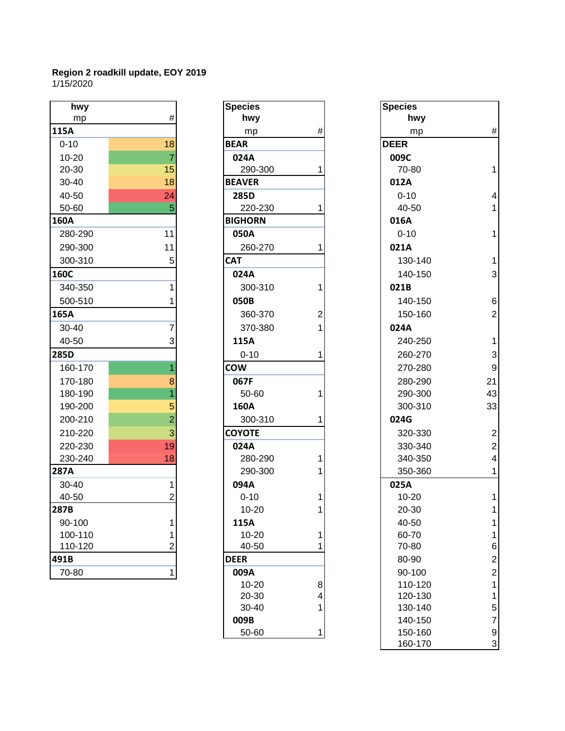#### **Region 2 roadkill update, EOY 2019** 1/15/2020

| hwy         |                | <b>Species</b> |                | <b>Species</b> |                |
|-------------|----------------|----------------|----------------|----------------|----------------|
| mp          | $\#$           | hwy            |                | hwy            |                |
| 115A        |                | mp             | $\#$           | mp             | #              |
| $0 - 10$    | 18             | <b>BEAR</b>    |                | <b>DEER</b>    |                |
| $10 - 20$   | $\overline{7}$ | 024A           |                | 009C           |                |
| 20-30       | 15             | 290-300        |                | 70-80          | 1              |
| 30-40       | 18             | <b>BEAVER</b>  |                | 012A           |                |
| 40-50       | 24             | 285D           |                | $0 - 10$       | 4              |
| 50-60       | 5              | 220-230        | 1              | 40-50          | 1              |
| <b>160A</b> |                | <b>BIGHORN</b> |                | 016A           |                |
| 280-290     | 11             | 050A           |                | $0 - 10$       | 1              |
| 290-300     | 11             | 260-270        | 1              | 021A           |                |
| 300-310     | 5              | <b>CAT</b>     |                | 130-140        | 1              |
| 160C        |                | 024A           |                | 140-150        | 3              |
| 340-350     | 1              | 300-310        | 1              | 021B           |                |
| 500-510     |                | 050B           |                | 140-150        | 6              |
| 165A        |                | 360-370        | $\overline{2}$ | 150-160        | $\overline{a}$ |
| $30 - 40$   | 7              | 370-380        | 1              | 024A           |                |
| 40-50       | 3              | 115A           |                | 240-250        | $\overline{1}$ |
| <b>285D</b> |                | $0 - 10$       | 1              | 260-270        | 3              |
| 160-170     | 1              | <b>COW</b>     |                | 270-280        | 9              |
| 170-180     | 8              | 067F           |                | 280-290        | 21             |
| 180-190     |                | 50-60          | 1              | 290-300        | 43             |
| 190-200     | 5              | 160A           |                | 300-310        | 33             |
| 200-210     | $\overline{2}$ | 300-310        | 1              | 024G           |                |
| 210-220     | 3              | <b>COYOTE</b>  |                | 320-330        | $\overline{c}$ |
| 220-230     | 19             | 024A           |                | 330-340        | $\overline{c}$ |
| 230-240     | 18             | 280-290        | 1              | 340-350        | 4              |
| 287A        |                | 290-300        |                | 350-360        | 1              |
| $30 - 40$   | 1              | 094A           |                | 025A           |                |
| 40-50       | $\overline{2}$ | $0 - 10$       |                | $10 - 20$      |                |
| 287B        |                | $10 - 20$      |                | 20-30          |                |
| 90-100      |                | 115A           |                | 40-50          |                |
| 100-110     |                | $10 - 20$      | 1              | 60-70          |                |
| 110-120     | $\overline{2}$ | 40-50          |                | 70-80          | 6              |
| 491B        |                | <b>DEER</b>    |                | 80-90          | $\overline{c}$ |
| 70-80       | 1              | 009A           |                | 90-100         | $\overline{2}$ |

| <b>nwy</b> |                | <b>Species</b> |                | <b>Species</b>   |
|------------|----------------|----------------|----------------|------------------|
| mp         | #              | hwy            |                | hwy              |
|            |                | mp             | #              | mp               |
| 0          | 18             | <b>BEAR</b>    |                | <b>DEER</b>      |
| 20         | $\overline{7}$ | 024A           |                | 009C             |
| 30         | 15             | 290-300        | 1              | 70-80            |
| 40         | 18             | <b>BEAVER</b>  |                | 012A             |
| 50         | 24             | 285D           |                | $0 - 10$         |
| 60         | 5              | 220-230        | 1              | 40-50            |
|            |                | <b>BIGHORN</b> |                | 016A             |
| $-290$     | 11             | 050A           |                | $0 - 10$         |
| -300       | 11             | 260-270        | 1              | 021A             |
| -310       | 5              | <b>CAT</b>     |                | 130-14           |
|            |                | 024A           |                | 140-15           |
| -350       | 1              | 300-310        | 1              | 021B             |
| $-510$     | 1              | 050B           |                | 140-15           |
|            |                | 360-370        | $\overline{2}$ | 150-16           |
| 40         | 7              | 370-380        | 1              | 024A             |
| 50         | 3              | 115A           |                | 240-25           |
|            |                | $0 - 10$       | 1              | 260-27           |
| $-170$     | 1              | <b>COW</b>     |                | 270-28           |
| $-180$     | 8              | 067F           |                | 280-29           |
| $-190$     | 1              | 50-60          | 1              | 290-30           |
| -200       | 5              | 160A           |                | 300-31           |
| $-210$     | $\overline{2}$ | 300-310        | 1              | 024G             |
| -220       | 3              | <b>COYOTE</b>  |                | 320-33           |
| $-230$     | 19             | 024A           |                | 330-34           |
| $-240$     | 18             | 280-290        | 1              | 340-35           |
|            |                | 290-300        | 1              | 350-36           |
| 40         | $\mathbf{1}$   | 094A           |                | 025A             |
| 50         | 2              | $0 - 10$       | 1              | $10 - 20$        |
|            |                | $10 - 20$      | 1              | 20-30            |
| 100        | 1              | 115A           |                | 40-50            |
| $-110$     | 1              | $10 - 20$      | 1              | 60-70            |
| -120       | $\overline{2}$ | 40-50          | 1              | 70-80            |
|            |                | <b>DEER</b>    |                | 80-90            |
| 80         | 1              | 009A           |                | 90-100           |
|            |                | $10 - 20$      | 8              | 110-12           |
|            |                | 20-30<br>30-40 | 4<br>1         | 120-13<br>130-14 |
|            |                | 009B           |                | 140-15           |
|            |                | 50-60          | 1              | 150-16           |
|            |                |                |                |                  |

| hwy      |                | <b>Species</b> |                | <b>Species</b> |                           |
|----------|----------------|----------------|----------------|----------------|---------------------------|
| mp       | #              | hwy            |                | hwy            |                           |
| L5A      |                | mp             | #              | mp             | $\#$                      |
| $0 - 10$ | 18             | <b>BEAR</b>    |                | <b>DEER</b>    |                           |
| 10-20    | 7              | 024A           |                | 009C           |                           |
| 20-30    | 15             | 290-300        |                | 70-80          |                           |
| 30-40    | 18             | <b>BEAVER</b>  |                | 012A           |                           |
| 40-50    | 24             | 285D           |                | $0 - 10$       | 4                         |
| 50-60    | 5              | 220-230        | 1              | 40-50          |                           |
| 50A      |                | <b>BIGHORN</b> |                | 016A           |                           |
| 280-290  | 11             | 050A           |                | $0 - 10$       |                           |
| 290-300  | 11             | 260-270        |                | 021A           |                           |
| 300-310  | 5              | <b>CAT</b>     |                | 130-140        |                           |
| 50C      |                | 024A           |                | 140-150        | 3                         |
| 340-350  |                | 300-310        | 1              | 021B           |                           |
| 500-510  |                | 050B           |                | 140-150        | 6                         |
| 55A      |                | 360-370        | $\overline{2}$ | 150-160        | $\mathbf{2}$              |
| 30-40    |                | 370-380        | 1              | 024A           |                           |
| 40-50    | 3              | 115A           |                | 240-250        |                           |
| 35D      |                | $0 - 10$       | 1              | 260-270        | $\ensuremath{\mathsf{3}}$ |
| 160-170  |                | <b>COW</b>     |                | 270-280        | 9                         |
| 170-180  | 8              | 067F           |                | 280-290        | 21                        |
| 180-190  |                | 50-60          |                | 290-300        | 43                        |
| 190-200  | 5              | 160A           |                | 300-310        | 33                        |
| 200-210  | $\overline{2}$ | 300-310        | 1              | 024G           |                           |
| 210-220  | 3              | <b>COYOTE</b>  |                | 320-330        | $\overline{c}$            |
| 220-230  | 19             | 024A           |                | 330-340        | $\overline{\mathbf{c}}$   |
| 230-240  | 18             | 280-290        |                | 340-350        | 4                         |
| 37A      |                | 290-300        |                | 350-360        | 1                         |
| 30-40    |                | 094A           |                | 025A           |                           |
| 40-50    |                | $0 - 10$       |                | 10-20          |                           |
| 37B      |                | $10 - 20$      | 1              | 20-30          | 1                         |
| 90-100   |                | 115A           |                | 40-50          |                           |
| 100-110  |                | $10 - 20$      | 1              | 60-70          |                           |
| 110-120  | 2              | 40-50          |                | 70-80          | 6                         |
| )1B      |                | <b>DEER</b>    |                | 80-90          | $\overline{c}$            |
| 70-80    | 1              | 009A           |                | 90-100         | $\overline{\mathbf{c}}$   |
|          |                | $10 - 20$      | 8              | 110-120        | 1                         |
|          |                | 20-30          | 4              | 120-130        | 1                         |
|          |                | 30-40          |                | 130-140        | 5                         |
|          |                | 009B           |                | 140-150        | $\overline{7}$            |
|          |                | 50-60          | 1              | 150-160        | 9                         |
|          |                |                |                | 160-170        | 3                         |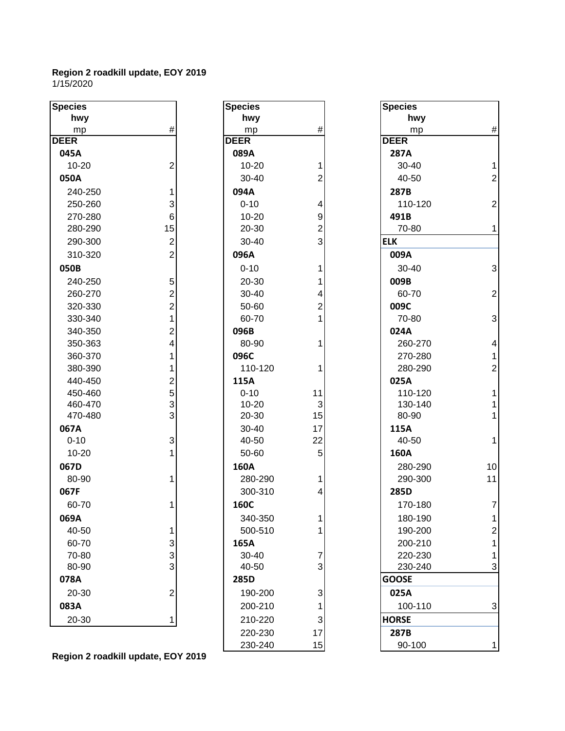1/15/2020

| <b>Species</b> |                         | <b>Species</b> |                         | <b>Species</b> |                |
|----------------|-------------------------|----------------|-------------------------|----------------|----------------|
| hwy            |                         | hwy            |                         | hwy            |                |
| mp             | #                       | mp             | $\#$                    | mp             | #              |
| <b>DEER</b>    |                         | <b>DEER</b>    |                         | <b>DEER</b>    |                |
| 045A           |                         | 089A           |                         | 287A           |                |
| $10 - 20$      | $\overline{2}$          | $10 - 20$      | 1                       | 30-40          | 1              |
| 050A           |                         | 30-40          | $\overline{c}$          | 40-50          | $\overline{a}$ |
| 240-250        | 1                       | 094A           |                         | 287B           |                |
| 250-260        | 3                       | $0 - 10$       | $\overline{\mathbf{r}}$ | 110-120        | $\overline{c}$ |
| 270-280        | 6 <sup>1</sup>          | $10 - 20$      | $\mathsf g$             | 491B           |                |
| 280-290        | 15                      | 20-30          | $\overline{2}$          | 70-80          | 1              |
| 290-300        | $\mathbf{2}$            | 30-40          | $\overline{3}$          | <b>ELK</b>     |                |
| 310-320        | $\overline{2}$          | 096A           |                         | 009A           |                |
| 050B           |                         | $0 - 10$       | 1                       | 30-40          | 3              |
| 240-250        | 5                       | 20-30          | 1                       | 009B           |                |
| 260-270        | $\overline{2}$          | 30-40          | 4                       | 60-70          | $\overline{c}$ |
| 320-330        | $\mathbf{2}$            | 50-60          | $\overline{c}$          | 009C           |                |
| 330-340        | $\overline{1}$          | 60-70          | $\mathbf{1}$            | 70-80          | 3              |
| 340-350        | $\overline{\mathbf{c}}$ | 096B           |                         | 024A           |                |
| 350-363        | $\overline{\mathbf{4}}$ | 80-90          | 1                       | 260-270        | 4              |
| 360-370        | 1                       | 096C           |                         | 270-280        | 1              |
| 380-390        | 1                       | 110-120        | 1                       | 280-290        | $\overline{c}$ |
| 440-450        |                         | 115A           |                         | 025A           |                |
| 450-460        | $\frac{2}{5}$           | $0 - 10$       | 11                      | 110-120        |                |
| 460-470        | $\overline{3}$          | $10 - 20$      | $\mathbf{3}$            | 130-140        |                |
| 470-480        | $\overline{3}$          | 20-30          | 15                      | 80-90          | 1              |
| 067A           |                         | 30-40          | 17                      | 115A           |                |
| $0 - 10$       | $\mathbf{3}$            | 40-50          | 22                      | 40-50          | 1              |
| 10-20          | 1                       | 50-60          | 5                       | 160A           |                |
| 067D           |                         | 160A           |                         | 280-290        | 10             |
| 80-90          | 1                       | 280-290        | 1                       | 290-300        | 11             |
| 067F           |                         | 300-310        | 4                       | 285D           |                |
| 60-70          | 1                       | 160C           |                         | 170-180        | $\overline{7}$ |
| 069A           |                         | 340-350        | 11                      | 180-190        |                |
| 40-50          | 1                       | 500-510        | 1                       | 190-200        | $\overline{2}$ |
| 60-70          | $\mathbf{3}$            | 165A           |                         | 200-210        |                |
| 70-80          | $\overline{3}$          | $30 - 40$      | 7                       | 220-230        |                |
| 80-90          | $\overline{3}$          | 40-50          | $\overline{3}$          | 230-240        | 3              |
| 078A           |                         | 285D           |                         | <b>GOOSE</b>   |                |
| 20-30          | $\mathbf{2}$            | 190-200        | 3                       | 025A           |                |
| 083A           |                         | 200-210        | 1                       | 100-110        | 3              |
| 20-30          | 11                      | 210-220        | 3 <sup>1</sup>          | <b>HORSE</b>   |                |
|                |                         | 220-230        | 17                      | <b>287R</b>    |                |

| ipecies    |                         | Specie          |
|------------|-------------------------|-----------------|
| hwy        |                         | ŀ               |
| mp         | #                       |                 |
| <b>EER</b> |                         | <b>DEER</b>     |
| 089A       |                         | 287A            |
| 10-20      | 1                       | $30-$           |
| 30-40      | $\overline{2}$          | 40-             |
| 094A       |                         | 287B            |
| $0 - 10$   | 4                       | 110             |
| 10-20      | 9                       | 491B            |
| 20-30      | $\overline{\mathbf{c}}$ | 70-             |
| 30-40      | 3                       | <b>ELK</b>      |
| 096A       |                         | 009A            |
| $0 - 10$   | 1                       | 30-             |
| 20-30      | 1                       | 009B            |
| 30-40      | 4                       | 60-             |
| 50-60      | $\overline{\mathbf{c}}$ | 009C            |
| 60-70      | 1                       | $70-$           |
| 096B       |                         | 024A            |
| 80-90      | 1                       | 260             |
| 096C       |                         | 270             |
| 110-120    | 1                       | 280             |
| 115A       |                         | 025A            |
| $0 - 10$   | 11                      | 110             |
| 10-20      | 3                       | 130             |
| 20-30      | 15                      | 80-             |
| 30-40      | 17                      | 115A            |
| 40-50      | 22                      | 40-             |
| 50-60      | 5                       | 160A            |
| 160A       |                         | 280             |
| 280-290    | 1                       | 290             |
| 300-310    | $\overline{4}$          | 285D            |
| 160C       |                         | 170             |
| 340-350    | 1                       | 180             |
| 500-510    | 1                       | 190             |
| 165A       |                         | 200             |
| 30-40      | 7                       | 220             |
| 40-50      | 3                       | 230             |
| 285D       |                         | <b>GOOSE</b>    |
| 190-200    | 3                       | 025A            |
| 200-210    | $\overline{1}$          | 10 <sub>C</sub> |
| 210-220    | 3                       | <b>HORSE</b>    |
| 220-230    | 17                      | 287B            |
| 230-240    | 15                      | 90-             |
|            |                         |                 |

| :cies    |                | <b>Species</b> |                |
|----------|----------------|----------------|----------------|
| hwy      |                | hwy            |                |
| mp       | #              | mp             | #              |
| ΞR       |                | <b>DEER</b>    |                |
| 39A      |                | 287A           |                |
| 10-20    | 1              | 30-40          | 1              |
| 30-40    | $\overline{2}$ | 40-50          | $\overline{2}$ |
| )4A      |                | 287B           |                |
| $0 - 10$ | 4              | 110-120        | $\overline{2}$ |
| 10-20    | 9              | 491B           |                |
| 20-30    | $\overline{c}$ | 70-80          | 1              |
| 30-40    | 3              | <b>ELK</b>     |                |
| )6A      |                | 009A           |                |
| 0-10     | 1              | 30-40          | 3              |
| 20-30    | 1              | 009B           |                |
| 30-40    | 4              | 60-70          | 2              |
| 50-60    | $\overline{c}$ | 009C           |                |
| 60-70    | 1              | 70-80          | 3              |
| 96B      |                | 024A           |                |
| 80-90    | 1              | 260-270        | 4              |
| 96C      |                | 270-280        | 1              |
| 110-120  | 1              | 280-290        | $\overline{c}$ |
| L5A      |                | 025A           |                |
| $0 - 10$ | 11             | 110-120        | 1              |
| 10-20    | 3              | 130-140        | 1              |
| 20-30    | 15             | 80-90          | 1              |
| 30-40    | 17             | 115A           |                |
| 40-50    | 22             | 40-50          | 1              |
| 50-60    | 5              | 160A           |                |
| 50A      |                | 280-290        | 10             |
| 280-290  | 1              | 290-300        | 11             |
| 300-310  | 4              | 285D           |                |
| 50C      |                | 170-180        | $\overline{7}$ |
| 340-350  | 1              | 180-190        | 1              |
| 500-510  | 1              | 190-200        | 2              |
| 55A      |                | 200-210        | 1              |
| 30-40    | 7              | 220-230        | 1              |
| 40-50    | 3              | 230-240        | 3 <sup>1</sup> |
| 35D      |                | <b>GOOSE</b>   |                |
| 190-200  | 3              | 025A           |                |
| 200-210  | 1              | 100-110        | 3              |
| 210-220  | 3              | <b>HORSE</b>   |                |
| 220-230  | 17             | 287B           |                |
| 230-240  | 15             | 90-100         | 1              |

**Region 2 roadkill update, EOY 2019**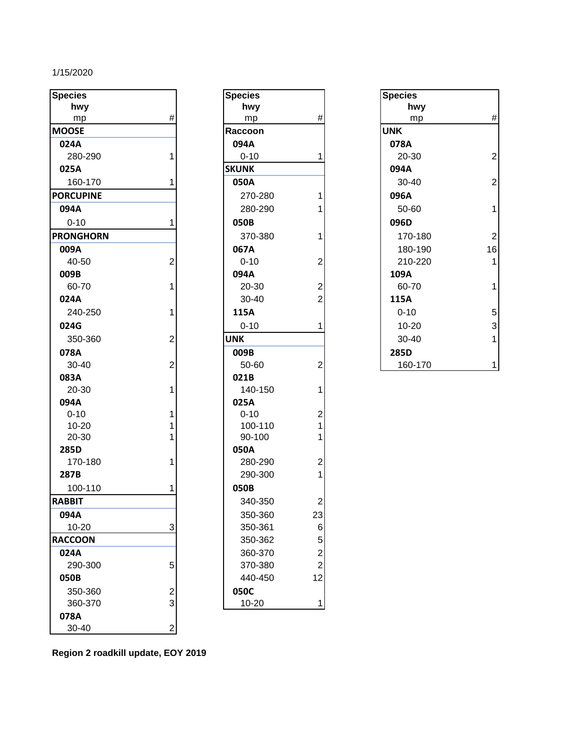#### 1/15/2020

| <b>Species</b>   |                         | <b>Species</b> |                         | <b>Species</b> |                |
|------------------|-------------------------|----------------|-------------------------|----------------|----------------|
| hwy              |                         | hwy            |                         | hwy            |                |
| mp               | $\#$                    | mp             | $\#$                    | mp             | #              |
| <b>MOOSE</b>     |                         | Raccoon        |                         | <b>UNK</b>     |                |
| 024A             |                         | 094A           |                         | 078A           |                |
| 280-290          |                         | $0 - 10$       |                         | 20-30          | $\overline{2}$ |
| 025A             |                         | <b>SKUNK</b>   |                         | 094A           |                |
| 160-170          |                         | 050A           |                         | 30-40          | $\overline{a}$ |
| <b>PORCUPINE</b> |                         | 270-280        | 1                       | 096A           |                |
| 094A             |                         | 280-290        |                         | 50-60          | 1              |
| $0 - 10$         |                         | 050B           |                         | 096D           |                |
| <b>PRONGHORN</b> |                         | 370-380        | 1                       | 170-180        | $\overline{a}$ |
| 009A             |                         | 067A           |                         | 180-190        | 16             |
| 40-50            | $\overline{2}$          | $0 - 10$       | $\overline{2}$          | 210-220        | 1              |
| 009B             |                         | 094A           |                         | 109A           |                |
| 60-70            | 1                       | 20-30          | $\overline{c}$          | 60-70          | 1              |
| 024A             |                         | 30-40          | $\overline{2}$          | 115A           |                |
| 240-250          |                         | 115A           |                         | $0 - 10$       | 5              |
| 024G             |                         | $0 - 10$       | 1                       | $10 - 20$      | 3              |
| 350-360          | 2                       | <b>UNK</b>     |                         | 30-40          | 1              |
| 078A             |                         | 009B           |                         | 285D           |                |
| 30-40            | $\overline{c}$          | 50-60          | $\overline{2}$          | 160-170        | 1              |
| 083A             |                         | 021B           |                         |                |                |
| 20-30            |                         | 140-150        | 1                       |                |                |
| 094A             |                         | 025A           |                         |                |                |
| $0 - 10$         |                         | $0 - 10$       | $\overline{\mathbf{c}}$ |                |                |
| $10 - 20$        |                         | 100-110        | 1                       |                |                |
| 20-30            |                         | 90-100         |                         |                |                |
| 285D             |                         | 050A           |                         |                |                |
| 170-180          |                         | 280-290        | $\overline{c}$          |                |                |
| 287B             |                         | 290-300        | 1                       |                |                |
| 100-110          |                         | 050B           |                         |                |                |
| <b>RABBIT</b>    |                         | 340-350        | $\overline{2}$          |                |                |
| 094A             |                         | 350-360        | 23                      |                |                |
| $10 - 20$        | 3                       | 350-361        | $\,$ 6 $\,$             |                |                |
| <b>RACCOON</b>   |                         | 350-362        | 5                       |                |                |
| 024A             |                         | 360-370        | $\overline{c}$          |                |                |
| 290-300          | 5                       | 370-380        | $\overline{2}$          |                |                |
| 050B             |                         | 440-450        | 12                      |                |                |
| 350-360          | $\overline{\mathbf{c}}$ | 050C           |                         |                |                |
| 360-370          | 3                       | 10-20          | 1                       |                |                |
| 078A             |                         |                |                         |                |                |
| 30-40            | $\mathbf 2$             |                |                         |                |                |

| Species      |                                            |
|--------------|--------------------------------------------|
| hwy          |                                            |
| mp           | #                                          |
| Raccoon      |                                            |
| 094A         |                                            |
| $0 - 10$     | 1                                          |
| <b>SKUNK</b> |                                            |
| 050A         |                                            |
| 270-280      | 1                                          |
| 280-290      | 1                                          |
| 050B         |                                            |
| 370-380      | 1                                          |
| 067A         |                                            |
| $0 - 10$     |                                            |
| 094A         | $\begin{array}{c} 2 \\ 2 \\ 2 \end{array}$ |
| 20-30        |                                            |
| 30-40        |                                            |
| 115A         |                                            |
| $0 - 10$     | 1                                          |
| UNK          |                                            |
| 009B         |                                            |
| 50-60        | $\overline{c}$                             |
| 021B         |                                            |
| 140-150      | $\overline{1}$                             |
| 025A         |                                            |
| $0 - 10$     |                                            |
| 100-110      | $\begin{array}{c} 2 \\ 1 \\ 1 \end{array}$ |
| 90-100       |                                            |
| 050A         |                                            |
| 280-290      | $\overline{\mathbf{c}}$                    |
| 290-300      | $\overline{\mathbf{1}}$                    |
| 050B         |                                            |
| 340-350      | $\overline{c}$                             |
| 350-360      |                                            |
| 350-361      |                                            |
| 350-362      |                                            |
| 360-370      | 23<br>6<br>5<br>2<br>2<br>2<br>1<br>2      |
| 370-380      |                                            |
| 440-450      |                                            |
| 050C         |                                            |
| 10-20        | 1                                          |

| <b>Species</b> |                |
|----------------|----------------|
| hwy            |                |
| mp             | #              |
| <b>UNK</b>     |                |
| 078A           |                |
| 20-30          | $\overline{c}$ |
| 094A           |                |
| 30-40          | $\overline{c}$ |
| 096A           |                |
| 50-60          |                |
| 096D           |                |
| 170-180        | $\overline{2}$ |
| 180-190        | 16             |
| 210-220        | 1              |
| 109A           |                |
| 60-70          |                |
| 115A           |                |
| $0 - 10$       |                |
| 10-20          | 5<br>3         |
| 30-40          | $\overline{1}$ |
| 285D           |                |
| 160-170        |                |

**Region 2 roadkill update, EOY 2019**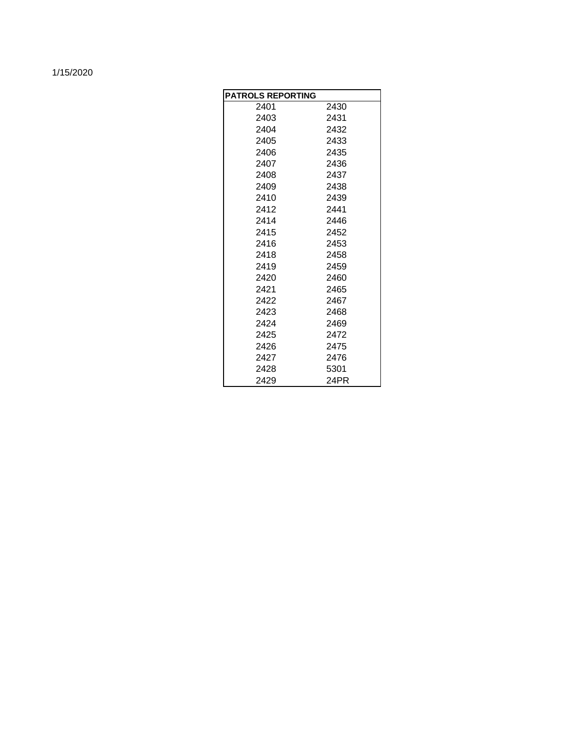#### 1/15/2020

| <b>PATROLS REPORTING</b> |      |
|--------------------------|------|
| 2401                     | 2430 |
| 2403                     | 2431 |
| 2404                     | 2432 |
| 2405                     | 2433 |
| 2406                     | 2435 |
| 2407                     | 2436 |
| 2408                     | 2437 |
| 2409                     | 2438 |
| 2410                     | 2439 |
| 2412                     | 2441 |
| 2414                     | 2446 |
| 2415                     | 2452 |
| 2416                     | 2453 |
| 2418                     | 2458 |
| 2419                     | 2459 |
| 2420                     | 2460 |
| 2421                     | 2465 |
| 2422                     | 2467 |
| 2423                     | 2468 |
| 2424                     | 2469 |
| 2425                     | 2472 |
| 2426                     | 2475 |
| 2427                     | 2476 |
| 2428                     | 5301 |
| 2429                     | 24PR |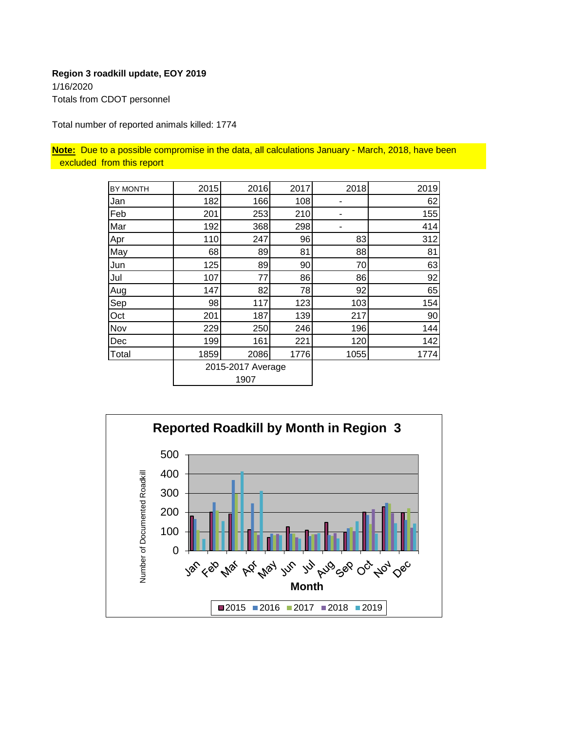**Region 3 roadkill update, EOY 2019** 1/16/2020 Totals from CDOT personnel

Total number of reported animals killed: 1774

**Note:** Due to a possible compromise in the data, all calculations January - March, 2018, have been excluded from this report

| <b>BY MONTH</b> | 2015 | 2016              | 2017 | 2018 | 2019 |
|-----------------|------|-------------------|------|------|------|
| Jan             | 182  | 166               | 108  |      | 62   |
| Feb             | 201  | 253               | 210  |      | 155  |
| Mar             | 192  | 368               | 298  |      | 414  |
| Apr             | 110  | 247               | 96   | 83   | 312  |
| May             | 68   | 89                | 81   | 88   | 81   |
| Jun             | 125  | 89                | 90   | 70   | 63   |
| Jul             | 107  | 77                | 86   | 86   | 92   |
| Aug             | 147  | 82                | 78   | 92   | 65   |
| Sep             | 98   | 117               | 123  | 103  | 154  |
| Oct             | 201  | 187               | 139  | 217  | 90   |
| Nov             | 229  | 250               | 246  | 196  | 144  |
| Dec             | 199  | 161               | 221  | 120  | 142  |
| Total           | 1859 | 2086              | 1776 | 1055 | 1774 |
|                 |      | 2015-2017 Average |      |      |      |
|                 |      | 1907              |      |      |      |

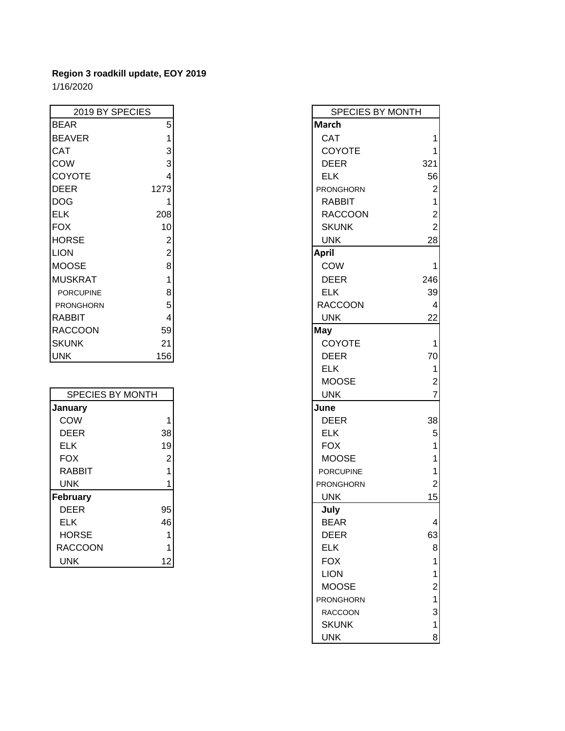## **Region 3 roadkill update, EOY 2019** 1/16/2020

| 2019 BY SPECIES  |                | <b>SF</b>    |
|------------------|----------------|--------------|
| <b>BEAR</b>      | 5              | <b>March</b> |
| <b>BEAVER</b>    | 1              | <b>CAT</b>   |
| <b>CAT</b>       | 3              | COY          |
| <b>COW</b>       | 3              | <b>DEE</b>   |
| COYOTE           | 4              | <b>ELK</b>   |
| <b>DEER</b>      | 1273           | <b>PRONG</b> |
| <b>DOG</b>       | 1              | <b>RAB</b>   |
| <b>ELK</b>       | 208            | <b>RAC</b>   |
| <b>FOX</b>       | 10             | <b>SKU</b>   |
| <b>HORSE</b>     | $\overline{2}$ | <b>UNK</b>   |
| <b>LION</b>      | $\overline{2}$ | April        |
| <b>MOOSE</b>     | 8              | COW          |
| <b>MUSKRAT</b>   | 1              | <b>DEE</b>   |
| <b>PORCUPINE</b> | 8              | <b>ELK</b>   |
| PRONGHORN        | 5              | <b>RACC</b>  |
| <b>RABBIT</b>    | 4              | <b>UNK</b>   |
| <b>RACCOON</b>   | 59             | May          |
| <b>SKUNK</b>     | 21             | COY          |
| <b>UNK</b>       | 156            | <b>DEE</b>   |

| <b>SPECIES BY MONTH</b> |    |      |
|-------------------------|----|------|
| January                 |    | June |
| <b>COW</b>              |    |      |
| <b>DEER</b>             | 38 |      |
| <b>ELK</b>              | 19 |      |
| <b>FOX</b>              | 2  |      |
| <b>RABBIT</b>           |    |      |
| <b>UNK</b>              |    |      |
| <b>February</b>         |    |      |
| <b>DEER</b>             | 95 |      |
| <b>ELK</b>              | 46 |      |
| <b>HORSE</b>            |    |      |
| <b>RACCOON</b>          |    |      |
| <b>UNK</b>              | 12 |      |

| 2019 BY SPECIES  |                | SPECIES BY MONTH |                         |
|------------------|----------------|------------------|-------------------------|
| <b>BEAR</b>      | 5              | <b>March</b>     |                         |
| <b>BEAVER</b>    | 1              | CAT              | 1                       |
| CAT              | 3              | COYOTE           |                         |
| COW              | 3              | <b>DEER</b>      | 321                     |
| <b>COYOTE</b>    | $\overline{4}$ | <b>ELK</b>       | 56                      |
| <b>DEER</b>      | 1273           | <b>PRONGHORN</b> | $\boldsymbol{2}$        |
| DOG              | 1              | <b>RABBIT</b>    | $\mathbf{1}$            |
| ELK              | 208            | <b>RACCOON</b>   | $\overline{\mathbf{c}}$ |
| <b>FOX</b>       | 10             | <b>SKUNK</b>     | $\overline{2}$          |
| <b>HORSE</b>     | $\overline{2}$ | <b>UNK</b>       | 28                      |
| <b>LION</b>      | $\overline{2}$ | <b>April</b>     |                         |
| <b>MOOSE</b>     | 8              | COW              | 1                       |
| <b>MUSKRAT</b>   | 1              | <b>DEER</b>      | 246                     |
| <b>PORCUPINE</b> | 8              | <b>ELK</b>       | 39                      |
| PRONGHORN        | 5              | <b>RACCOON</b>   | 4                       |
| <b>RABBIT</b>    | 4              | <b>UNK</b>       | 22                      |
| <b>RACCOON</b>   | 59             | May              |                         |
| <b>SKUNK</b>     | 21             | COYOTE           | 1                       |
| <b>UNK</b>       | 156            | <b>DEER</b>      | 70                      |
|                  |                | <b>ELK</b>       | $\mathbf 1$             |
|                  |                | <b>MOOSE</b>     | $\boldsymbol{2}$        |
| SPECIES BY MONTH |                | <b>UNK</b>       | $\overline{7}$          |
| <b>January</b>   |                | June             |                         |
| COW              | 1              | <b>DEER</b>      | 38                      |
| <b>DEER</b>      | 38             | <b>ELK</b>       | $\mathbf 5$             |
| <b>ELK</b>       | 19             | <b>FOX</b>       | 1                       |
| <b>FOX</b>       | $\overline{2}$ | <b>MOOSE</b>     | 1                       |
| <b>RABBIT</b>    | 1              | <b>PORCUPINE</b> | 1                       |
| <b>UNK</b>       | 1              | <b>PRONGHORN</b> | $\overline{2}$          |
| February         |                | <b>UNK</b>       | 15                      |
| <b>DEER</b>      | 95             | July             |                         |
| <b>ELK</b>       | 46             | <b>BEAR</b>      | 4                       |
| <b>HORSE</b>     | 1              | <b>DEER</b>      | 63                      |
| <b>RACCOON</b>   | 1              | <b>ELK</b>       | 8                       |
| <b>UNK</b>       | 12             | <b>FOX</b>       | 1                       |
|                  |                | <b>LION</b>      | 1                       |
|                  |                | <b>MOOSE</b>     | $\overline{2}$          |
|                  |                | PRONGHORN        | $\mathbf{1}$            |
|                  |                | <b>RACCOON</b>   | 3                       |
|                  |                | <b>SKUNK</b>     | $\mathbf{1}$            |
|                  |                | <b>UNK</b>       | $\bf{8}$                |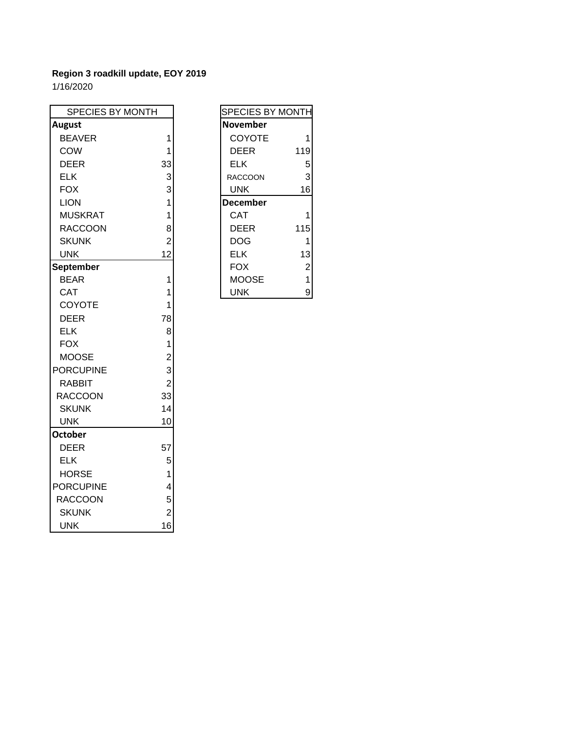| SPECIES BY MONTH |                | SPECIES BY MONTH             |
|------------------|----------------|------------------------------|
| <b>August</b>    |                | <b>November</b>              |
| <b>BEAVER</b>    | 1              | COYOTE<br>$\mathbf{1}$       |
| COW              | 1              | <b>DEER</b><br>119           |
| <b>DEER</b>      | 33             | <b>ELK</b><br>5              |
| <b>ELK</b>       | 3              | 3<br><b>RACCOON</b>          |
| <b>FOX</b>       | 3              | <b>UNK</b><br>16             |
| <b>LION</b>      | 1              | <b>December</b>              |
| <b>MUSKRAT</b>   | 1              | <b>CAT</b><br>$\mathbf{1}$   |
| <b>RACCOON</b>   | 8              | <b>DEER</b><br>115           |
| <b>SKUNK</b>     | $\overline{2}$ | <b>DOG</b><br>1              |
| <b>UNK</b>       | 12             | <b>ELK</b><br>13             |
| <b>September</b> |                | $\overline{c}$<br><b>FOX</b> |
| <b>BEAR</b>      | 1              | <b>MOOSE</b><br>$\mathbf{1}$ |
| <b>CAT</b>       | 1              | 9<br><b>UNK</b>              |
| COYOTE           | 1              |                              |
| <b>DEER</b>      | 78             |                              |
| <b>ELK</b>       | 8              |                              |
| <b>FOX</b>       | 1              |                              |
| <b>MOOSE</b>     | $\overline{2}$ |                              |
| <b>PORCUPINE</b> | 3              |                              |
| <b>RABBIT</b>    | $\overline{2}$ |                              |
| <b>RACCOON</b>   | 33             |                              |
| <b>SKUNK</b>     | 14             |                              |
| <b>UNK</b>       | 10             |                              |
| <b>October</b>   |                |                              |
| <b>DEER</b>      | 57             |                              |
| <b>ELK</b>       | 5              |                              |
| <b>HORSE</b>     | 1              |                              |
| <b>PORCUPINE</b> | 4              |                              |
| <b>RACCOON</b>   | 5              |                              |
| <b>SKUNK</b>     | $\overline{2}$ |                              |
| <b>UNK</b>       | 16             |                              |

| <b>SPECIES BY MONTH</b> |                |
|-------------------------|----------------|
| <b>November</b>         |                |
| COYOTE                  | 1              |
| DEER                    | 119            |
| ELK                     | 5              |
| RACCOON                 | 3              |
| <b>UNK</b>              | 16             |
| <b>December</b>         |                |
| CAT                     | 1              |
| DEER                    | 115            |
| DOG                     | 1              |
| ELK                     | 13             |
| FOX                     | $\overline{2}$ |
| MOOSE                   | 1              |
| UNK                     |                |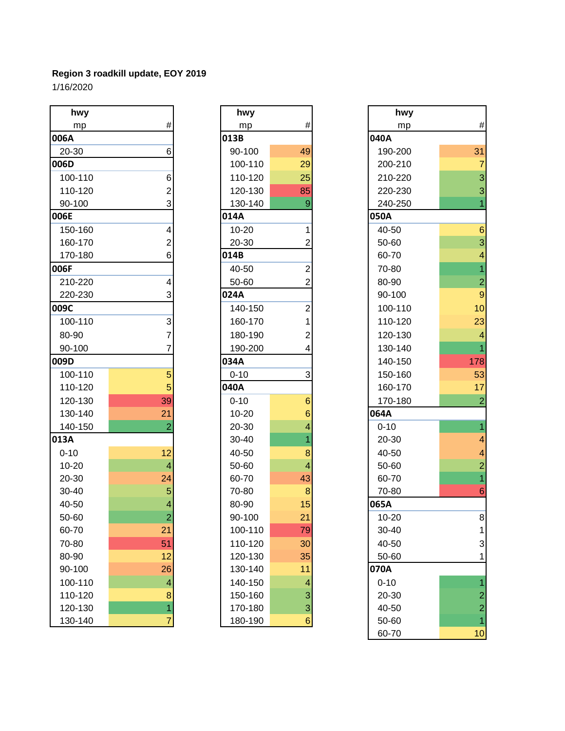| hwy       |                          | hwy       |                         | hwy       |                          |
|-----------|--------------------------|-----------|-------------------------|-----------|--------------------------|
| mp        | $\#$                     | mp        | $\#$                    | mp        | #                        |
| 006A      |                          | 013B      |                         | 040A      |                          |
| 20-30     | 6                        | 90-100    | 49                      | 190-200   | 31                       |
| 006D      |                          | 100-110   | 29                      | 200-210   | 7                        |
| 100-110   | 6                        | 110-120   | 25                      | 210-220   | 3                        |
| 110-120   | 2                        | 120-130   | 85                      | 220-230   | 3                        |
| 90-100    | 3                        | 130-140   | $\overline{9}$          | 240-250   | $\overline{1}$           |
| 006E      |                          | 014A      |                         | 050A      |                          |
| 150-160   | 4                        | $10 - 20$ | 1                       | 40-50     | $6\phantom{1}6$          |
| 160-170   | 2                        | 20-30     | 2                       | 50-60     | 3                        |
| 170-180   | 6                        | 014B      |                         | 60-70     | 4                        |
| 006F      |                          | 40-50     | $\mathbf 2$             | 70-80     | $\overline{1}$           |
| 210-220   | 4                        | 50-60     | $\overline{2}$          | 80-90     | $\overline{a}$           |
| 220-230   | 3                        | 024A      |                         | 90-100    | 9                        |
| 009C      |                          | 140-150   | $\overline{2}$          | 100-110   | 10                       |
| 100-110   | 3                        | 160-170   |                         | 110-120   | 23                       |
| 80-90     | 7                        | 180-190   | $\overline{c}$          | 120-130   | $\overline{\mathcal{A}}$ |
| 90-100    | 7                        | 190-200   | 4                       | 130-140   | $\overline{1}$           |
| 009D      |                          | 034A      |                         | 140-150   | 178                      |
| 100-110   | 5                        | $0 - 10$  | 3                       | 150-160   | 53                       |
| 110-120   | 5                        | 040A      |                         | 160-170   | 17                       |
| 120-130   | 39                       | $0 - 10$  | $6\phantom{1}6$         | 170-180   | $\overline{2}$           |
| 130-140   | 21                       | $10 - 20$ | 6                       | 064A      |                          |
| 140-150   | $\overline{2}$           | 20-30     | 4                       | $0 - 10$  | $\overline{1}$           |
| 013A      |                          | 30-40     |                         | 20-30     | 4                        |
| $0 - 10$  | 12                       | 40-50     | 8                       | 40-50     | 4                        |
| $10 - 20$ | $\overline{4}$           | 50-60     | $\overline{\mathbf{4}}$ | 50-60     | $\overline{a}$           |
| 20-30     | 24                       | 60-70     | 43                      | 60-70     | $\overline{1}$           |
| 30-40     | 5                        | 70-80     | 8                       | 70-80     | $6\overline{6}$          |
| 40-50     | 4                        | 80-90     | 15                      | 065A      |                          |
| 50-60     | $\overline{a}$           | 90-100    | 21                      | $10 - 20$ | 8                        |
| 60-70     | 21                       | 100-110   | 79                      | $30 - 40$ |                          |
| 70-80     | 51                       | 110-120   | 30                      | 40-50     | 3                        |
| 80-90     | 12                       | 120-130   | 35                      | 50-60     | 1                        |
| 90-100    | 26                       | 130-140   | 11                      | 070A      |                          |
| 100-110   | $\overline{\mathcal{A}}$ | 140-150   | 4                       | $0 - 10$  | 1                        |
| 110-120   | $\boldsymbol{8}$         | 150-160   | $\mathbf{3}$            | 20-30     | $\overline{c}$           |
| 120-130   | $\mathbf{1}$             | 170-180   | $\overline{\mathbf{3}}$ | 40-50     | $\overline{\mathbf{c}}$  |
| 130-140   | $\overline{7}$           | 180-190   | $6\phantom{1}$          | 50-60     |                          |

| hwy      |                                            |
|----------|--------------------------------------------|
| mp       | #                                          |
| 013B     |                                            |
| 90-100   | 49                                         |
| 100-110  | 29                                         |
| 110-120  | 25                                         |
| 120-130  | 85                                         |
| 130-140  | 9                                          |
| 014A     |                                            |
| 10-20    | 1                                          |
| 20-30    | $\overline{c}$                             |
| 014B     |                                            |
| 40-50    | $\frac{1}{2}$                              |
| 50-60    | $\overline{2}$                             |
| 024A     |                                            |
| 140-150  |                                            |
| 160-170  |                                            |
| 180-190  | $\begin{array}{c} 2 \\ 1 \\ 2 \end{array}$ |
| 190-200  | 4                                          |
| 034A     |                                            |
| $0 - 10$ | 3                                          |
| 040A     |                                            |
| $0 - 10$ | 6                                          |
| 10-20    | 6                                          |
| 20-30    | 4                                          |
| 30-40    | $\overline{1}$                             |
| 40-50    | 8                                          |
| 50-60    | 4                                          |
| 60-70    | 43                                         |
| 70-80    | 8                                          |
| 80-90    | 15                                         |
| 90-100   | 21                                         |
| 100-110  | 79                                         |
| 110-120  | 30                                         |
| 120-130  | 35                                         |
| 130-140  | 11                                         |
| 140-150  | 4                                          |
| 150-160  |                                            |
| 170-180  | $\frac{3}{3}$                              |
| 180-190  | 6                                          |

| hwy      |                          | hwy       |                           | hwy       |                           |
|----------|--------------------------|-----------|---------------------------|-----------|---------------------------|
| mp       | #                        | mp        | #                         | mp        | $\#$                      |
| 06A      |                          | 013B      |                           | 040A      |                           |
| 20-30    | 6                        | 90-100    | 49                        | 190-200   | 31                        |
| 06D      |                          | 100-110   | 29                        | 200-210   |                           |
| 100-110  | 6                        | 110-120   | 25                        | 210-220   | 3                         |
| 110-120  | 2                        | 120-130   | 85                        | 220-230   | $\ensuremath{\mathsf{3}}$ |
| 90-100   | 3                        | 130-140   | 9                         | 240-250   |                           |
| 06E      |                          | 014A      |                           | 050A      |                           |
| 150-160  | 4                        | $10 - 20$ |                           | 40-50     | $6\phantom{1}6$           |
| 160-170  | 2                        | 20-30     | 2                         | 50-60     | 3                         |
| 170-180  | 6                        | 014B      |                           | 60-70     | 4                         |
| )6F      |                          | 40-50     | $\overline{2}$            | 70-80     |                           |
| 210-220  | 4                        | 50-60     | $\overline{2}$            | 80-90     | $\overline{c}$            |
| 220-230  | 3                        | 024A      |                           | 90-100    | $\overline{9}$            |
| )9C      |                          | 140-150   | 2                         | 100-110   | 10                        |
| 100-110  | 3                        | 160-170   |                           | 110-120   | 23                        |
| 80-90    |                          | 180-190   | 2                         | 120-130   | 4                         |
| 90-100   | 7                        | 190-200   | 4                         | 130-140   |                           |
| )9D      |                          | 034A      |                           | 140-150   | 178                       |
| 100-110  | 5                        | $0 - 10$  | 3                         | 150-160   | 53                        |
| 110-120  | 5                        | 040A      |                           | 160-170   | 17                        |
| 120-130  | 39                       | $0 - 10$  | $6\phantom{1}6$           | 170-180   |                           |
| 130-140  | 21                       | $10 - 20$ | 6                         | 064A      |                           |
| 140-150  | 2                        | 20-30     | 4                         | $0 - 10$  |                           |
| L3A      |                          | 30-40     |                           | 20-30     |                           |
| $0 - 10$ | 12                       | 40-50     | 8                         | 40-50     |                           |
| 10-20    | $\overline{4}$           | 50-60     | $\overline{4}$            | 50-60     | $\overline{c}$            |
| 20-30    | 24                       | 60-70     | 43                        | 60-70     |                           |
| 30-40    | 5                        | 70-80     | 8                         | 70-80     | 6                         |
| 40-50    | 4                        | 80-90     | 15                        | 065A      |                           |
| 50-60    | $\angle$                 | 90-100    | 21                        | $10 - 20$ | 8                         |
| 60-70    | 21                       | 100-110   | 79                        | 30-40     |                           |
| 70-80    | 51                       | 110-120   | 30                        | 40-50     | 3                         |
| 80-90    | 12                       | 120-130   | 35                        | 50-60     | 1                         |
| 90-100   | 26                       | 130-140   | 11                        | 070A      |                           |
| 100-110  | $\overline{\mathcal{A}}$ | 140-150   | 4                         | $0 - 10$  |                           |
| 110-120  | 8                        | 150-160   | $\ensuremath{\mathsf{3}}$ | 20-30     | $\overline{\mathbf{c}}$   |
| 120-130  | 1                        | 170-180   | 3                         | 40-50     | $\overline{a}$            |
| 130-140  | 7                        | 180-190   | $6 \overline{6}$          | 50-60     | 1                         |
|          |                          |           |                           | 60-70     | 10                        |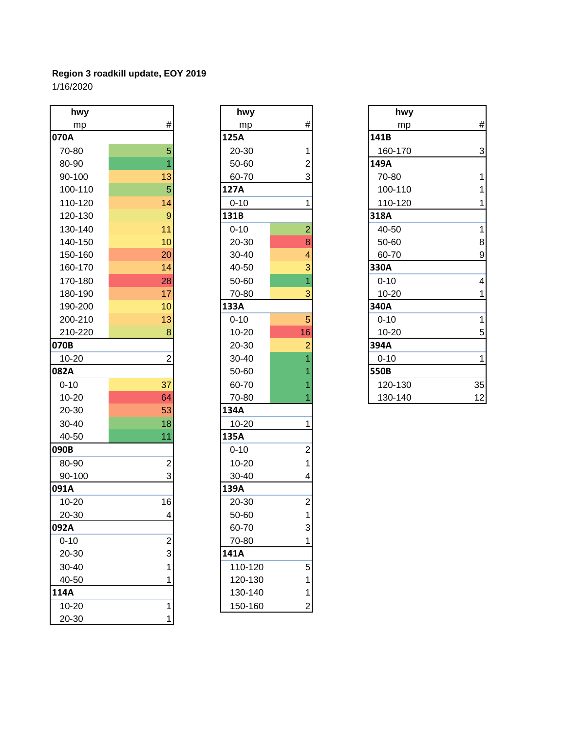| hwy       |                         | hwy       |                | hwy       |
|-----------|-------------------------|-----------|----------------|-----------|
| mp        | $\#$                    | mp        | $\#$           | mp        |
| 070A      |                         | 125A      |                | 141B      |
| 70-80     | 5                       | 20-30     | 1              | 160-170   |
| 80-90     | 1                       | 50-60     | $\overline{2}$ | 149A      |
| 90-100    | 13                      | 60-70     | 3              | 70-80     |
| 100-110   | 5                       | 127A      |                | 100-110   |
| 110-120   | 14                      | $0 - 10$  | 1              | 110-120   |
| 120-130   | $\mathbf{9}$            | 131B      |                | 318A      |
| 130-140   | 11                      | $0 - 10$  | $\overline{2}$ | 40-50     |
| 140-150   | 10                      | 20-30     | 8              | 50-60     |
| 150-160   | 20                      | 30-40     | $\overline{4}$ | 60-70     |
| 160-170   | 14                      | 40-50     | 3              | 330A      |
| 170-180   | 28                      | 50-60     | $\overline{1}$ | $0 - 10$  |
| 180-190   | 17                      | 70-80     | 3              | 10-20     |
| 190-200   | 10                      | 133A      |                | 340A      |
| 200-210   | 13                      | $0 - 10$  | 5              | $0 - 10$  |
| 210-220   | 8                       | $10 - 20$ | 16             | $10 - 20$ |
| 070B      |                         | 20-30     | $\overline{2}$ | 394A      |
| $10 - 20$ | $\overline{2}$          | 30-40     |                | $0 - 10$  |
| 082A      |                         | 50-60     |                | 550B      |
| $0 - 10$  | 37                      | 60-70     |                | 120-130   |
| $10 - 20$ | 64                      | 70-80     |                | 130-140   |
| 20-30     | 53                      | 134A      |                |           |
| 30-40     | 18                      | 10-20     | 1              |           |
| 40-50     | 11                      | 135A      |                |           |
| 090B      |                         | $0 - 10$  | $\overline{c}$ |           |
| 80-90     | $\overline{c}$          | $10 - 20$ | $\mathbf 1$    |           |
| 90-100    | 3                       | 30-40     | 4              |           |
| 091A      |                         | 139A      |                |           |
| $10 - 20$ | 16                      | 20-30     | $\overline{c}$ |           |
| 20-30     | $\overline{\mathbf{4}}$ | 50-60     | $\mathbf{1}$   |           |
| 092A      |                         | 60-70     | 3              |           |
| $0 - 10$  | 2                       | 70-80     | 1              |           |
| 20-30     | 3                       | 141A      |                |           |
| 30-40     | 1                       | 110-120   | 5              |           |
| 40-50     | 1                       | 120-130   | 1              |           |
| 114A      |                         | 130-140   | 1              |           |
| 10-20     | 1                       | 150-160   | 2              |           |
| 20-30     | 1                       |           |                |           |

| hwy      |                         |
|----------|-------------------------|
| mp       | #                       |
| 125A     |                         |
| 20-30    | 1                       |
| 50-60    |                         |
| 60-70    | $\frac{2}{3}$           |
| 127A     |                         |
| 0-10     | 1                       |
| 131B     |                         |
| $0 - 10$ | $\overline{c}$          |
| 20-30    | 8                       |
| 30-40    |                         |
| 40-50    | $\frac{4}{3}$           |
| 50-60    |                         |
| 70-80    | 3                       |
| 133A     |                         |
| $0 - 10$ | 5                       |
| 10-20    | 16                      |
| 20-30    | $\overline{\mathbf{c}}$ |
| 30-40    | $\overline{\mathbf{1}}$ |
| 50-60    | $\overline{\mathbf{1}}$ |
| 60-70    | 1                       |
| 70-80    | 1                       |
| 134A     |                         |
| 10-20    | 1                       |
| 135A     |                         |
| $0 - 10$ | $\overline{c}$          |
| 10-20    | 1                       |
| 30-40    | 4                       |
| 139A     |                         |
| 20-30    | $\overline{c}$          |
| 50-60    | 1                       |
| 60-70    | 3                       |
| 70-80    | 1                       |
| 141A     |                         |
| 110-120  | 5                       |
| 120-130  | $\mathbf 1$             |
| 130-140  | $\overline{\mathbf{1}}$ |
| 150-160  |                         |

| hwy      |                  | hwy      |                | hwy       |                |
|----------|------------------|----------|----------------|-----------|----------------|
| mp       | #                | mp       | $\#$           | mp        | $\#$           |
| 70A      |                  | 125A     |                | 141B      |                |
| 70-80    | 5                | 20-30    |                | 160-170   | $\mathbf{3}$   |
| 80-90    |                  | 50-60    | 2              | 149A      |                |
| 90-100   | 13               | 60-70    | 3              | 70-80     |                |
| 100-110  | 5                | 127A     |                | 100-110   |                |
| 110-120  | 14               | $0 - 10$ |                | 110-120   |                |
| 120-130  | $\boldsymbol{9}$ | 131B     |                | 318A      |                |
| 130-140  | 11               | $0 - 10$ | $\overline{2}$ | 40-50     |                |
| 140-150  | 10               | 20-30    | 8              | 50-60     | 8              |
| 150-160  | 20               | 30-40    | 4              | 60-70     | $\mathsf g$    |
| 160-170  | 14               | 40-50    | 3              | 330A      |                |
| 170-180  | 28               | 50-60    |                | $0 - 10$  | $\overline{4}$ |
| 180-190  | 17               | 70-80    | 3              | $10 - 20$ |                |
| 190-200  | 10               | 133A     |                | 340A      |                |
| 200-210  | 13               | $0 - 10$ | 5              | $0 - 10$  |                |
| 210-220  | 8                | 10-20    | 16             | $10 - 20$ | 5              |
| 70B      |                  | 20-30    | 2              | 394A      |                |
| 10-20    | 2                | 30-40    |                | $0 - 10$  | 1              |
| 32A      |                  | 50-60    |                | 550B      |                |
| $0 - 10$ | 37               | 60-70    |                | 120-130   | 35             |
| 10-20    | 64               | 70-80    |                | 130-140   | 12             |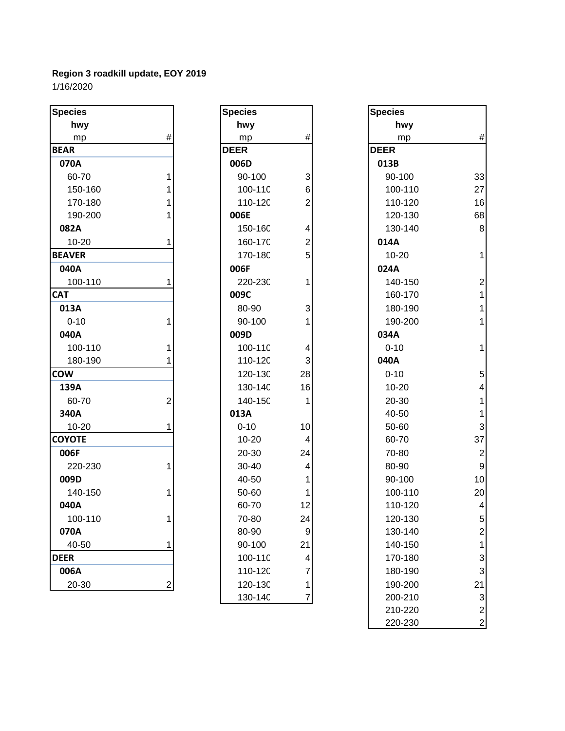| <b>Species</b> |                  | <b>Species</b> |                         | <b>Species</b> |                |
|----------------|------------------|----------------|-------------------------|----------------|----------------|
| hwy            |                  | hwy            |                         | hwy            |                |
| mp             | $\#$             | mp             | $\#$                    | mp             | #              |
| <b>BEAR</b>    |                  | <b>DEER</b>    |                         | <b>DEER</b>    |                |
| 070A           |                  | 006D           |                         | 013B           |                |
| 60-70          | 1                | 90-100         | 3                       | 90-100         | 33             |
| 150-160        |                  | 100-11C        | 6                       | 100-110        | 27             |
| 170-180        |                  | 110-12C        | $\overline{2}$          | 110-120        | 16             |
| 190-200        |                  | 006E           |                         | 120-130        | 68             |
| 082A           |                  | 150-16C        | 4                       | 130-140        | 8              |
| $10 - 20$      | 1                | 160-17C        | $\overline{\mathbf{c}}$ | 014A           |                |
| <b>BEAVER</b>  |                  | 170-18C        | 5                       | $10 - 20$      | 1              |
| 040A           |                  | 006F           |                         | 024A           |                |
| 100-110        |                  | 220-230        | 1                       | 140-150        | $\overline{2}$ |
| <b>CAT</b>     |                  | 009C           |                         | 160-170        | 1              |
| 013A           |                  | 80-90          | 3                       | 180-190        | 1              |
| $0 - 10$       | 1                | 90-100         |                         | 190-200        | 1              |
| 040A           |                  | 009D           |                         | 034A           |                |
| 100-110        |                  | 100-11C        | 4                       | $0 - 10$       | 1              |
| 180-190        |                  | 110-12C        | 3                       | 040A           |                |
| <b>COW</b>     |                  | 120-130        | 28                      | $0 - 10$       | 5              |
| 139A           |                  | 130-14C        | 16                      | $10 - 20$      | 4              |
| 60-70          | 2                | 140-15C        | 1                       | 20-30          | 1              |
| 340A           |                  | 013A           |                         | 40-50          | 1              |
| $10 - 20$      |                  | $0 - 10$       | 10                      | 50-60          | 3              |
| <b>COYOTE</b>  |                  | $10 - 20$      | 4                       | 60-70          | 37             |
| 006F           |                  | 20-30          | 24                      | 70-80          | $\overline{2}$ |
| 220-230        | 1                | 30-40          | 4                       | 80-90          | 9              |
| 009D           |                  | 40-50          | 1                       | 90-100         | 10             |
| 140-150        |                  | 50-60          | 1                       | 100-110        | 20             |
| 040A           |                  | 60-70          | 12                      | 110-120        | 4              |
| 100-110        | 1                | 70-80          | 24                      | 120-130        | $\sqrt{2}$     |
| 070A           |                  | 80-90          | $\boldsymbol{9}$        | 130-140        | 2              |
| 40-50          | 1                | 90-100         | 21                      | 140-150        | 1              |
| <b>DEER</b>    |                  | 100-11C        | 4                       | 170-180        | 3              |
| 006A           |                  | 110-12C        | 7                       | 180-190        | 3              |
| 20-30          | $\boldsymbol{2}$ | 120-13C        | 1                       | 190-200        | 21             |
|                |                  |                |                         |                |                |

| Species     |                                                             |
|-------------|-------------------------------------------------------------|
| hwy         |                                                             |
| mp          | #                                                           |
| <b>DEER</b> |                                                             |
| 006D        |                                                             |
| 90-100      |                                                             |
| 100-110     |                                                             |
| 110-120     | 362425                                                      |
| 006E        |                                                             |
| 150-16C     |                                                             |
| 160-17C     |                                                             |
| 170-18C     |                                                             |
| 006F        |                                                             |
| 220-230     | $\overline{\mathbf{1}}$                                     |
| 009C        |                                                             |
| 80-90       | 3<br>1                                                      |
| 90-100      |                                                             |
| 009D        |                                                             |
| 100-110     | $\overline{\mathcal{L}}$                                    |
| 110-120     | 3                                                           |
| 120-130     | 28                                                          |
| 130-14C     | 16                                                          |
| 140-15C     | 1                                                           |
| 013A        |                                                             |
| $0 - 10$    | 10                                                          |
| 10-20       | 4                                                           |
| 20-30       | 24                                                          |
| 30-40       | $\overline{\mathcal{L}}$                                    |
| 40-50       | 1                                                           |
| 50-60       | 1                                                           |
| 60-70       | 12                                                          |
| 70-80       | 24                                                          |
| 80-90       |                                                             |
| 90-100      |                                                             |
| 100-110     |                                                             |
| 110-120     | $\begin{bmatrix} 9 \\ 21 \\ 4 \\ 7 \\ 1 \\ 7 \end{bmatrix}$ |
| 120-130     |                                                             |
| 130-140     |                                                             |

| cies       |                         | <b>Species</b> |    | <b>Species</b> |                         |
|------------|-------------------------|----------------|----|----------------|-------------------------|
| hwy        |                         | hwy            |    | hwy            |                         |
| mp         | #                       | mp             | #  | mp             | $\#$                    |
| ۱R.        |                         | <b>DEER</b>    |    | <b>DEER</b>    |                         |
| 70A        |                         | 006D           |    | 013B           |                         |
| 60-70      |                         | 90-100         | 3  | 90-100         | 33                      |
| 150-160    |                         | 100-11C        | 6  | 100-110        | 27                      |
| 170-180    |                         | 110-12C        | 2  | 110-120        | 16                      |
| 190-200    |                         | 006E           |    | 120-130        | 68                      |
| 32A        |                         | 150-16C        | 4  | 130-140        | $\bf 8$                 |
| 10-20      |                         | 160-17C        | 2  | 014A           |                         |
| <b>VER</b> |                         | 170-18C        | 5  | $10 - 20$      | $\mathbf{1}$            |
| 10A        |                         | 006F           |    | 024A           |                         |
| 100-110    |                         | 220-230        |    | 140-150        | $\mathbf{2}$            |
|            |                         | 009C           |    | 160-170        | $\mathbf{1}$            |
| L3A        |                         | 80-90          | 3  | 180-190        | $\mathbf{1}$            |
| $0 - 10$   |                         | 90-100         |    | 190-200        | $\mathbf{1}$            |
| 10A        |                         | 009D           |    | 034A           |                         |
| 100-110    |                         | 100-11C        | 4  | $0 - 10$       | $\mathbf{1}$            |
| 180-190    |                         | 110-120        | 3  | 040A           |                         |
| N          |                         | 120-13C        | 28 | $0 - 10$       | $\overline{5}$          |
| 39A        |                         | 130-14C        | 16 | $10 - 20$      | $\overline{4}$          |
| 60-70      | $\overline{c}$          | 140-15C        |    | 20-30          | $\mathbf{1}$            |
| 10A        |                         | 013A           |    | 40-50          | $\mathbf{1}$            |
| 10-20      |                         | $0 - 10$       | 10 | 50-60          | $\mathbf{3}$            |
| <b>OTE</b> |                         | 10-20          | 4  | 60-70          | 37                      |
| )6F        |                         | 20-30          | 24 | 70-80          | $\mathbf{2}$            |
| 220-230    |                         | 30-40          | 4  | 80-90          | $9\,$                   |
| )9D        |                         | 40-50          |    | 90-100         | 10                      |
| 140-150    |                         | 50-60          |    | 100-110        | 20                      |
| 10A        |                         | 60-70          | 12 | 110-120        | $\overline{\mathbf{4}}$ |
| 100-110    |                         | 70-80          | 24 | 120-130        | $5\,$                   |
| 70A        |                         | 80-90          | 9  | 130-140        | $\overline{\mathbf{c}}$ |
| 40-50      | 1                       | 90-100         | 21 | 140-150        | $\mathbf 1$             |
| R          |                         | 100-11C        | 4  | 170-180        | $\mathbf{3}$            |
| 06A        |                         | 110-12C        | 7  | 180-190        | $\mathbf{3}$            |
| 20-30      | $\overline{\mathbf{c}}$ | 120-13C        | 1  | 190-200        | 21                      |
|            |                         | 130-14C        | 7  | 200-210        | $\mathbf{3}$            |
|            |                         |                |    | 210-220        | $\mathbf{2}$            |
|            |                         |                |    | 220-230        | $\overline{c}$          |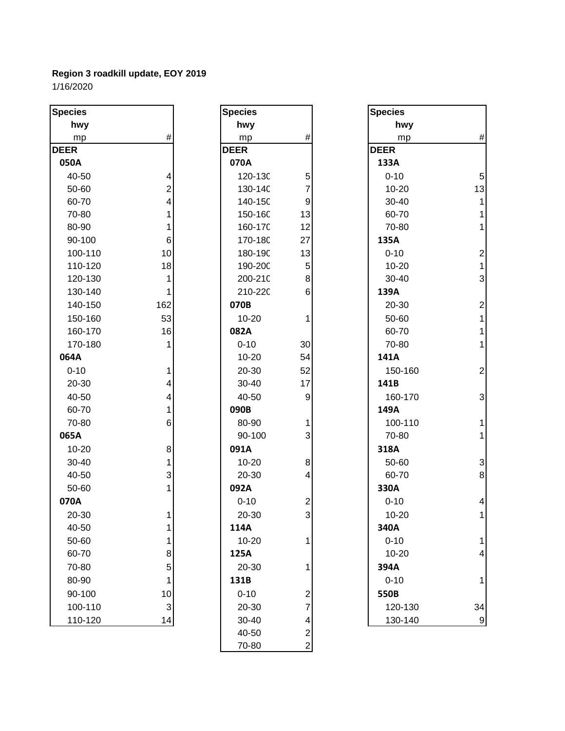| <b>Species</b> |                          | <b>Species</b> |                         | <b>Species</b> |                          |
|----------------|--------------------------|----------------|-------------------------|----------------|--------------------------|
| hwy            |                          | hwy            |                         | hwy            |                          |
| mp             | $\#$                     | mp             | $\#$                    | mp             | #                        |
| <b>DEER</b>    |                          | <b>DEER</b>    |                         | <b>DEER</b>    |                          |
| 050A           |                          | 070A           |                         | 133A           |                          |
| 40-50          | 4                        | 120-130        | 5                       | $0 - 10$       | 5                        |
| 50-60          | $\overline{c}$           | 130-14C        | 7                       | $10 - 20$      | 13                       |
| 60-70          | 4                        | 140-15C        | $\boldsymbol{9}$        | 30-40          | 1                        |
| 70-80          | 1                        | 150-16C        | 13                      | 60-70          | $\mathbf{1}$             |
| 80-90          | 1                        | 160-17C        | 12                      | 70-80          | $\mathbf{1}$             |
| 90-100         | 6                        | 170-18C        | 27                      | 135A           |                          |
| 100-110        | 10                       | 180-19C        | 13                      | $0 - 10$       | $\overline{\mathbf{c}}$  |
| 110-120        | 18                       | 190-20C        | 5                       | $10 - 20$      | $\mathbf{1}$             |
| 120-130        | $\mathbf{1}$             | 200-21C        | $\bf 8$                 | 30-40          | 3                        |
| 130-140        | $\mathbf{1}$             | 210-220        | 6                       | 139A           |                          |
| 140-150        | 162                      | 070B           |                         | 20-30          | $\overline{c}$           |
| 150-160        | 53                       | $10 - 20$      | 1                       | 50-60          | $\overline{1}$           |
| 160-170        | 16                       | 082A           |                         | 60-70          | $\mathbf{1}$             |
| 170-180        | 1                        | $0 - 10$       | 30                      | 70-80          | $\mathbf{1}$             |
| 064A           |                          | $10 - 20$      | 54                      | 141A           |                          |
| $0 - 10$       | 1                        | 20-30          | 52                      | 150-160        | $\overline{2}$           |
| 20-30          | 4                        | 30-40          | 17                      | 141B           |                          |
| 40-50          | $\overline{\mathcal{A}}$ | 40-50          | $\boldsymbol{9}$        | 160-170        | 3                        |
| 60-70          | 1                        | 090B           |                         | 149A           |                          |
| 70-80          | 6                        | 80-90          | 1                       | 100-110        | 1                        |
| 065A           |                          | 90-100         | 3                       | 70-80          | 1                        |
| 10-20          | 8                        | 091A           |                         | 318A           |                          |
| 30-40          | 1                        | $10 - 20$      | 8                       | 50-60          | 3                        |
| 40-50          | 3                        | 20-30          | 4                       | 60-70          | 8                        |
| 50-60          | $\mathbf{1}$             | 092A           |                         | 330A           |                          |
| 070A           |                          | $0 - 10$       | $\overline{\mathbf{c}}$ | $0 - 10$       | $\overline{\mathcal{A}}$ |
| 20-30          | 11                       | $20 - 30$      | $\overline{3}$          | $10 - 20$      | 1                        |
| 40-50          | 1                        | 114A           |                         | 340A           |                          |
| 50-60          | 1                        | $10 - 20$      | 1                       | $0 - 10$       | 1                        |
| 60-70          | 8                        | 125A           |                         | $10 - 20$      | 4                        |
| 70-80          | $\overline{5}$           | 20-30          | 1                       | 394A           |                          |
| 80-90          | 1                        | 131B           |                         | $0 - 10$       | 1                        |
| 90-100         | 10                       | $0 - 10$       | 2                       | 550B           |                          |
| 100-110        | $\mathsf 3$              | 20-30          | 7                       | 120-130        | 34                       |
| 110-120        | 14                       | 30-40          | 4                       | 130-140        | 9                        |
|                |                          | 40-50          | $\boldsymbol{2}$        |                |                          |
|                |                          | 70-80          | $\overline{c}$          |                |                          |
|                |                          |                |                         |                |                          |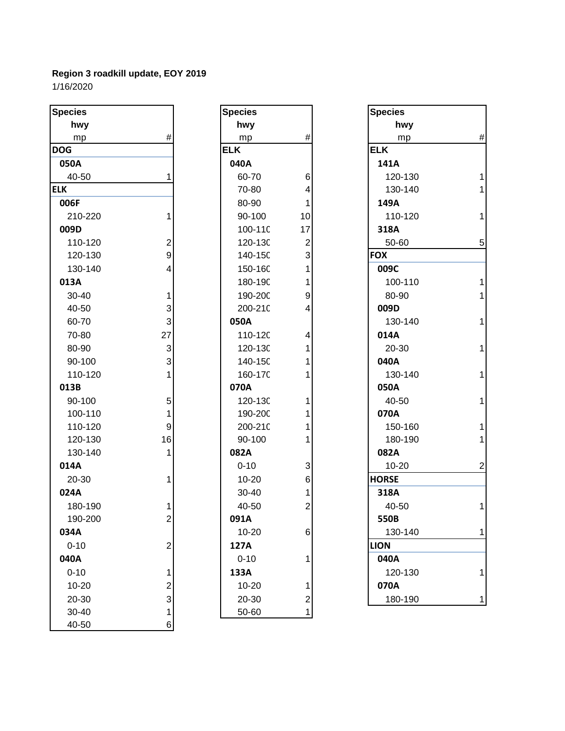| <b>Species</b> |                         | <b>Species</b> |                         | <b>Species</b> |                |
|----------------|-------------------------|----------------|-------------------------|----------------|----------------|
| hwy            |                         | hwy            |                         | hwy            |                |
| mp             | #                       | mp             | $^{\#}$                 | mp             | #              |
| <b>DOG</b>     |                         | <b>ELK</b>     |                         | <b>ELK</b>     |                |
| 050A           |                         | 040A           |                         | 141A           |                |
| 40-50          |                         | 60-70          | 6                       | 120-130        |                |
| <b>ELK</b>     |                         | 70-80          | 4                       | 130-140        | 1              |
| 006F           |                         | 80-90          | 1                       | 149A           |                |
| 210-220        | 1                       | 90-100         | 10                      | 110-120        |                |
| 009D           |                         | 100-110        | 17                      | 318A           |                |
| 110-120        | 2                       | 120-130        | $\overline{c}$          | 50-60          | 5              |
| 120-130        | 9                       | 140-15C        | 3                       | <b>FOX</b>     |                |
| 130-140        | 4                       | 150-16C        | 1                       | 009C           |                |
| 013A           |                         | 180-190        | 1                       | 100-110        |                |
| 30-40          | 1                       | 190-200        | 9                       | 80-90          | 1              |
| 40-50          | 3                       | 200-210        | 4                       | 009D           |                |
| 60-70          | 3                       | 050A           |                         | 130-140        | 1              |
| 70-80          | 27                      | 110-120        | 4                       | 014A           |                |
| 80-90          | $\mathbf{3}$            | 120-130        | 1                       | 20-30          | 1              |
| 90-100         | 3                       | 140-15C        | 1                       | 040A           |                |
| 110-120        | 1                       | 160-170        |                         | 130-140        | 1              |
| 013B           |                         | 070A           |                         | 050A           |                |
| 90-100         | 5                       | 120-130        | 1                       | 40-50          | 1              |
| 100-110        | 1                       | 190-200        | 1                       | 070A           |                |
| 110-120        | 9                       | 200-210        | 1                       | 150-160        | 1              |
| 120-130        | 16                      | 90-100         | 1                       | 180-190        | 1              |
| 130-140        | 1                       | 082A           |                         | 082A           |                |
| 014A           |                         | $0 - 10$       | 3                       | 10-20          | $\overline{c}$ |
| 20-30          |                         | $10 - 20$      | 6                       | <b>HORSE</b>   |                |
| 024A           |                         | 30-40          | 1                       | 318A           |                |
| 180-190        |                         | 40-50          | $\overline{c}$          | 40-50          | 1              |
| 190-200        | 2                       | 091A           |                         | 550B           |                |
| 034A           |                         | 10-20          | 6                       | 130-140        | 1              |
| $0 - 10$       | 2                       | 127A           |                         | <b>LION</b>    |                |
| 040A           |                         | $0 - 10$       | 1                       | 040A           |                |
| $0 - 10$       | 1                       | 133A           |                         | 120-130        | 1              |
| 10-20          | $\overline{\mathbf{c}}$ | $10 - 20$      | 1                       | 070A           |                |
| 20-30          | 3                       | 20-30          | $\overline{\mathbf{c}}$ | 180-190        | 1              |
| 30-40          | 1                       | 50-60          | $\mathbf{1}$            |                |                |
| 40-50          | 6                       |                |                         |                |                |

| Species          |                                                 |
|------------------|-------------------------------------------------|
| hwy              |                                                 |
| mp               | #                                               |
| ELK              |                                                 |
| 040A             |                                                 |
| 60-70            |                                                 |
| 70-80            | 6<br>4                                          |
| 80-90            | 1                                               |
| 90-100           | 10                                              |
| 100-110          | 17                                              |
| 120-130          | $\begin{array}{c} 2 \\ 3 \\ 1 \end{array}$      |
| 140-150          |                                                 |
| 150-160          |                                                 |
| 180-190          |                                                 |
| 190-200          | 9<br>4                                          |
| 200-210          |                                                 |
| 050A             |                                                 |
| 110-120          | 4                                               |
| 120-130          | 1                                               |
| 140-15C          | $\overline{\mathbf{1}}$                         |
| 160-17C          | $\overline{\mathbf{1}}$                         |
| 070A             |                                                 |
| 120-130          | 1                                               |
| 190-200          | 1                                               |
| 200-210          | 1                                               |
| 90-100           | $\overline{\mathbf{1}}$                         |
| 082A             |                                                 |
| $0 - 10$         |                                                 |
| 10-20            | $\begin{array}{c} 3 \\ 6 \\ 1 \\ 2 \end{array}$ |
| 30-40            |                                                 |
| 40-50            |                                                 |
| $1\text{A}$<br>9 |                                                 |
| 10-20            | F                                               |
| 127A             |                                                 |
| $0 - 10$         |                                                 |
| 133A             |                                                 |
| 10-20            |                                                 |
| 20-30            |                                                 |
| 50-60            |                                                 |

| pecies   |                         | <b>Species</b> |                         | <b>Species</b> |              |
|----------|-------------------------|----------------|-------------------------|----------------|--------------|
| hwy      |                         | hwy            |                         | hwy            |              |
| mp       | #                       | mp             | $\#$                    | mp             | $\#$         |
| ОG       |                         | <b>ELK</b>     |                         | <b>ELK</b>     |              |
| 050A     |                         | 040A           |                         | 141A           |              |
| 40-50    |                         | 60-70          | 6                       | 120-130        | $\mathbf{1}$ |
| .K       |                         | 70-80          | 4                       | 130-140        | $\mathbf{1}$ |
| 006F     |                         | 80-90          | 1                       | 149A           |              |
| 210-220  | 1                       | 90-100         | 10                      | 110-120        | $\mathbf{1}$ |
| 009D     |                         | 100-11C        | 17                      | 318A           |              |
| 110-120  | $\overline{\mathbf{c}}$ | 120-13C        | $\overline{2}$          | 50-60          | $5\,$        |
| 120-130  | 9                       | 140-15C        | 3                       | <b>FOX</b>     |              |
| 130-140  | 4                       | 150-16C        |                         | 009C           |              |
| 013A     |                         | 180-19C        |                         | 100-110        | $\mathbf{1}$ |
| 30-40    | 1                       | 190-200        | 9                       | 80-90          | $\mathbf{1}$ |
| 40-50    | 3                       | 200-21C        | 4                       | 009D           |              |
| 60-70    | 3                       | 050A           |                         | 130-140        | $\mathbf{1}$ |
| 70-80    | 27                      | 110-120        | 4                       | 014A           |              |
| 80-90    | 3                       | 120-13C        |                         | 20-30          | $\mathbf{1}$ |
| 90-100   | 3                       | 140-15C        |                         | 040A           |              |
| 110-120  | 1                       | 160-17C        |                         | 130-140        | $\mathbf{1}$ |
| 013B     |                         | 070A           |                         | 050A           |              |
| 90-100   | 5                       | 120-13C        | 1                       | 40-50          | $\mathbf{1}$ |
| 100-110  | 1                       | 190-20C        |                         | 070A           |              |
| 110-120  | 9                       | 200-210        |                         | 150-160        | $\mathbf{1}$ |
| 120-130  | 16                      | 90-100         |                         | 180-190        | $\mathbf{1}$ |
| 130-140  |                         | 082A           |                         | 082A           |              |
| 014A     |                         | $0 - 10$       | 3                       | 10-20          | $\mathbf{2}$ |
| 20-30    |                         | $10 - 20$      | 6                       | <b>HORSE</b>   |              |
| 024A     |                         | 30-40          |                         | 318A           |              |
| 180-190  |                         | 40-50          | $\overline{\mathbf{c}}$ | 40-50          | $\mathbf{1}$ |
| 190-200  | 2                       | 091A           |                         | 550B           |              |
| 034A     |                         | 10-20          | $\,6$                   | 130-140        | $\mathbf{1}$ |
| $0 - 10$ | $\overline{c}$          | 127A           |                         | <b>LION</b>    |              |
| 040A     |                         | $0 - 10$       |                         | 040A           |              |
| $0 - 10$ | 1                       | 133A           |                         | 120-130        | $\mathbf 1$  |
| 10-20    | 2                       | $10 - 20$      | 1                       | 070A           |              |
| 20-30    | 3                       | 20-30          | $\overline{\mathbf{c}}$ | 180-190        | $\mathbf{1}$ |
|          |                         |                |                         |                |              |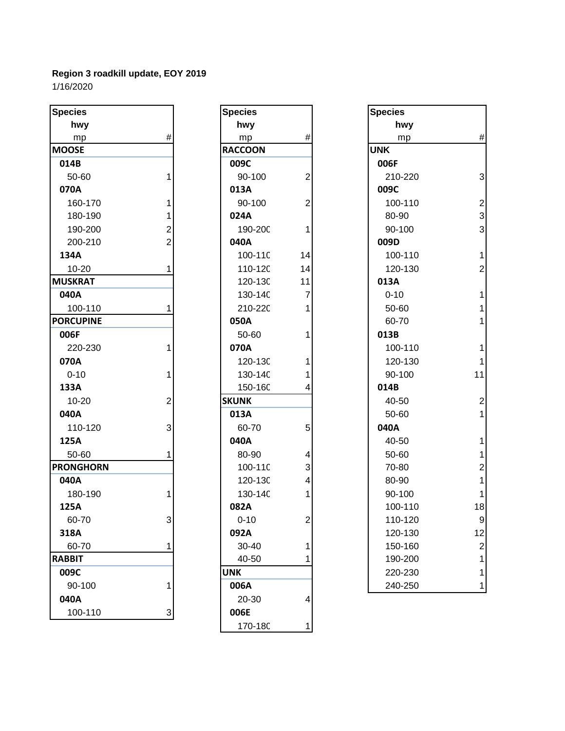| hwy<br>hwy<br>hwy<br>$\#$<br>$\#$<br>mp<br>mp<br>mp<br><b>UNK</b><br><b>MOOSE</b><br><b>RACCOON</b> | #<br>3         |
|-----------------------------------------------------------------------------------------------------|----------------|
|                                                                                                     |                |
|                                                                                                     |                |
|                                                                                                     |                |
| 009C<br>014B<br>006F                                                                                |                |
| 50-60<br>90-100<br>$\overline{c}$<br>210-220<br>1                                                   |                |
| 070A<br>009C<br>013A                                                                                |                |
| $\overline{c}$<br>160-170<br>90-100<br>100-110                                                      | $\overline{c}$ |
| 180-190<br>024A<br>80-90                                                                            | 3              |
| 190-200<br>90-100<br>2<br>190-20C<br>1                                                              | 3              |
| 200-210<br>040A<br>009D                                                                             |                |
| 100-11C<br>14<br>100-110<br>134A                                                                    | 1              |
| $10 - 20$<br>110-120<br>14<br>120-130<br>1                                                          | $\overline{2}$ |
| <b>MUSKRAT</b><br>120-13C<br>11<br>013A                                                             |                |
| 040A<br>$\overline{7}$<br>130-14C<br>$0 - 10$                                                       |                |
| 100-110<br>210-220<br>50-60                                                                         |                |
| <b>PORCUPINE</b><br>050A<br>60-70                                                                   | 1              |
| 50-60<br>006F<br>013B<br>1                                                                          |                |
| 220-230<br>070A<br>100-110                                                                          |                |
| 070A<br>120-13C<br>120-130<br>1                                                                     | 1              |
| $0 - 10$<br>90-100<br>130-14C                                                                       | 11             |
| 133A<br>150-16C<br>014B<br>4                                                                        |                |
| <b>SKUNK</b><br>$10 - 20$<br>$\overline{2}$<br>40-50                                                | $\overline{c}$ |
| 040A<br>013A<br>50-60                                                                               | 1              |
| 5<br>040A<br>110-120<br>3<br>60-70                                                                  |                |
| 040A<br>125A<br>40-50                                                                               |                |
| 50-60<br>80-90<br>50-60<br>4                                                                        | 1              |
| <b>PRONGHORN</b><br>3<br>100-11C<br>70-80                                                           | $\overline{c}$ |
| 040A<br>120-13C<br>80-90<br>4                                                                       |                |
| 130-14C<br>180-190<br>90-100<br>1<br>1                                                              | 1              |
| 125A<br>082A<br>100-110                                                                             | 18             |
| 110-120<br>$0 - 10$<br>60-70<br>3<br>2                                                              | 9              |
| 092A<br>318A<br>120-130                                                                             | 12             |
| 60-70<br>30-40<br>150-160<br>1                                                                      | 2              |
| 40-50<br><b>RABBIT</b><br>190-200                                                                   |                |
| 009C<br><b>UNK</b><br>220-230                                                                       |                |
| 90-100<br>006A<br>240-250                                                                           | 1              |
| 040A<br>20-30<br>4                                                                                  |                |
| 100-110<br>006E<br>3                                                                                |                |

| <b>Species</b> |                |
|----------------|----------------|
| hwy            |                |
| mp             | #              |
| <b>RACCOON</b> |                |
| 009C           |                |
| 90-100         | $\overline{c}$ |
| 013A           |                |
| 90-100         | $\overline{2}$ |
| 024A           |                |
| 190-200        | 1              |
| 040A           |                |
| 100-110        | 14             |
| 110-120        | 14             |
| 120-130        | 11             |
| 130-14C        | 7              |
| 210-220        | 1              |
| 050A           |                |
| 50-60          | 1              |
| 070A           |                |
| 120-130        | 1              |
| 130-14C        | 1              |
| 150-160        | 4              |
| <b>SKUNK</b>   |                |
| 013A           |                |
| 60-70          | 5              |
| 040A           |                |
| 80-90          | 4              |
| 100-110        | 3              |
| 120-130        | 4              |
| 130-14C        | 1              |
| 082A           |                |
| $0 - 10$       | 2              |
| 092A           |                |
| 30-40          | 1              |
| 40-50          | 1              |
| <b>UNK</b>     |                |
| 006A           |                |
| 20-30          | 4              |
| 006E           |                |
| 170-180        | 1              |

| cies          |                | <b>Species</b> |    | <b>Species</b> |                |
|---------------|----------------|----------------|----|----------------|----------------|
| hwy           |                | hwy            |    | hwy            |                |
| mp            | $\#$           | mp             | #  | mp             | $\#$           |
| <b>OSE</b>    |                | <b>RACCOON</b> |    | <b>UNK</b>     |                |
| L4B           |                | 009C           |    | 006F           |                |
| 50-60         | 1              | 90-100         | 2  | 210-220        | $\mathbf{3}$   |
| 70A           |                | 013A           |    | 009C           |                |
| 160-170       |                | 90-100         | 2  | 100-110        | $\overline{2}$ |
| 180-190       |                | 024A           |    | 80-90          | $\mathbf{3}$   |
| 190-200       | 2              | 190-20C        |    | 90-100         | $\mathbf{3}$   |
| 200-210       | $\overline{2}$ | 040A           |    | 009D           |                |
| 34A           |                | 100-11C        | 14 | 100-110        | $\mathbf{1}$   |
| 10-20         |                | 110-120        | 14 | 120-130        | $\mathbf{2}$   |
| <b>SKRAT</b>  |                | 120-13C        | 11 | 013A           |                |
| 10A           |                | 130-14C        | 7  | $0 - 10$       | $\mathbf{1}$   |
| 100-110       |                | 210-220        |    | 50-60          | $\mathbf{1}$   |
| <b>CUPINE</b> |                | 050A           |    | 60-70          | $\mathbf{1}$   |
| )6F           |                | 50-60          |    | 013B           |                |
| 220-230       |                | 070A           |    | 100-110        | $\mathbf{1}$   |
| 70A           |                | 120-13C        |    | 120-130        | $\mathbf{1}$   |
| $0 - 10$      |                | 130-14C        |    | 90-100         | 11             |
| 33A           |                | 150-16C        |    | 014B           |                |
| 10-20         | $\overline{c}$ | <b>SKUNK</b>   |    | 40-50          | $\overline{2}$ |
| 404           |                | 013A           |    | 50-60          | $\mathbf{1}$   |
| 110-120       | 3              | 60-70          | 5  | 040A           |                |
| 25A           |                | 040A           |    | 40-50          | $\mathbf{1}$   |
| 50-60         |                | 80-90          |    | 50-60          | $\mathbf 1$    |
| <b>NGHORN</b> |                | 100-11C        | 3  | 70-80          | $\mathbf{2}$   |
| 10A           |                | 120-13C        | 4  | 80-90          | $\mathbf{1}$   |
| 180-190       |                | 130-14C        |    | 90-100         | $\mathbf{1}$   |
| 25A           |                | 082A           |    | 100-110        | 18             |
| 60-70         | 3              | $0 - 10$       | 2  | 110-120        | $9\,$          |
| L8A           |                | 092A           |    | 120-130        | 12             |
| 60-70         |                | 30-40          |    | 150-160        | $\mathbf{2}$   |
| <b>BIT</b>    |                | 40-50          |    | 190-200        | 1              |
| )9C           |                | <b>UNK</b>     |    | 220-230        | 1              |
| 90-100        | 1              | 006A           |    | 240-250        | 1              |
|               |                |                |    |                |                |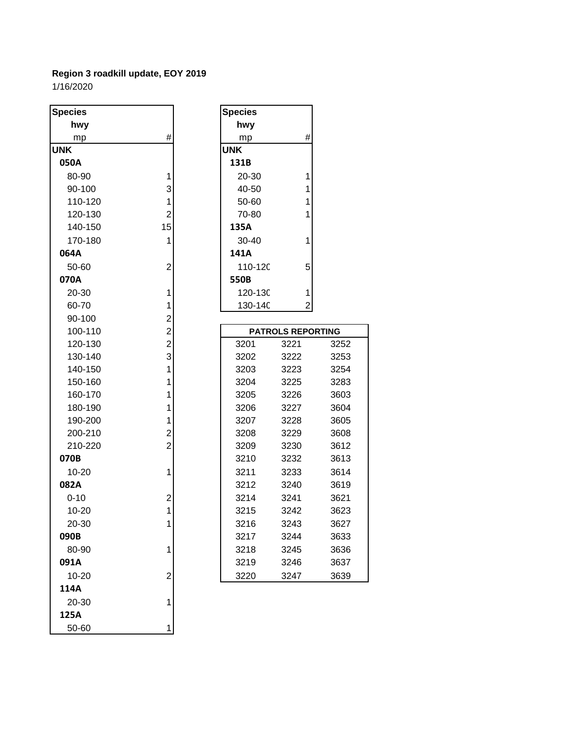| <b>Species</b> |                         | <b>Species</b>            |
|----------------|-------------------------|---------------------------|
| hwy            |                         | hwy                       |
| mp             | #                       | #<br>mp                   |
| <b>UNK</b>     |                         | <b>UNK</b>                |
| 050A           |                         | 131B                      |
| 80-90          | 1                       | 20-30<br>1                |
| 90-100         | 3                       | $\mathbf{1}$<br>40-50     |
| 110-120        | 1                       | $\overline{1}$<br>50-60   |
| 120-130        | $\overline{2}$          | 70-80<br>1                |
| 140-150        | 15                      | 135A                      |
| 170-180        | 1                       | 30-40<br>1                |
| 064A           |                         | 141A                      |
| 50-60          | $\overline{c}$          | 110-12C<br>5              |
| 070A           |                         | 550B                      |
| 20-30          | 1                       | 120-13C<br>1              |
| 60-70          | 1                       | 130-14C<br>$\overline{c}$ |
| 90-100         | $\overline{\mathbf{c}}$ |                           |
| 100-110        | $\overline{c}$          | <b>PATROLS REP</b>        |
| 120-130        | $\overline{2}$          | 3201<br>3221              |
| 130-140        | 3                       | 3202<br>3222              |
| 140-150        | 1                       | 3203<br>3223              |
| 150-160        | 1                       | 3204<br>3225              |
| 160-170        | 1                       | 3205<br>3226              |
| 180-190        | 1                       | 3206<br>3227              |
| 190-200        | 1                       | 3207<br>3228              |
| 200-210        | $\overline{c}$          | 3208<br>3229              |
| 210-220        | $\overline{2}$          | 3209<br>3230              |
| 070B           |                         | 3210<br>3232              |
| 10-20          | 1                       | 3211<br>3233              |
| 082A           |                         | 3212<br>3240              |
| $0 - 10$       | 2                       | 3214<br>3241              |
| 10-20          | 1                       | 3215<br>3242              |
| 20-30          | 1                       | 3216<br>3243              |
| 090B           |                         | 3217<br>3244              |
| 80-90          | 1                       | 3218<br>3245              |
| 091A           |                         | 3219<br>3246              |
| 10-20          | 2                       | 3220<br>3247              |
| 114A           |                         |                           |
| 20-30          | 1                       |                           |
| 125A           |                         |                           |
| 50-60          | 1                       |                           |

| <b>Species</b> |                          |    |
|----------------|--------------------------|----|
| hwy            |                          |    |
| mp             | #                        |    |
| <b>UNK</b>     |                          |    |
| 131B           |                          |    |
| 20-30          | 1                        |    |
| 40-50          | 1                        |    |
| 50-60          | 1                        |    |
| 70-80          | 1                        |    |
| 135A           |                          |    |
| 30-40          | 1                        |    |
| 141A           |                          |    |
| 110-120        | 5                        |    |
| 550B           |                          |    |
| 120-130        | 1                        |    |
| 130-140        | $\overline{2}$           |    |
|                |                          |    |
|                | <b>PATROLS REPORTING</b> |    |
| 3201           | 3221                     | 32 |
| <b>0000</b>    | 000C                     |    |

| $\overline{c}$<br>120-130<br>3201<br>3221<br>3252<br>3<br>130-140<br>3202<br>3222<br>3253<br>140-150<br>3203<br>3223<br>3254<br>1<br>150-160<br>1<br>3204<br>3283<br>3225<br>160-170<br>1<br>3205<br>3226<br>3603<br>180-190<br>3206<br>3227<br>3604<br>1<br>190-200<br>3207<br>3228<br>3605<br>1<br>2<br>200-210<br>3608<br>3208<br>3229<br>$\overline{2}$<br>210-220<br>3230<br>3612<br>3209<br>3613<br>070B<br>3210<br>3232<br>10-20<br>1<br>3233<br>3614<br>3211<br>3619<br>082A<br>3212<br>3240<br>2<br>$0 - 10$<br>3214<br>3241<br>3621<br>1<br>$10 - 20$<br>3215<br>3242<br>3623<br>20-30<br>1<br>3216<br>3243<br>3627<br>3633<br>3217<br>3244<br>090B<br>80-90<br>1<br>3218<br>3636<br>3245<br>3219<br>3246<br>3637<br>091A<br>2<br>3639<br>10-20<br>3220<br>3247 | 100-110 | ۷ | PAIRULO REPURTING |  |  |  |
|---------------------------------------------------------------------------------------------------------------------------------------------------------------------------------------------------------------------------------------------------------------------------------------------------------------------------------------------------------------------------------------------------------------------------------------------------------------------------------------------------------------------------------------------------------------------------------------------------------------------------------------------------------------------------------------------------------------------------------------------------------------------------|---------|---|-------------------|--|--|--|
|                                                                                                                                                                                                                                                                                                                                                                                                                                                                                                                                                                                                                                                                                                                                                                           |         |   |                   |  |  |  |
|                                                                                                                                                                                                                                                                                                                                                                                                                                                                                                                                                                                                                                                                                                                                                                           |         |   |                   |  |  |  |
|                                                                                                                                                                                                                                                                                                                                                                                                                                                                                                                                                                                                                                                                                                                                                                           |         |   |                   |  |  |  |
|                                                                                                                                                                                                                                                                                                                                                                                                                                                                                                                                                                                                                                                                                                                                                                           |         |   |                   |  |  |  |
|                                                                                                                                                                                                                                                                                                                                                                                                                                                                                                                                                                                                                                                                                                                                                                           |         |   |                   |  |  |  |
|                                                                                                                                                                                                                                                                                                                                                                                                                                                                                                                                                                                                                                                                                                                                                                           |         |   |                   |  |  |  |
|                                                                                                                                                                                                                                                                                                                                                                                                                                                                                                                                                                                                                                                                                                                                                                           |         |   |                   |  |  |  |
|                                                                                                                                                                                                                                                                                                                                                                                                                                                                                                                                                                                                                                                                                                                                                                           |         |   |                   |  |  |  |
|                                                                                                                                                                                                                                                                                                                                                                                                                                                                                                                                                                                                                                                                                                                                                                           |         |   |                   |  |  |  |
|                                                                                                                                                                                                                                                                                                                                                                                                                                                                                                                                                                                                                                                                                                                                                                           |         |   |                   |  |  |  |
|                                                                                                                                                                                                                                                                                                                                                                                                                                                                                                                                                                                                                                                                                                                                                                           |         |   |                   |  |  |  |
|                                                                                                                                                                                                                                                                                                                                                                                                                                                                                                                                                                                                                                                                                                                                                                           |         |   |                   |  |  |  |
|                                                                                                                                                                                                                                                                                                                                                                                                                                                                                                                                                                                                                                                                                                                                                                           |         |   |                   |  |  |  |
|                                                                                                                                                                                                                                                                                                                                                                                                                                                                                                                                                                                                                                                                                                                                                                           |         |   |                   |  |  |  |
|                                                                                                                                                                                                                                                                                                                                                                                                                                                                                                                                                                                                                                                                                                                                                                           |         |   |                   |  |  |  |
|                                                                                                                                                                                                                                                                                                                                                                                                                                                                                                                                                                                                                                                                                                                                                                           |         |   |                   |  |  |  |
|                                                                                                                                                                                                                                                                                                                                                                                                                                                                                                                                                                                                                                                                                                                                                                           |         |   |                   |  |  |  |
|                                                                                                                                                                                                                                                                                                                                                                                                                                                                                                                                                                                                                                                                                                                                                                           |         |   |                   |  |  |  |
|                                                                                                                                                                                                                                                                                                                                                                                                                                                                                                                                                                                                                                                                                                                                                                           |         |   |                   |  |  |  |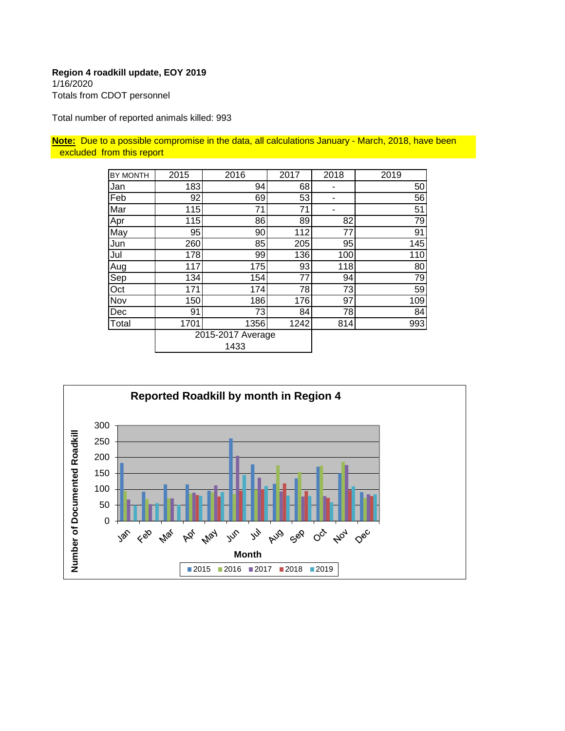1/16/2020 Totals from CDOT personnel

Total number of reported animals killed: 993

**Note:** Due to a possible compromise in the data, all calculations January - March, 2018, have been excluded from this report

| BY MONTH | 2015 | 2016                      | 2017 | 2018 | 2019 |
|----------|------|---------------------------|------|------|------|
| Jan      | 183  | 94                        | 68   |      | 50   |
| Feb      | 92   | 69                        | 53   |      | 56   |
| Mar      | 115  | 71                        | 71   |      | 51   |
| Apr      | 115  | 86                        | 89   | 82   | 79   |
| May      | 95   | 90                        | 112  | 77   | 91   |
| Jun      | 260  | 85                        | 205  | 95   | 145  |
| Jul      | 178  | 99                        | 136  | 100  | 110  |
| Aug      | 117  | 175                       | 93   | 118  | 80   |
| Sep      | 134  | 154                       | 77   | 94   | 79   |
| Oct      | 171  | 174                       | 78   | 73   | 59   |
| Nov      | 150  | 186                       | 176  | 97   | 109  |
| Dec      | 91   | 73                        | 84   | 78   | 84   |
| Total    | 1701 | 1356                      | 1242 | 814  | 993  |
|          |      | 2015-2017 Average<br>1433 |      |      |      |

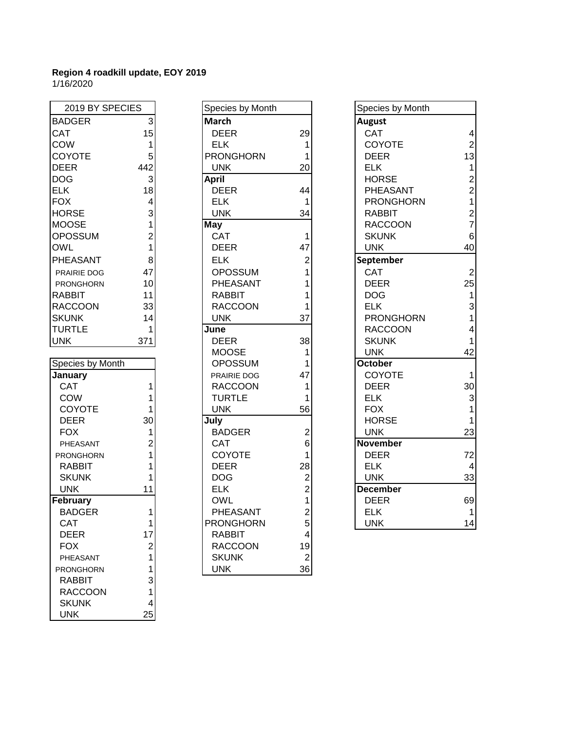| 2019 BY SPECIES  |                                                            |
|------------------|------------------------------------------------------------|
| <b>BADGER</b>    | 3                                                          |
| CAT              | 15                                                         |
| COW              |                                                            |
| <b>COYOTE</b>    | 1<br>5                                                     |
| <b>DEER</b>      | 442                                                        |
| <b>DOG</b>       | 3                                                          |
| <b>ELK</b>       | 18                                                         |
| <b>FOX</b>       | 4                                                          |
| HORSE            | 3                                                          |
| <b>MOOSE</b>     |                                                            |
| <b>OPOSSUM</b>   | $\frac{1}{2}$                                              |
| OWL              | 1                                                          |
| PHEASANT         | 8                                                          |
| PRAIRIE DOG      | 47                                                         |
| <b>PRONGHORN</b> | 10                                                         |
| <b>RABBIT</b>    | 11                                                         |
| <b>RACCOON</b>   | 33                                                         |
| <b>SKUNK</b>     | 14                                                         |
| <b>TURTLE</b>    | 1                                                          |
| <b>UNK</b>       | 371                                                        |
|                  |                                                            |
| Species by Month |                                                            |
| January          |                                                            |
| CAT              | 1                                                          |
| COW              | $\overline{\mathbf{1}}$                                    |
| COYOTE           | $\overline{\mathbf{1}}$                                    |
| DEER             | 30                                                         |
| FOX              | 1211                                                       |
| PHEASANT         |                                                            |
| PRONGHORN        |                                                            |
| <b>RABBIT</b>    |                                                            |
| <b>SKUNK</b>     |                                                            |
| <b>UNK</b>       | 11                                                         |
| February         |                                                            |
| <b>BADGER</b>    | 1                                                          |
| CAT              |                                                            |
| DEER             |                                                            |
| <b>FOX</b>       |                                                            |
| PHEASANT         |                                                            |
| PRONGHORN        |                                                            |
| RABBIT           |                                                            |
| RACCOON          |                                                            |
| <b>SKUNK</b>     | $\begin{bmatrix} 1 \\ 1 \\ 2 \\ 1 \\ 3 \\ 4 \end{bmatrix}$ |
| UNK              | 25                                                         |

| 2019 BY SPECIES         |                         | Species by Month |                         | Species by Month |
|-------------------------|-------------------------|------------------|-------------------------|------------------|
| <b>BADGER</b>           | $\mathbf{3}$            | <b>March</b>     |                         | <b>August</b>    |
| <b>CAT</b>              | 15                      | <b>DEER</b>      | 29                      | CAT              |
| COW                     | $\mathbf{1}$            | <b>ELK</b>       | $\mathbf{1}$            | COYOTE           |
| <b>COYOTE</b>           | 5                       | <b>PRONGHORN</b> | 1                       | <b>DEER</b>      |
| <b>DEER</b>             | 442                     | UNK.             | 20                      | <b>ELK</b>       |
| <b>DOG</b>              | 3                       | <b>April</b>     |                         | <b>HORSE</b>     |
| <b>ELK</b>              | 18                      | <b>DEER</b>      | 44                      | PHEASANT         |
| <b>FOX</b>              | $\overline{\mathbf{4}}$ | <b>ELK</b>       | 1                       | <b>PRONGHORN</b> |
| <b>HORSE</b>            | 3                       | <b>UNK</b>       | 34                      | <b>RABBIT</b>    |
| <b>MOOSE</b>            | 1                       | <b>May</b>       |                         | <b>RACCOON</b>   |
| <b>OPOSSUM</b>          | $\overline{c}$          | CAT              | 1                       | <b>SKUNK</b>     |
| OWL                     | 1                       | <b>DEER</b>      | 47                      | <b>UNK</b>       |
| PHEASANT                | 8                       | <b>ELK</b>       | $\overline{2}$          | September        |
| PRAIRIE DOG             | 47                      | <b>OPOSSUM</b>   | 1                       | <b>CAT</b>       |
| PRONGHORN               | 10                      | PHEASANT         | 1                       | <b>DEER</b>      |
| <b>RABBIT</b>           | 11                      | <b>RABBIT</b>    | 1                       | <b>DOG</b>       |
| <b>RACCOON</b>          | 33                      | <b>RACCOON</b>   | 1                       | <b>ELK</b>       |
| <b>SKUNK</b>            | 14                      | <b>UNK</b>       | 37                      | <b>PRONGHORN</b> |
| <b>TURTLE</b>           | 1                       | June             |                         | <b>RACCOON</b>   |
| <b>UNK</b>              | 371                     | <b>DEER</b>      | 38                      | <b>SKUNK</b>     |
|                         |                         | <b>MOOSE</b>     | 1                       | <b>UNK</b>       |
| <b>Species by Month</b> |                         | <b>OPOSSUM</b>   | 1                       | October          |
| <b>January</b>          |                         | PRAIRIE DOG      | 47                      | <b>COYOTE</b>    |
| CAT                     | 1                       | <b>RACCOON</b>   | 1                       | <b>DEER</b>      |
| COW                     | 1                       | <b>TURTLE</b>    | 1                       | <b>ELK</b>       |
| COYOTE                  | 1                       | <b>UNK</b>       | 56                      | <b>FOX</b>       |
| <b>DEER</b>             | 30                      | July             |                         | <b>HORSE</b>     |
| <b>FOX</b>              | 1                       | <b>BADGER</b>    | $\overline{c}$          | <b>UNK</b>       |
| PHEASANT                | $\overline{c}$          | <b>CAT</b>       | 6                       | <b>November</b>  |
| <b>PRONGHORN</b>        | 1                       | COYOTE           | 1                       | <b>DEER</b>      |
| <b>RABBIT</b>           | 1                       | <b>DEER</b>      | 28                      | <b>ELK</b>       |
| <b>SKUNK</b>            | 1                       | <b>DOG</b>       | $\overline{\mathbf{c}}$ | <b>UNK</b>       |
| <b>UNK</b>              | 11                      | <b>ELK</b>       | $\overline{2}$          | <b>December</b>  |
| February                |                         | <b>OWL</b>       | $\mathbf 1$             | <b>DEER</b>      |
| <b>BADGER</b>           | 1                       | PHEASANT         | $\overline{c}$          | <b>ELK</b>       |
| CAT                     | 1                       | <b>PRONGHORN</b> | 5                       | <b>UNK</b>       |
| <b>DEER</b>             | 17                      | <b>RABBIT</b>    | 4                       |                  |
| <b>FOX</b>              | $\overline{c}$          | <b>RACCOON</b>   | 19                      |                  |
| PHEASANT                | 1                       | <b>SKUNK</b>     | $\overline{2}$          |                  |
| <b>PRONGHORN</b>        | 1                       | <b>UNK</b>       | 36                      |                  |

| 2019 BY SPECIES  |                | Species by Month |                | Species by Month |                |
|------------------|----------------|------------------|----------------|------------------|----------------|
| <b>BADGER</b>    | 3              | <b>March</b>     |                | <b>August</b>    |                |
| CAT              | 15             | <b>DEER</b>      | 29             | CAT              | 4              |
| COW              | 1              | <b>ELK</b>       | 1              | <b>COYOTE</b>    | $\overline{2}$ |
| COYOTE           | 5              | <b>PRONGHORN</b> |                | <b>DEER</b>      | 13             |
| <b>DEER</b>      | 442            | <b>UNK</b>       | 20             | <b>ELK</b>       | 1              |
| <b>DOG</b>       | 3              | <b>April</b>     |                | <b>HORSE</b>     | $\overline{2}$ |
| <b>ELK</b>       | 18             | <b>DEER</b>      | 44             | PHEASANT         | $\overline{c}$ |
| <b>FOX</b>       | 4              | <b>ELK</b>       | 1              | <b>PRONGHORN</b> | 1              |
| <b>HORSE</b>     | 3              | <b>UNK</b>       | 34             | <b>RABBIT</b>    | $\overline{c}$ |
| <b>MOOSE</b>     | 1              | <b>May</b>       |                | <b>RACCOON</b>   | 7              |
| <b>OPOSSUM</b>   | $\overline{2}$ | CAT              | 1              | <b>SKUNK</b>     | 6              |
| <b>OWL</b>       | 1              | <b>DEER</b>      | 47             | <b>UNK</b>       | 40             |
| PHEASANT         | 8              | <b>ELK</b>       | 2              | September        |                |
| PRAIRIE DOG      | 47             | <b>OPOSSUM</b>   |                | <b>CAT</b>       | 2              |
| PRONGHORN        | 10             | PHEASANT         |                | <b>DEER</b>      | 25             |
| RABBIT           | 11             | <b>RABBIT</b>    |                | <b>DOG</b>       | 1              |
| <b>RACCOON</b>   | 33             | <b>RACCOON</b>   |                | <b>ELK</b>       | 3              |
| <b>SKUNK</b>     | 14             | <b>UNK</b>       | 37             | <b>PRONGHORN</b> |                |
| <b>TURTLE</b>    | 1              | June             |                | <b>RACCOON</b>   |                |
| <b>UNK</b>       | 371            | <b>DEER</b>      | 38             | <b>SKUNK</b>     |                |
|                  |                | <b>MOOSE</b>     | 1              | <b>UNK</b>       | 42             |
| Species by Month |                | <b>OPOSSUM</b>   |                | <b>October</b>   |                |
| January          |                | PRAIRIE DOG      | 47             | <b>COYOTE</b>    |                |
| <b>CAT</b>       |                | <b>RACCOON</b>   |                | <b>DEER</b>      | 30             |
| COW              |                | <b>TURTLE</b>    |                | <b>ELK</b>       | 3              |
| <b>COYOTE</b>    |                | <b>UNK</b>       | 56             | <b>FOX</b>       |                |
| <b>DEER</b>      | 30             | July             |                | <b>HORSE</b>     |                |
| <b>FOX</b>       | 1              | <b>BADGER</b>    | $\overline{2}$ | <b>UNK</b>       | 23             |
| PHEASANT         | $\overline{2}$ | <b>CAT</b>       | 6              | November         |                |
| <b>PRONGHORN</b> |                | <b>COYOTE</b>    |                | <b>DEER</b>      | 72             |
| <b>RABBIT</b>    |                | <b>DEER</b>      | 28             | <b>ELK</b>       | 4              |
| <b>SKUNK</b>     |                | <b>DOG</b>       | $\overline{2}$ | <b>UNK</b>       | 33             |
| <b>UNK</b>       | 11             | <b>ELK</b>       | $\overline{2}$ | <b>December</b>  |                |
| February         |                | <b>OWL</b>       |                | <b>DEER</b>      | 69             |
| <b>BADGER</b>    |                | PHEASANT         | 2              | <b>ELK</b>       | $\mathbf{1}$   |
| <b>CAT</b>       | 1              | <b>PRONGHORN</b> | 5              | <b>UNK</b>       | 14             |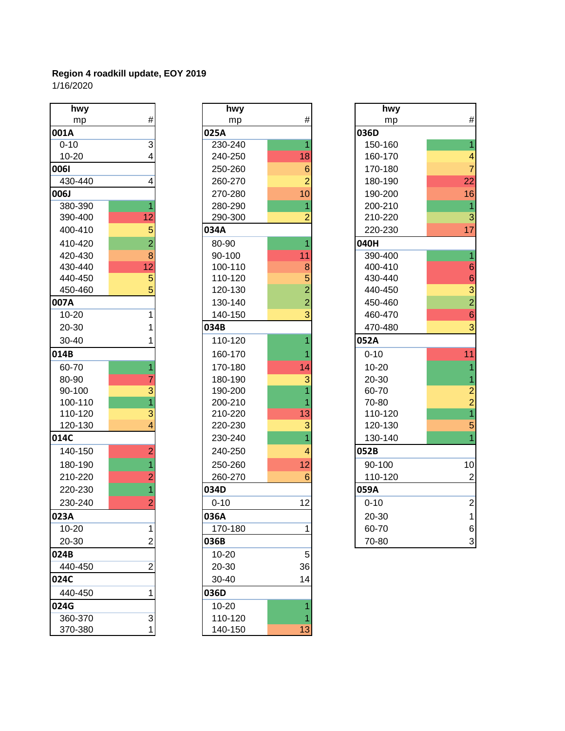| hwy       |                | hwy      |  |
|-----------|----------------|----------|--|
| mp        | #              | mp       |  |
| 001A      |                | 025A     |  |
| $0 - 10$  | 3              | 230-240  |  |
| 10-20     | 4              | 240-250  |  |
| 0061      |                | 250-260  |  |
| 430-440   | 4              | 260-270  |  |
| 006J      |                | 270-280  |  |
| 380-390   | 1              | 280-290  |  |
| 390-400   | 12             | 290-300  |  |
| 400-410   | 5              | 034A     |  |
| 410-420   | $\overline{2}$ | 80-90    |  |
| 420-430   | 8              | 90-100   |  |
| 430-440   | 12             | 100-110  |  |
| 440-450   | 5              | 110-120  |  |
| 450-460   | 5              | 120-130  |  |
| 007A      |                | 130-140  |  |
| $10 - 20$ | 1              | 140-150  |  |
| 20-30     | 1              | 034B     |  |
| 30-40     | 1              | 110-120  |  |
| 014B      |                | 160-170  |  |
| 60-70     | $\overline{1}$ | 170-180  |  |
| 80-90     | $\overline{7}$ | 180-190  |  |
| 90-100    | 3              | 190-200  |  |
| 100-110   | $\overline{1}$ | 200-210  |  |
| 110-120   | 3              | 210-220  |  |
| 120-130   | 4              | 220-230  |  |
| 014C      |                | 230-240  |  |
| 140-150   | $\overline{2}$ | 240-250  |  |
| 180-190   | $\overline{1}$ | 250-260  |  |
| 210-220   | $\overline{2}$ | 260-270  |  |
| 220-230   | $\overline{1}$ | 034D     |  |
| 230-240   | $\overline{2}$ | $0 - 10$ |  |
| 023A      |                | 036A     |  |
| 10-20     | 1              | 170-180  |  |
| 20-30     | $\overline{2}$ | 036B     |  |
| 024B      |                | 10-20    |  |
| 440-450   | $\overline{2}$ | 20-30    |  |
| 024C      |                | 30-40    |  |
|           | 1              |          |  |
| 440-450   |                | 036D     |  |
| 024G      |                | 10-20    |  |
| 360-370   | 3              | 110-120  |  |
| 370-380   | 1              | 140-150  |  |

| hwy       |                | hwy      |                 | hwy       |
|-----------|----------------|----------|-----------------|-----------|
| mp        | #              | mp       | #               | mp        |
| 001A      |                | 025A     |                 | 036D      |
| $0 - 10$  | 3              | 230-240  |                 | 150-160   |
| $10 - 20$ | 4              | 240-250  | 18              | 160-170   |
| 0061      |                | 250-260  | $6\phantom{1}6$ | 170-180   |
| 430-440   | 4              | 260-270  | $\overline{2}$  | 180-190   |
| 006J      |                | 270-280  | 10              | 190-200   |
| 380-390   |                | 280-290  | 1               | 200-210   |
| 390-400   | 12             | 290-300  | 2               | 210-220   |
| 400-410   | 5              | 034A     |                 | 220-230   |
| 410-420   | $\overline{2}$ | 80-90    |                 | 040H      |
| 420-430   | 8              | 90-100   | 11              | 390-400   |
| 430-440   | 12             | 100-110  | 8               | 400-410   |
| 440-450   | 5              | 110-120  | 5               | 430-440   |
| 450-460   | 5              | 120-130  | $\overline{2}$  | 440-450   |
| 007A      |                | 130-140  | $\overline{2}$  | 450-460   |
| $10 - 20$ | 1              | 140-150  | 3               | 460-470   |
| 20-30     | 1              | 034B     |                 | 470-480   |
| 30-40     | 1              | 110-120  |                 | 052A      |
| 014B      |                | 160-170  |                 | $0 - 10$  |
| 60-70     | 1              | 170-180  | 14              | $10 - 20$ |
| 80-90     | 7              | 180-190  | 3               | 20-30     |
| 90-100    | 3              | 190-200  | 1               | 60-70     |
| 100-110   | $\overline{1}$ | 200-210  |                 | 70-80     |
| 110-120   | 3              | 210-220  | 13              | 110-120   |
| 120-130   | 4              | 220-230  | 3               | 120-130   |
| 014C      |                | 230-240  | 1               | 130-140   |
| 140-150   | $\overline{2}$ | 240-250  | 4               | 052B      |
| 180-190   | 1              | 250-260  | 12              | 90-100    |
| 210-220   | $\overline{2}$ | 260-270  | 6               | 110-120   |
| 220-230   | 1              | 034D     |                 | 059A      |
| 230-240   | $\overline{2}$ | $0 - 10$ | 12              | $0 - 10$  |
| 023A      |                | 036A     |                 | 20-30     |
| 10-20     | 1              | 170-180  | 1               | 60-70     |
| 20-30     | $\overline{2}$ | 036B     |                 | 70-80     |
| 024B      |                | 10-20    | 5               |           |
| 440-450   | $\overline{2}$ | 20-30    | 36              |           |
| 024C      |                | 30-40    | 14              |           |
| 440-450   | 1              | 036D     |                 |           |
| 024G      |                | 10-20    |                 |           |
| 360-370   | 3              | 110-120  |                 |           |
| 370-380   |                | 140-150  | 13              |           |

| hwy       |                | hwy      |                 | hwy       |                             |
|-----------|----------------|----------|-----------------|-----------|-----------------------------|
| mp        | $\#$           | mp       | $\#$            | mp        | $\#$                        |
| 001A      |                | 025A     |                 | 036D      |                             |
| $0 - 10$  | $\overline{3}$ | 230-240  |                 | 150-160   | 1                           |
| $10 - 20$ | 4              | 240-250  | 18              | 160-170   | 4                           |
| 0061      |                | 250-260  | $6\phantom{1}6$ | 170-180   | 7                           |
| 430-440   | 4              | 260-270  | $\overline{2}$  | 180-190   | 22                          |
| 006J      |                | 270-280  | 10              | 190-200   | 16                          |
| 380-390   | 1              | 280-290  | 1               | 200-210   | $\overline{1}$              |
| 390-400   | 12             | 290-300  | $\overline{2}$  | 210-220   | $\overline{3}$              |
| 400-410   | 5              | 034A     |                 | 220-230   | 17                          |
| 410-420   | $\overline{2}$ | 80-90    |                 | 040H      |                             |
| 420-430   | 8              | 90-100   | 11              | 390-400   |                             |
| 430-440   | 12             | 100-110  | 8               | 400-410   | $\,$ 6 $\,$                 |
| 440-450   | 5              | 110-120  | 5               | 430-440   |                             |
| 450-460   | 5              | 120-130  | $\overline{2}$  | 440-450   |                             |
| 007A      |                | 130-140  | $\overline{2}$  | 450-460   | $\frac{6}{3}$ $\frac{2}{6}$ |
| $10 - 20$ | 1              | 140-150  | 3               | 460-470   |                             |
| 20-30     |                | 034B     |                 | 470-480   | 3                           |
| 30-40     |                | 110-120  |                 | 052A      |                             |
| 014B      |                | 160-170  |                 | $0 - 10$  | 11                          |
| 60-70     | 1              | 170-180  | 14              | $10 - 20$ |                             |
| 80-90     |                | 180-190  | 3               | 20-30     | 1                           |
| 90-100    | 3              | 190-200  |                 | 60-70     |                             |
| 100-110   | $\overline{1}$ | 200-210  |                 | 70-80     | $\frac{2}{1}$               |
| 110-120   | 3              | 210-220  | 13              | 110-120   |                             |
| 120-130   | 4              | 220-230  | 3               | 120-130   | 5                           |
| 014C      |                | 230-240  |                 | 130-140   |                             |
| 140-150   | $\overline{2}$ | 240-250  | 4               | 052B      |                             |
| 180-190   | 1              | 250-260  | 12              | 90-100    | 10                          |
| 210-220   | $\overline{2}$ | 260-270  | 6               | 110-120   | $\overline{2}$              |
| 220-230   | 1              | 034D     |                 | 059A      |                             |
| 230-240   | 2              | $0 - 10$ | 12              | $0 - 10$  | $\overline{\mathbf{c}}$     |
| 023A      |                | 036A     |                 | 20-30     | 1                           |
| $10 - 20$ | 1              | 170-180  |                 | 60-70     | $\,6$                       |
| 20-30     | $\overline{2}$ | 036B     |                 | 70-80     | 3                           |
|           |                |          |                 |           |                             |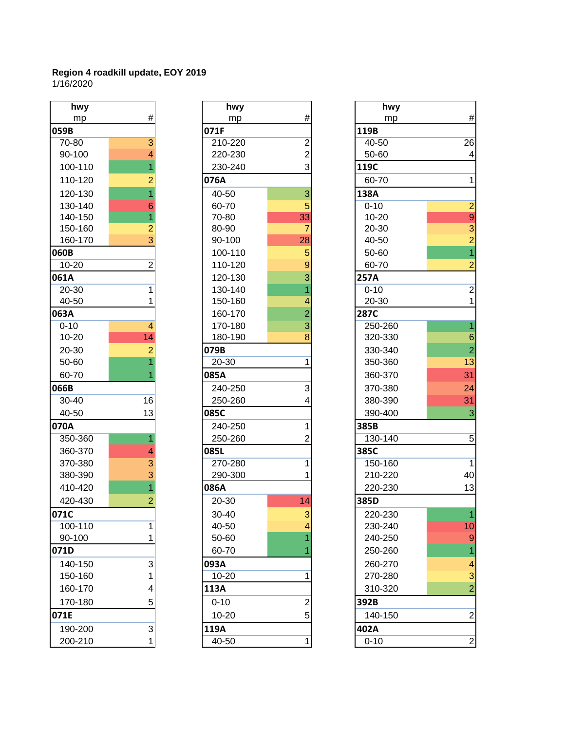| hwy       |                                           |
|-----------|-------------------------------------------|
| mp        | #                                         |
| 059B      |                                           |
| 70-80     | $\frac{3}{4}$                             |
| 90-100    |                                           |
| 100-110   | $\overline{1}$                            |
| 110-120   | $\frac{2}{1}$                             |
| 120-130   |                                           |
| 130-140   |                                           |
| 140-150   |                                           |
| 150-160   | $\frac{6}{1}$ $\frac{1}{2}$ $\frac{1}{3}$ |
| 160-170   |                                           |
| 060B      |                                           |
| $10 - 20$ | $\overline{2}$                            |
| 061A      |                                           |
| 20-30     | 1                                         |
| 40-50     | 1                                         |
| 063A      |                                           |
| $0 - 10$  | 4                                         |
| 10-20     | 14                                        |
| 20-30     | $\overline{c}$                            |
| 50-60     | $\overline{\mathbf{1}}$                   |
| 60-70     | $\overline{1}$                            |
| 066B      |                                           |
| 30-40     | 16                                        |
| 40-50     | 13                                        |
| 070A      |                                           |
| 350-360   | $\overline{1}$                            |
| 360-370   | 4                                         |
| 370-380   |                                           |
| 380-390   | $\frac{1}{3}$                             |
| 410-420   |                                           |
| 420-430   | $\overline{c}$                            |
| 71C       |                                           |
| 100-110   | 1                                         |
| 90-100    | 1                                         |
| 071D      |                                           |
| 140-150   | 3<br>1<br>4                               |
| 150-160   |                                           |
| 160-170   |                                           |
| 170-180   | 5                                         |
| 071E      |                                           |
| 190-200   | 3                                         |
| 200-210   |                                           |

| hwy       |                | hwy      |                | hwy         |
|-----------|----------------|----------|----------------|-------------|
| mp        | #              | mp       | $\#$           | mp          |
| 059B      |                | 071F     |                | 119B        |
| 70-80     | $\overline{3}$ | 210-220  | $\overline{2}$ | 40-50       |
| 90-100    | 4              | 220-230  | 2              | 50-60       |
| 100-110   | 1              | 230-240  | 3              | 119C        |
| 110-120   | $\overline{2}$ | 076A     |                | 60-70       |
| 120-130   | $\overline{1}$ | 40-50    | 3              | 138A        |
| 130-140   | 6              | 60-70    | 5              | $0 - 10$    |
| 140-150   | 1              | 70-80    | 33             | 10-20       |
| 150-160   | $\overline{2}$ | 80-90    | 7              | 20-30       |
| 160-170   | $\overline{3}$ | 90-100   | 28             | 40-50       |
| 060B      |                | 100-110  | 5              | 50-60       |
| 10-20     | $\overline{2}$ | 110-120  | 9              | 60-70       |
| 061A      |                | 120-130  | 3              | 257A        |
| 20-30     | 1              | 130-140  | 1              | $0 - 10$    |
| 40-50     | 1              | 150-160  | 4              | 20-30       |
| 063A      |                | 160-170  | $\overline{2}$ | <b>287C</b> |
| $0 - 10$  | $\overline{4}$ | 170-180  | 3              | 250-260     |
| $10 - 20$ | 14             | 180-190  | 8              | 320-330     |
| 20-30     | $\overline{2}$ | 079B     |                | 330-340     |
| 50-60     | $\overline{1}$ | 20-30    | 1              | 350-360     |
| 60-70     |                | 085A     |                | 360-370     |
| 066B      |                | 240-250  | 3              | 370-380     |
| 30-40     | 16             | 250-260  | 4              | 380-390     |
| 40-50     | 13             | 085C     |                | 390-400     |
| 070A      |                | 240-250  | 1              | 385B        |
| 350-360   | 1              | 250-260  | $\overline{2}$ | 130-140     |
| 360-370   | 4              | 085L     |                | 385C        |
| 370-380   | 3              | 270-280  | 1              | 150-160     |
| 380-390   | 3              | 290-300  | 1              | 210-220     |
| 410-420   |                | 086A     |                | 220-230     |
| 420-430   | $\overline{c}$ | 20-30    | 14             | 385D        |
| 071C      |                | 30-40    | 3              | 220-230     |
| 100-110   | 1              | 40-50    | 4              | 230-240     |
| 90-100    |                | 50-60    |                | 240-250     |
| 071D      |                | 60-70    |                | 250-260     |
| 140-150   | 3              | 093A     |                | 260-270     |
| 150-160   | 1              | 10-20    | 1              | 270-280     |
| 160-170   | 4              | 113A     |                | 310-320     |
| 170-180   | 5              | $0 - 10$ | $\overline{2}$ | 392B        |
| 071E      |                | 10-20    | 5              | 140-150     |
| 190-200   | 3              | 119A     |                | 402A        |
| 200-210   | 1              | 40-50    | 1              | $0 - 10$    |

| hwy       |                | hwy      |                | hwy         |                  |
|-----------|----------------|----------|----------------|-------------|------------------|
| mp        | #              | mp       | $\#$           | mp          | $\#$             |
| 059B      |                | 071F     |                | 119B        |                  |
| 70-80     | 3              | 210-220  | $\mathbf 2$    | 40-50       | $\overline{26}$  |
| 90-100    | 4              | 220-230  | $\overline{c}$ | 50-60       | 4                |
| 100-110   |                | 230-240  | 3              | 119C        |                  |
| 110-120   | 2              | 076A     |                | 60-70       | 1                |
| 120-130   |                | 40-50    | 3              | 138A        |                  |
| 130-140   | 6              | 60-70    | 5              | $0 - 10$    | $\overline{2}$   |
| 140-150   |                | 70-80    | 33             | $10 - 20$   | $\overline{9}$   |
| 150-160   | 2              | 80-90    | 7              | 20-30       | $\overline{3}$   |
| 160-170   | 3              | 90-100   | 28             | 40-50       | $\overline{2}$   |
| 060B      |                | 100-110  | 5              | 50-60       | $\overline{1}$   |
| $10 - 20$ | $\overline{c}$ | 110-120  | $\overline{9}$ | 60-70       | 2                |
| 061A      |                | 120-130  | 3              | 257A        |                  |
| 20-30     | 1              | 130-140  |                | $0 - 10$    | $\overline{2}$   |
| 40-50     |                | 150-160  | 4              | 20-30       | 1                |
| 063A      |                | 160-170  | $\overline{2}$ | <b>287C</b> |                  |
| $0 - 10$  | 4              | 170-180  | 3              | 250-260     |                  |
| $10 - 20$ | 14             | 180-190  | 8              | 320-330     | $6\phantom{1}6$  |
| $20 - 30$ | $\overline{2}$ | 079B     |                | 330-340     | $\overline{2}$   |
| 50-60     |                | 20-30    | 1              | 350-360     | 13               |
| 60-70     |                | 085A     |                | 360-370     | 31               |
| 066B      |                | 240-250  | 3              | 370-380     | 24               |
| 30-40     | 16             | 250-260  | 4              | 380-390     | 31               |
| 40-50     | 13             | 085C     |                | 390-400     | 3                |
| 070A      |                | 240-250  | 1              | 385B        |                  |
| 350-360   |                | 250-260  | 2              | 130-140     | 5                |
| 360-370   | 4              | 085L     |                | 385C        |                  |
| 370-380   | 3              | 270-280  | 1              | 150-160     | 1                |
| 380-390   | 3              | 290-300  |                | 210-220     | 40               |
| 410-420   |                | 086A     |                | 220-230     | 13               |
| 420-430   | 2              | 20-30    | 14             | 385D        |                  |
| 071C      |                | 30-40    | 3              | 220-230     |                  |
| 100-110   | 1              | 40-50    | 4              | 230-240     | 10               |
| 90-100    |                | 50-60    |                | 240-250     | 9                |
| 071D      |                | 60-70    |                | 250-260     |                  |
| 140-150   | 3              | 093A     |                | 260-270     | 4                |
| 150-160   |                | 10-20    | 1              | 270-280     | 3                |
| 160-170   | 4              | 113A     |                | 310-320     | $\overline{2}$   |
| 170-180   | 5              | $0 - 10$ | 2              | 392B        |                  |
| 071E      |                | 10-20    | 5              | 140-150     | $\overline{2}$   |
| 190-200   | $\mathbf{3}$   | 119A     |                | 402A        |                  |
| 200-210   | 1              | 40-50    | 1              | $0 - 10$    | $\boldsymbol{2}$ |
|           |                |          |                |             |                  |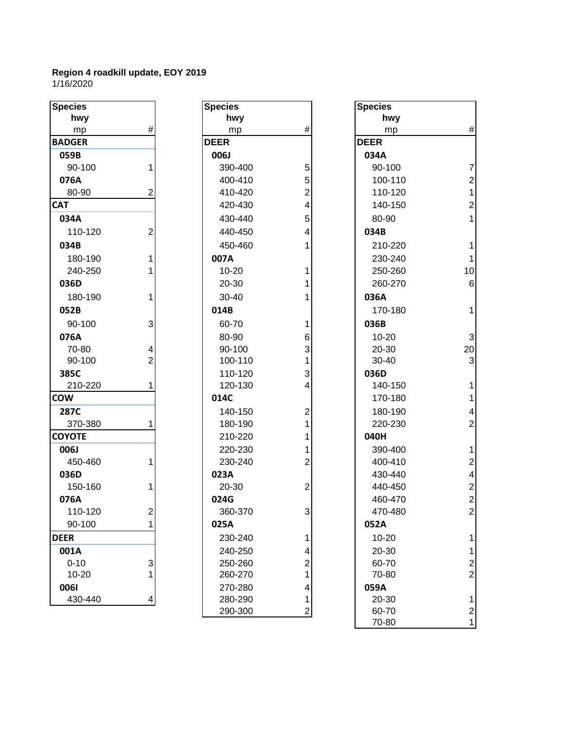| <b>Species</b> |                | <b>Species</b> |                | <b>Species</b> |
|----------------|----------------|----------------|----------------|----------------|
| hwy            |                | hwy            |                | h۷             |
| mp             | #              | mp             | #              | m              |
| <b>BADGER</b>  |                | <b>DEER</b>    |                | <b>DEER</b>    |
| 059B           |                | 006J           |                | 034A           |
| 90-100         | 1              | 390-400        | 5              | $90 - 1$       |
| 076A           |                | 400-410        | 5              | $100 -$        |
| 80-90          | $\overline{2}$ | 410-420        | $\overline{2}$ | $110 -$        |
| <b>CAT</b>     |                | 420-430        | 4              | $140 -$        |
| 034A           |                | 430-440        | 5              | $80 - 9$       |
| 110-120        | $\overline{2}$ | 440-450        | 4              | 034B           |
| 034B           |                | 450-460        | 1              | $210 - 2$      |
| 180-190        | 1              | 007A           |                | $230 - 2$      |
| 240-250        | 1              | $10 - 20$      | 1              | $250 - 2$      |
| 036D           |                | 20-30          | 1              | 260-           |
| 180-190        | 1              | 30-40          | 1              | 036A           |
| 052B           |                | 014B           |                | $170 -$        |
| 90-100         | 3              | 60-70          | 1              | 036B           |
| 076A           |                | 80-90          | 6              | $10-2$         |
| 70-80          | 4              | 90-100         | 3              | $20 - 3$       |
| 90-100         | $\overline{2}$ | 100-110        | 1              | $30 - 4$       |
| 385C           |                | 110-120        | 3              | 036D           |
| 210-220        | 1              | 120-130        | 4              | $140 -$        |
| <b>COW</b>     |                | 014C           |                | $170 -$        |
| 287C           |                | 140-150        | $\overline{c}$ | 180-           |
| 370-380        | 1              | 180-190        | $\overline{1}$ | $220 - 2$      |
| <b>COYOTE</b>  |                | 210-220        | 1              | 040H           |
| 006J           |                | 220-230        | 1              | $390 -$        |
| 450-460        | 1              | 230-240        | $\overline{2}$ | 400-           |
| 036D           |                | 023A           |                | $430 -$        |
| 150-160        | 1              | 20-30          | $\overline{2}$ | 440-           |
| 076A           |                | 024G           |                | 460-           |
| 110-120        | $\overline{2}$ | 360-370        | 3              | $470 -$        |
| 90-100         | 1              | 025A           |                | 052A           |
| <b>DEER</b>    |                | 230-240        | 1              | $10-2$         |
| 001A           |                | 240-250        | 4              | $20 - 3$       |
| $0 - 10$       | 3              | 250-260        | $\overline{c}$ | $60 - 7$       |
| 10-20          | 1              | 260-270        | 1              | $70-8$         |
| 0061           |                | 270-280        | 4              | 059A           |
| 430-440        | 4              | 280-290        | 1              | $20 - 3$       |

| pecies       |                | <b>Species</b> |                | <b>Species</b> |
|--------------|----------------|----------------|----------------|----------------|
| hwy          |                | hwy            |                | hwy            |
| mp           | #              | mp             | $\#$           | mp             |
| <b>ADGER</b> |                | <b>DEER</b>    |                | <b>DEER</b>    |
| 059B         |                | 006J           |                | 034A           |
| 90-100       | 1              | 390-400        | 5              | 90-100         |
| 076A         |                | 400-410        | 5              | 100-11         |
| 80-90        | 2              | 410-420        | $\overline{2}$ | 110-12         |
| ٦Г           |                | 420-430        | 4              | 140-15         |
| 034A         |                | 430-440        | 5              | 80-90          |
| 110-120      | $\overline{2}$ | 440-450        | 4              | 034B           |
| 034B         |                | 450-460        | 1              | 210-22         |
| 180-190      | 1              | 007A           |                | 230-24         |
| 240-250      | 1              | $10 - 20$      | 1              | 250-26         |
| 036D         |                | 20-30          | 1              | 260-27         |
| 180-190      | 1              | 30-40          | 1              | 036A           |
| 052B         |                | 014B           |                | 170-18         |
| 90-100       | 3              | 60-70          | 1              | 036B           |
| 076A         |                | 80-90          | 6              | $10 - 20$      |
| 70-80        | 4              | 90-100         | 3              | $20 - 30$      |
| 90-100       | $\overline{2}$ | 100-110        | 1              | $30 - 40$      |
| 385C         |                | 110-120        | 3              | 036D           |
| 210-220      | 1              | 120-130        | 4              | 140-15         |
| WC           |                | 014C           |                | 170-18         |
| 287C         |                | 140-150        | $\overline{c}$ | 180-19         |
| 370-380      | 1              | 180-190        | 1              | 220-23         |
| ϽϒΟΤΕ        |                | 210-220        | 1              | 040H           |
| 006J         |                | 220-230        | 1              | 390-40         |
| 450-460      | 1              | 230-240        | $\overline{2}$ | 400-41         |
| 036D         |                | 023A           |                | 430-44         |
| 150-160      | 1              | 20-30          | $\overline{2}$ | 440-45         |
| 076A         |                | 024G           |                | 460-47         |
| 110-120      | $\overline{c}$ | 360-370        | 3              | 470-48         |
| 90-100       | 1              | 025A           |                | 052A           |
| EER          |                | 230-240        | 1              | $10 - 20$      |
| 001A         |                | 240-250        | 4              | 20-30          |
| $0 - 10$     | 3              | 250-260        | $\overline{c}$ | 60-70          |
| 10-20        |                | 260-270        | 1              | 70-80          |
| 0061         |                | 270-280        | 4              | 059A           |
| 430-440      | 4              | 280-290        | 1              | 20-30          |
|              |                | 290-300        | 2              | 60-70          |

| <b>Species</b> |                | <b>Species</b> |                | <b>Species</b> |                          |
|----------------|----------------|----------------|----------------|----------------|--------------------------|
| hwy            |                | hwy            |                | hwy            |                          |
| mp             | #              | mp             | #              | mp             | $\#$                     |
| <b>BADGER</b>  |                | <b>DEER</b>    |                | <b>DEER</b>    |                          |
| 059B           |                | 006J           |                | 034A           |                          |
| 90-100         | 1              | 390-400        | 5              | 90-100         | $\overline{7}$           |
| 076A           |                | 400-410        | 5              | 100-110        | $\overline{2}$           |
| 80-90          | 2              | 410-420        | $\overline{2}$ | 110-120        | $\mathbf{1}$             |
| <b>CAT</b>     |                | 420-430        | 4              | 140-150        | $\overline{2}$           |
| 034A           |                | 430-440        | 5              | 80-90          | $\mathbf{1}$             |
| 110-120        | $\overline{2}$ | 440-450        | 4              | 034B           |                          |
| 034B           |                | 450-460        |                | 210-220        | 1                        |
| 180-190        | 1              | 007A           |                | 230-240        | $\mathbf{1}$             |
| 240-250        |                | $10 - 20$      | 1              | 250-260        | 10                       |
| 036D           |                | 20-30          | 1              | 260-270        | $6\phantom{1}6$          |
| 180-190        | 1              | 30-40          |                | 036A           |                          |
| 052B           |                | 014B           |                | 170-180        | 1                        |
| 90-100         | 3              | 60-70          | 1              | 036B           |                          |
| 076A           |                | 80-90          | 6              | $10 - 20$      | 3                        |
| 70-80          | 4              | 90-100         | 3              | 20-30          | 20                       |
| 90-100         | $\overline{2}$ | 100-110        | 1              | 30-40          | 3                        |
| 385C           |                | 110-120        | 3              | 036D           |                          |
| 210-220        |                | 120-130        | 4              | 140-150        | 1                        |
| COW            |                | 014C           |                | 170-180        | $\mathbf{1}$             |
| <b>287C</b>    |                | 140-150        | 2              | 180-190        | $\overline{\mathbf{4}}$  |
| 370-380        |                | 180-190        | 1              | 220-230        | $\overline{2}$           |
| <b>COYOTE</b>  |                | 210-220        | 1              | 040H           |                          |
| 006J           |                | 220-230        | 1              | 390-400        | 1                        |
| 450-460        | 1              | 230-240        | $\overline{2}$ | 400-410        | $\overline{2}$           |
| 036D           |                | 023A           |                | 430-440        | $\overline{\mathcal{A}}$ |
| 150-160        | 1              | 20-30          | $\overline{c}$ | 440-450        | $\overline{2}$           |
| 076A           |                | 024G           |                | 460-470        | $\overline{2}$           |
| 110-120        | $\overline{c}$ | 360-370        | 3              | 470-480        | $\overline{c}$           |
| 90-100         | 1              | 025A           |                | 052A           |                          |
| <b>DEER</b>    |                | 230-240        | 1              | $10 - 20$      | 1                        |
| 001A           |                | 240-250        | 4              | 20-30          | 1                        |
| $0 - 10$       | 3              | 250-260        | $\overline{c}$ | 60-70          | $\overline{\mathbf{c}}$  |
| 10-20          |                | 260-270        | 1              | 70-80          | $\overline{c}$           |
| 0061           |                | 270-280        | 4              | 059A           |                          |
| 430-440        | 4              | 280-290        | $\mathbf{1}$   | 20-30          | 1                        |
|                |                | 290-300        | $\overline{a}$ | 60-70          | $\overline{\mathbf{c}}$  |
|                |                |                |                | 70-80          | 1                        |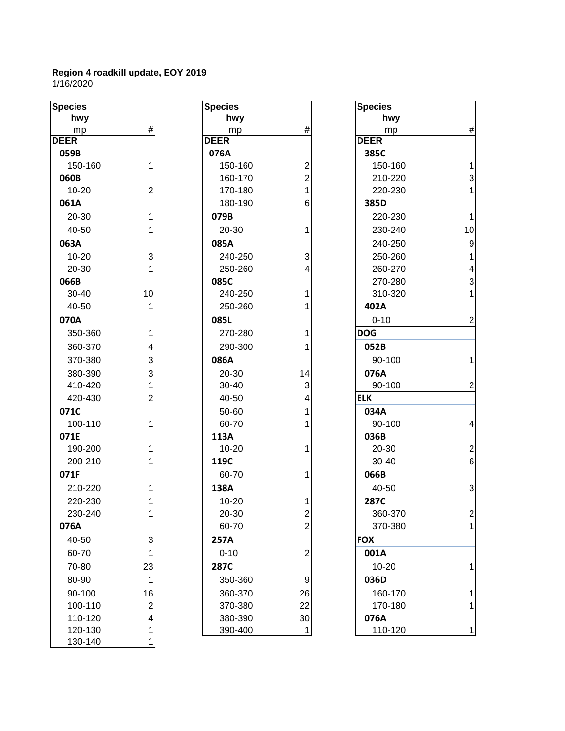| <b>Species</b> |                         | <b>Species</b> |                | <b>Species</b> |                 |
|----------------|-------------------------|----------------|----------------|----------------|-----------------|
| hwy            |                         | hwy            |                | hwy            |                 |
| mp             | #                       | mp             | $\#$           | mp             | #               |
| <b>DEER</b>    |                         | <b>DEER</b>    |                | <b>DEER</b>    |                 |
| 059B           |                         | 076A           |                | 385C           |                 |
| 150-160        | 1                       | 150-160        | $\overline{c}$ | 150-160        | $\overline{1}$  |
| 060B           |                         | 160-170        | $\overline{c}$ | 210-220        | 3               |
| $10 - 20$      | $\overline{c}$          | 170-180        | 1              | 220-230        | $\overline{1}$  |
| 061A           |                         | 180-190        | 6              | 385D           |                 |
| 20-30          | 1                       | 079B           |                | 220-230        | $\mathbf{1}$    |
| 40-50          |                         | 20-30          | 1              | 230-240        | 10              |
| 063A           |                         | 085A           |                | 240-250        | 9               |
| $10 - 20$      | 3                       | 240-250        | 3              | 250-260        | 1               |
| 20-30          |                         | 250-260        | 4              | 260-270        | 4               |
| 066B           |                         | 085C           |                | 270-280        | 3               |
| 30-40          | 10                      | 240-250        | 1              | 310-320        | 1               |
| 40-50          |                         | 250-260        |                | 402A           |                 |
| 070A           |                         | 085L           |                | $0 - 10$       | $\overline{2}$  |
| 350-360        | 1                       | 270-280        | 1              | <b>DOG</b>     |                 |
| 360-370        | 4                       | 290-300        |                | 052B           |                 |
| 370-380        | 3                       | 086A           |                | 90-100         | 1               |
| 380-390        | 3                       | 20-30          | 14             | 076A           |                 |
| 410-420        |                         | 30-40          | 3              | 90-100         | $\overline{2}$  |
| 420-430        | $\overline{2}$          | 40-50          | 4              | <b>ELK</b>     |                 |
| 071C           |                         | 50-60          |                | 034A           |                 |
| 100-110        |                         | 60-70          |                | 90-100         | 4               |
| 071E           |                         | 113A           |                | 036B           |                 |
| 190-200        |                         | $10 - 20$      | 1              | 20-30          | $\overline{2}$  |
| 200-210        |                         | 119C           |                | 30-40          | $6\phantom{1}6$ |
| 071F           |                         | 60-70          | 1              | 066B           |                 |
| 210-220        |                         | 138A           |                | 40-50          | 3               |
| 220-230        |                         | 10-20          |                | <b>287C</b>    |                 |
| 230-240        | 1                       | 20-30          | $\overline{2}$ | 360-370        | 2               |
| 076A           |                         | 60-70          | $\overline{c}$ | 370-380        | 1               |
| 40-50          | 3                       | 257A           |                | <b>FOX</b>     |                 |
| 60-70          | 1                       | $0 - 10$       | $\overline{c}$ | 001A           |                 |
| 70-80          | 23                      | 287C           |                | $10 - 20$      | 1               |
| 80-90          | 1                       | 350-360        | 9              | 036D           |                 |
| 90-100         | 16                      | 360-370        | 26             | 160-170        |                 |
| 100-110        | $\overline{\mathbf{c}}$ | 370-380        | 22             | 170-180        |                 |
| 110-120        | 4                       | 380-390        | 30             | 076A           |                 |
| 120-130        |                         | 390-400        | 1              | 110-120        | 1               |
| 130-140        |                         |                |                |                |                 |

| ipecies    |                         |
|------------|-------------------------|
| hwy        |                         |
| <u>mp</u>  | #                       |
| <b>EER</b> |                         |
| 076A       |                         |
| 150-160    | $\overline{\mathbf{c}}$ |
| 160-170    | $\overline{\mathbf{c}}$ |
| 170-180    | $\overline{1}$          |
| 180-190    | 6                       |
| 079B       |                         |
| 20-30      | 1                       |
| 085A       |                         |
| 240-250    | 3                       |
| 250-260    | 4                       |
| 085C       |                         |
| 240-250    | 1                       |
| 250-260    | 1                       |
| 085L       |                         |
| 270-280    | 1                       |
| 290-300    | 1                       |
| 086A       |                         |
| 20-30      | 14                      |
| 30-40      | 3                       |
| 40-50      | 4                       |
| 50-60      | 1                       |
| 60-70      | 1                       |
| 113A       |                         |
| 10-20      | 1                       |
| 119C       |                         |
| 60-70      | 1                       |
| 138A       |                         |
| 10-20      | 1                       |
| 20-30      | $\overline{c}$          |
| 60-70      | 2                       |
| 257A       |                         |
| $0 - 10$   | 2                       |
| 287C       |                         |
| 350-360    | 9                       |
| 360-370    | 26                      |
| 370-380    | 22                      |
| 380-390    | 30                      |
| 390-400    | 1                       |
|            |                         |

| cies                    |                | <b>Species</b> |                | <b>Species</b> |                         |
|-------------------------|----------------|----------------|----------------|----------------|-------------------------|
| hwy                     |                | hwy            |                | hwy            |                         |
| mp                      | #              | mp             | $\#$           | mp             | $\#$                    |
| $\mathsf{\overline{R}}$ |                | <b>DEER</b>    |                | <b>DEER</b>    |                         |
| 59B                     |                | 076A           |                | 385C           |                         |
| 150-160                 | 1              | 150-160        | $\overline{2}$ | 150-160        | $\mathbf{1}$            |
| 50B                     |                | 160-170        | $\overline{2}$ | 210-220        | $\mathbf{3}$            |
| 10-20                   | $\overline{2}$ | 170-180        | 1              | 220-230        | $\mathbf{1}$            |
| 51A                     |                | 180-190        | 6              | 385D           |                         |
| 20-30                   | 1              | 079B           |                | 220-230        | $\mathbf{1}$            |
| 40-50                   | 1              | 20-30          | 1              | 230-240        | 10                      |
| 53A                     |                | 085A           |                | 240-250        | $\boldsymbol{9}$        |
| 10-20                   | 3              | 240-250        | 3              | 250-260        | $\mathbf{1}$            |
| 20-30                   |                | 250-260        | 4              | 260-270        | $\overline{\mathbf{4}}$ |
| 56B                     |                | 085C           |                | 270-280        | $\mathsf 3$             |
| 30-40                   | 10             | 240-250        | 1              | 310-320        | $\mathbf{1}$            |
| 40-50                   | 1              | 250-260        | 1              | 402A           |                         |
| 70A                     |                | 085L           |                | $0 - 10$       | $\overline{c}$          |
| 350-360                 | 1              | 270-280        | 1              | <b>DOG</b>     |                         |
| 360-370                 | 4              | 290-300        | 1              | 052B           |                         |
| 370-380                 | 3              | 086A           |                | 90-100         | $\mathbf{1}$            |
| 380-390                 | $\overline{3}$ | 20-30          | 14             | 076A           |                         |
| 410-420                 | 1              | 30-40          | 3              | 90-100         | $\overline{2}$          |
| 420-430                 | $\overline{2}$ | 40-50          | 4              | <b>ELK</b>     |                         |
| 71C                     |                | 50-60          |                | 034A           |                         |
| 100-110                 | 1              | 60-70          | 1              | 90-100         | $\overline{\mathbf{4}}$ |
| 71E                     |                | 113A           |                | 036B           |                         |
| 190-200                 | 1              | $10 - 20$      | 1              | 20-30          | $\overline{c}$          |
| 200-210                 | 1              | 119C           |                | $30 - 40$      | $6\phantom{a}$          |
| 71F                     |                | 60-70          | 1              | 066B           |                         |
| 210-220                 | 1              | 138A           |                | 40-50          | $\mathbf{3}$            |
| 220-230                 | 1              | $10 - 20$      | 1              | 287C           |                         |
| 230-240                 |                | 20-30          | $\overline{2}$ | 360-370        | $\overline{c}$          |
| 76A                     |                | 60-70          | $\overline{2}$ | 370-380        | 1                       |
| 40-50                   | $\mathbf{3}$   | 257A           |                | <b>FOX</b>     |                         |
| 60-70                   | 1              | $0 - 10$       | $\overline{2}$ | 001A           |                         |
| 70-80                   | 23             | 287C           |                | $10 - 20$      | 1                       |
| 80-90                   | 1              | 350-360        | 9              | 036D           |                         |
| 90-100                  | 16             | 360-370        | 26             | 160-170        | 1                       |
| 100-110                 | $\overline{2}$ | 370-380        | 22             | 170-180        | 1                       |
| 110-120                 | $\overline{4}$ | 380-390        | 30             | 076A           |                         |
| 120-130                 | 1              | 390-400        | $\mathbf 1$    | 110-120        | $\mathbf{1}$            |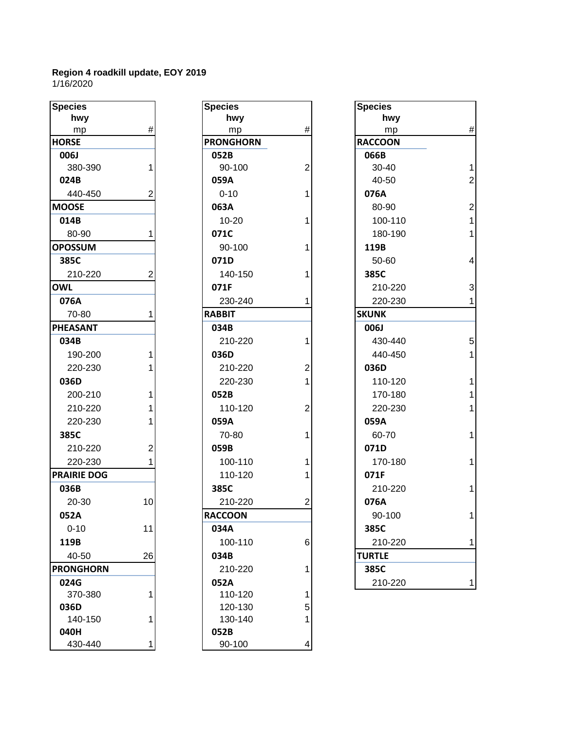| <b>Species</b>     |                | <b>Species</b>   |                | <b>Species</b> |
|--------------------|----------------|------------------|----------------|----------------|
| hwy                |                | hwy              |                | hwy            |
| mp                 | $\#$           | mp               | $\#$           | mp             |
| <b>HORSE</b>       |                | <b>PRONGHORN</b> |                | <b>RACCOON</b> |
| 006J               |                | 052B             |                | 066B           |
| 380-390            | 1              | 90-100           | $\overline{2}$ | 30-40          |
| 024B               |                | 059A             |                | 40-50          |
| 440-450            | $\overline{2}$ | $0 - 10$         | 1              | 076A           |
| <b>MOOSE</b>       |                | 063A             |                | 80-90          |
| 014B               |                | $10 - 20$        | 1              | 100-11         |
| 80-90              | 1              | 071C             |                | 180-19         |
| <b>OPOSSUM</b>     |                | 90-100           | 1              | 119B           |
| 385C               |                | 071D             |                | 50-60          |
| 210-220            | $\overline{2}$ | 140-150          | 1              | 385C           |
| <b>OWL</b>         |                | 071F             |                | 210-22         |
| 076A               |                | 230-240          |                | 220-23         |
| 70-80              | 1              | <b>RABBIT</b>    |                | <b>SKUNK</b>   |
| <b>PHEASANT</b>    |                | 034B             |                | 006J           |
| 034B               |                | 210-220          | 1              | 430-44         |
| 190-200            | $\mathbf{1}$   | 036D             |                | 440-45         |
| 220-230            | 1              | 210-220          | 2              | 036D           |
| 036D               |                | 220-230          | 1              | 110-12         |
| 200-210            | 1              | 052B             |                | 170-18         |
| 210-220            | 1              | 110-120          | $\overline{2}$ | 220-23         |
| 220-230            | 1              | 059A             |                | 059A           |
| 385C               |                | 70-80            | 1              | 60-70          |
| 210-220            | $\overline{2}$ | 059B             |                | 071D           |
| 220-230            | 1              | 100-110          | 1              | 170-18         |
| <b>PRAIRIE DOG</b> |                | 110-120          | 1              | 071F           |
| 036B               |                | 385C             |                | 210-22         |
| 20-30              | 10             | 210-220          | $\overline{2}$ | 076A           |
| 052A               |                | <b>RACCOON</b>   |                | 90-100         |
| $0 - 10$           | 11             | 034A             |                | 385C           |
| 119B               |                | 100-110          | 6              | 210-22         |
| 40-50              | 26             | 034B             |                | <b>TURTLE</b>  |
| <b>PRONGHORN</b>   |                | 210-220          | 1              | 385C           |
| 024G               |                | 052A             |                | 210-22         |
| 370-380            | 1              | 110-120          | 1              |                |
| 036D               |                | 120-130          | 5              |                |
| 140-150            | 1              | 130-140          | 1              |                |
| 040H               |                | 052B             |                |                |
| 430-440            | 1              | 90-100           | 4              |                |

| pecies          |      | <b>Species</b>   |                | <b>Species</b> |
|-----------------|------|------------------|----------------|----------------|
| hwy             |      | hwy              |                | hwy            |
| mp              | $\#$ | mp               | $\#$           | mp             |
| ORSE            |      | <b>PRONGHORN</b> |                | <b>RACCOON</b> |
| 006J            |      | 052B             |                | 066B           |
| 380-390         | 1    | 90-100           | $\overline{2}$ | $30 - 40$      |
| 024B            |      | 059A             |                | 40-50          |
| 440-450         | 2    | $0 - 10$         | 1              | 076A           |
| <b>OOSE</b>     |      | 063A             |                | 80-90          |
| 014B            |      | $10 - 20$        | 1              | 100-11         |
| 80-90           | 1    | 071C             |                | 180-19         |
| <b>POSSUM</b>   |      | 90-100           | 1              | 119B           |
| 385C            |      | 071D             |                | 50-60          |
| 210-220         | 2    | 140-150          | 1              | 385C           |
| WL              |      | 071F             |                | 210-22         |
| 076A            |      | 230-240          | 1              | 220-23         |
| 70-80           | 1    | <b>RABBIT</b>    |                | <b>SKUNK</b>   |
| <b>HEASANT</b>  |      | 034B             |                | 006J           |
| 034B            |      | 210-220          | 1              | 430-44         |
| 190-200         | 1    | 036D             |                | 440-45         |
| 220-230         | 1    | 210-220          | $\overline{2}$ | 036D           |
| 036D            |      | 220-230          | 1              | 110-12         |
| 200-210         | 1    | 052B             |                | 170-18         |
| 210-220         | 1    | 110-120          | $\overline{2}$ | 220-23         |
| 220-230         | 1    | 059A             |                | 059A           |
| 385C            |      | 70-80            | 1              | 60-70          |
| 210-220         | 2    | 059B             |                | 071D           |
| 220-230         | 1    | 100-110          | 1              | 170-18         |
| RAIRIE DOG      |      | 110-120          | 1              | 071F           |
| 036B            |      | 385C             |                | 210-22         |
| 20-30           | 10   | 210-220          | $\overline{2}$ | 076A           |
| 052A            |      | <b>RACCOON</b>   |                | 90-100         |
| $0 - 10$        | 11   | 034A             |                | 385C           |
| 119B            |      | 100-110          | 6              | 210-22         |
| 40-50           | 26   | 034B             |                | <b>TURTLE</b>  |
| <b>RONGHORN</b> |      | 210-220          | 1              | 385C           |
| 024G            |      | 052A             |                | 210-22         |
| 370-380         | 1    | 110-120          | 1              |                |
| 036D            |      | 120-130          | 5              |                |
| 140-150         | 1    | 130-140          | 1              |                |
| 040H            |      | 052B             |                |                |
| 430-440         | 1    | 90-100           | 4              |                |

| <b>Species</b>     |                | <b>Species</b>   |                | <b>Species</b> |                         |
|--------------------|----------------|------------------|----------------|----------------|-------------------------|
| hwy                |                | hwy              |                | hwy            |                         |
| mp                 | $\#$           | mp               | #              | mp             | $\#$                    |
| <b>HORSE</b>       |                | <b>PRONGHORN</b> |                | <b>RACCOON</b> |                         |
| 006J               |                | 052B             |                | 066B           |                         |
| 380-390            | 1              | 90-100           | 2              | 30-40          | $\mathbf{1}$            |
| 024B               |                | 059A             |                | 40-50          | $\overline{2}$          |
| 440-450            | $\overline{2}$ | $0 - 10$         |                | 076A           |                         |
| <b>MOOSE</b>       |                | 063A             |                | 80-90          | $\overline{2}$          |
| 014B               |                | $10 - 20$        |                | 100-110        | $\mathbf{1}$            |
| 80-90              | 1              | 071C             |                | 180-190        | $\mathbf{1}$            |
| <b>OPOSSUM</b>     |                | 90-100           |                | 119B           |                         |
| 385C               |                | 071D             |                | 50-60          | $\overline{\mathbf{4}}$ |
| 210-220            | 2              | 140-150          |                | 385C           |                         |
| <b>OWL</b>         |                | 071F             |                | 210-220        | 3                       |
| 076A               |                | 230-240          |                | 220-230        | $\mathbf{1}$            |
| 70-80              |                | <b>RABBIT</b>    |                | <b>SKUNK</b>   |                         |
| <b>PHEASANT</b>    |                | 034B             |                | 006J           |                         |
| 034B               |                | 210-220          |                | 430-440        | 5                       |
| 190-200            | 1              | 036D             |                | 440-450        | $\mathbf{1}$            |
| 220-230            |                | 210-220          | 2              | 036D           |                         |
| 036D               |                | 220-230          |                | 110-120        | $\mathbf{1}$            |
| 200-210            | 1              | 052B             |                | 170-180        | $\mathbf{1}$            |
| 210-220            |                | 110-120          | 2              | 220-230        | $\mathbf{1}$            |
| 220-230            | 1              | 059A             |                | 059A           |                         |
| 385C               |                | 70-80            |                | 60-70          | $\mathbf{1}$            |
| 210-220            | $\overline{c}$ | 059B             |                | 071D           |                         |
| 220-230            | 1              | 100-110          |                | 170-180        | $\mathbf{1}$            |
| <b>PRAIRIE DOG</b> |                | 110-120          |                | 071F           |                         |
| 036B               |                | 385C             |                | 210-220        | $\mathbf{1}$            |
| 20-30              | 10             | 210-220          | $\overline{2}$ | 076A           |                         |
| 052A               |                | <b>RACCOON</b>   |                | 90-100         | 1                       |
| $0 - 10$           | 11             | 034A             |                | 385C           |                         |
| 119B               |                | 100-110          | 6              | 210-220        | $\mathbf{1}$            |
| 40-50              | 26             | 034B             |                | <b>TURTLE</b>  |                         |
| <b>PRONGHORN</b>   |                | 210-220          |                | 385C           |                         |
| 024G               |                | 052A             |                | 210-220        | 1                       |
|                    |                |                  |                |                |                         |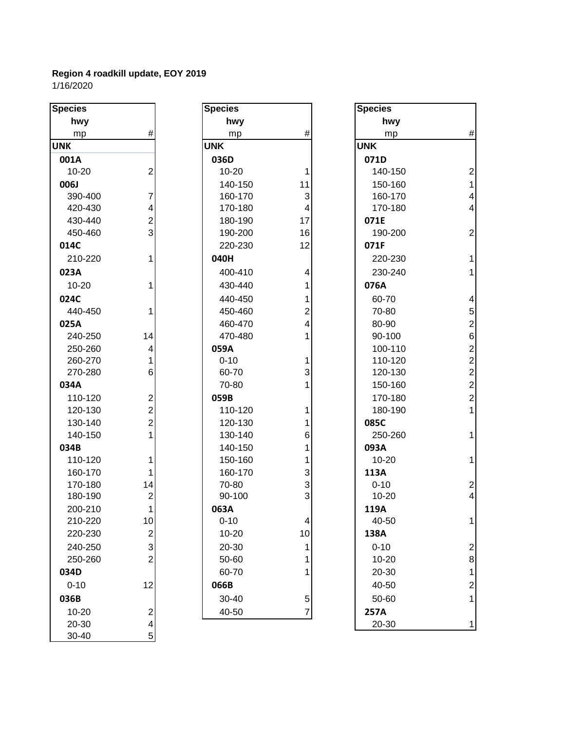| <b>Species</b> |                         | <b>Species</b> |                |            |
|----------------|-------------------------|----------------|----------------|------------|
| hwy            |                         | hwy            |                |            |
| mp             | #                       | mp             | $\#$           |            |
| <b>UNK</b>     |                         | <b>UNK</b>     |                | <b>UNK</b> |
| 001A           |                         | 036D           |                | 071D       |
| $10 - 20$      | $\overline{2}$          | $10 - 20$      | 1              | 140-150    |
| 006J           |                         | 140-150        | 11             | 150-160    |
| 390-400        | 7                       | 160-170        | 3              | 160-170    |
| 420-430        | 4                       | 170-180        | 4              | 170-180    |
| 430-440        | $\overline{2}$          | 180-190        | 17             | 071E       |
| 450-460        | $\overline{3}$          | 190-200        | 16             | 190-200    |
| 014C           |                         | 220-230        | 12             | 071F       |
| 210-220        | 1                       | 040H           |                | 220-230    |
| 023A           |                         | 400-410        | 4              | 230-240    |
| $10 - 20$      | 1                       | 430-440        | 1              | 076A       |
| 024C           |                         | 440-450        | 1              | 60-70      |
| 440-450        | 1                       | 450-460        | $\overline{2}$ | 70-80      |
| 025A           |                         | 460-470        | 4              | 80-90      |
| 240-250        | 14                      | 470-480        | 1              | 90-100     |
| 250-260        | 4                       | 059A           |                | 100-110    |
| 260-270        | 1                       | $0 - 10$       | 1              | 110-120    |
| 270-280        | 6                       | 60-70          | 3              | 120-130    |
| 034A           |                         | 70-80          | 1              | 150-160    |
| 110-120        | $\mathbf{2}$            | 059B           |                | 170-180    |
| 120-130        | $\overline{2}$          | 110-120        | 1              | 180-190    |
| 130-140        | $\overline{2}$          | 120-130        |                | 085C       |
| 140-150        | $\mathbf{1}$            | 130-140        | 6              | 250-260    |
| 034B           |                         | 140-150        | 1              | 093A       |
| 110-120        | 1                       | 150-160        | 1              | $10 - 20$  |
| 160-170        | 1                       | 160-170        | 3              | 113A       |
| 170-180        | 14                      | 70-80          | 3              | $0 - 10$   |
| 180-190        | $\overline{\mathbf{c}}$ | 90-100         | 3              | $10 - 20$  |
| 200-210        | 1                       | 063A           |                | 119A       |
| 210-220        | 10                      | $0 - 10$       | 4              | 40-50      |
| 220-230        | $\mathbf{2}$            | 10-20          | 10             | 138A       |
| 240-250        | $\mathbf{3}$            | 20-30          | 1              | $0 - 10$   |
| 250-260        | $\overline{2}$          | 50-60          | 1              | $10 - 20$  |
| 034D           |                         | 60-70          | 1              | 20-30      |
| $0 - 10$       | 12                      | 066B           |                | 40-50      |
| 036B           |                         | 30-40          | 5              | 50-60      |
| 10-20          | $\overline{\mathbf{c}}$ | 40-50          | $\overline{7}$ | 257A       |
| 20-30          | $\overline{4}$          |                |                | 20-30      |
| 30-40          | 5 <sup>1</sup>          |                |                |            |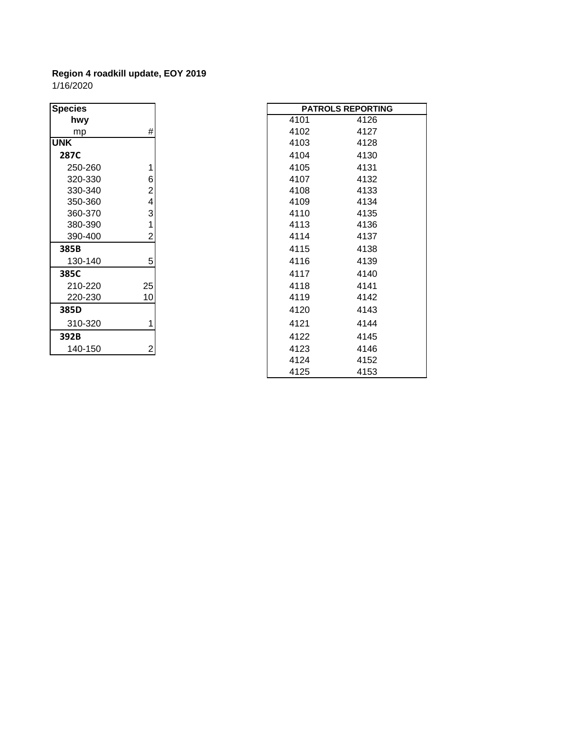| <b>Species</b> |                         |
|----------------|-------------------------|
| hwy            |                         |
| mp             | #                       |
| <b>UNK</b>     |                         |
| 287C           |                         |
| 250-260        | 1                       |
| 320-330        | $\frac{6}{2}$           |
| 330-340        |                         |
| 350-360        | $\overline{\mathbf{4}}$ |
| 360-370        | 3                       |
| 380-390        | $\overline{1}$          |
| 390-400        | $\overline{2}$          |
| 385B           |                         |
| 130-140        | 5                       |
| 385C           |                         |
| 210-220        | 25                      |
| 220-230        | 10                      |
| 385D           |                         |
| 310-320        | 1                       |
| 392B           |                         |
| 140-150        |                         |

| <b>Species</b> |    |  | <b>PATROLS REPORTING</b> |      |  |
|----------------|----|--|--------------------------|------|--|
| hwy            |    |  | 4101                     | 4126 |  |
| mp             | #  |  | 4102                     | 4127 |  |
| <b>UNK</b>     |    |  | 4103                     | 4128 |  |
| 287C           |    |  | 4104                     | 4130 |  |
| 250-260        |    |  | 4105                     | 4131 |  |
| 320-330        | 6  |  | 4107                     | 4132 |  |
| 330-340        | 2  |  | 4108                     | 4133 |  |
| 350-360        | 4  |  | 4109                     | 4134 |  |
| 360-370        | 3  |  | 4110                     | 4135 |  |
| 380-390        | 1  |  | 4113                     | 4136 |  |
| 390-400        | 2  |  | 4114                     | 4137 |  |
| 385B           |    |  | 4115                     | 4138 |  |
| 130-140        | 5  |  | 4116                     | 4139 |  |
| 385C           |    |  | 4117                     | 4140 |  |
| 210-220        | 25 |  | 4118                     | 4141 |  |
| 220-230        | 10 |  | 4119                     | 4142 |  |
| 385D           |    |  | 4120                     | 4143 |  |
| 310-320        | 1  |  | 4121                     | 4144 |  |
| 392B           |    |  | 4122                     | 4145 |  |
| 140-150        | 2  |  | 4123                     | 4146 |  |
|                |    |  | 4124                     | 4152 |  |
|                |    |  | 4125                     | 4153 |  |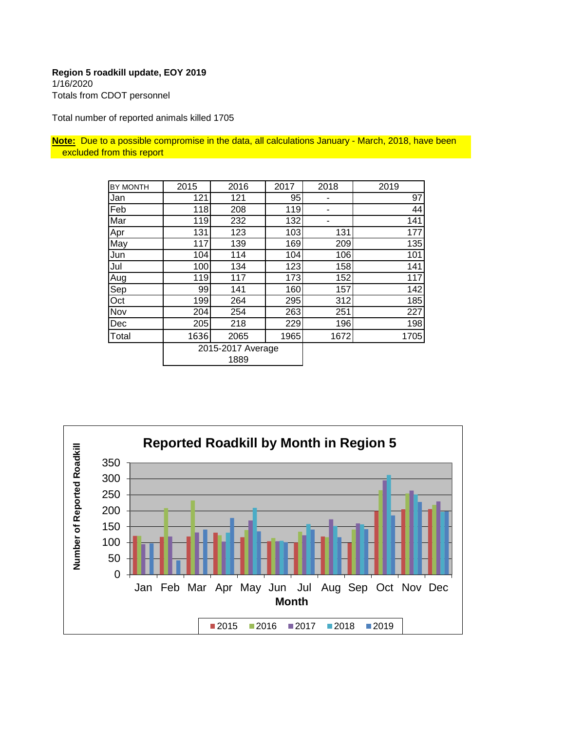#### **Region 5 roadkill update, EOY 2019** 1/16/2020

Totals from CDOT personnel

Total number of reported animals killed 1705

**Note:** Due to a possible compromise in the data, all calculations January - March, 2018, have been excluded from this report

| BY MONTH | 2015 | 2016                      | 2017 | 2018 | 2019 |
|----------|------|---------------------------|------|------|------|
| Jan      | 121  | 121                       | 95   |      | 97   |
| Feb      | 118  | 208                       | 119  |      | 44   |
| Mar      | 119  | 232                       | 132  | ۰    | 141  |
| Apr      | 131  | 123                       | 103  | 131  | 177  |
| May      | 117  | 139                       | 169  | 209  | 135  |
| Jun      | 104  | 114                       | 104  | 106  | 101  |
| Jul      | 100  | 134                       | 123  | 158  | 141  |
| Aug      | 119  | 117                       | 173  | 152  | 117  |
| Sep      | 99   | 141                       | 160  | 157  | 142  |
| Oct      | 199  | 264                       | 295  | 312  | 185  |
| Nov      | 204  | 254                       | 263  | 251  | 227  |
| Dec      | 205  | 218                       | 229  | 196  | 198  |
| Total    | 1636 | 2065                      | 1965 | 1672 | 1705 |
|          |      | 2015-2017 Average<br>1889 |      |      |      |

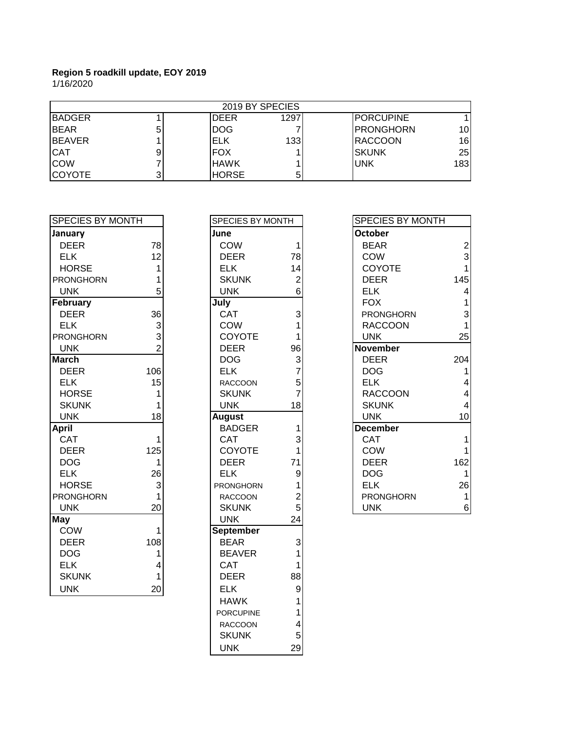|                |   | 2019 BY SPECIES |      |                   |     |
|----------------|---|-----------------|------|-------------------|-----|
| <b>BADGER</b>  |   | <b>DEER</b>     | 1297 | <b>IPORCUPINE</b> |     |
| <b>IBEAR</b>   | b | <b>DOG</b>      |      | <b>IPRONGHORN</b> | 10  |
| <b>IBEAVER</b> |   | IELK            | 133  | <b>IRACCOON</b>   | 16  |
| <b>CAT</b>     |   | IFOX            |      | ISKUNK            | 25  |
| <b>COW</b>     |   | <b>HAWK</b>     |      | <b>UNK</b>        | 183 |
| ICOYOTE        |   | <b>HORSE</b>    | 5    |                   |     |

| <b>SPECIES BY MONTH</b> |                | SPECIES BY MONTH |                         | <b>SPECIES BY MONTH</b> |
|-------------------------|----------------|------------------|-------------------------|-------------------------|
| January                 |                | June             |                         | <b>October</b>          |
| <b>DEER</b>             | 78             | <b>COW</b>       |                         | <b>BEAR</b>             |
| <b>ELK</b>              | 12             | <b>DEER</b>      | 78                      | COW                     |
| <b>HORSE</b>            | 1              | <b>ELK</b>       | 14                      | <b>COYOTE</b>           |
| <b>PRONGHORN</b>        | 1              | <b>SKUNK</b>     | $\overline{\mathbf{c}}$ | <b>DEER</b>             |
| <b>UNK</b>              | 5              | <b>UNK</b>       | 6                       | <b>ELK</b>              |
| February                |                | July             |                         | <b>FOX</b>              |
| <b>DEER</b>             | 36             | CAT              | 3                       | <b>PRONGHORN</b>        |
| <b>ELK</b>              | 3              | <b>COW</b>       |                         | <b>RACCOON</b>          |
| <b>PRONGHORN</b>        | 3              | COYOTE           |                         | <b>UNK</b>              |
| <b>UNK</b>              | $\overline{2}$ | <b>DEER</b>      | 96                      | <b>November</b>         |
| <b>March</b>            |                | <b>DOG</b>       | 3                       | <b>DEER</b>             |
| <b>DEER</b>             | 106            | <b>ELK</b>       | $\overline{7}$          | <b>DOG</b>              |
| <b>ELK</b>              | 15             | <b>RACCOON</b>   | 5                       | <b>ELK</b>              |
| <b>HORSE</b>            | 1              | <b>SKUNK</b>     | $\overline{7}$          | <b>RACCOON</b>          |
| <b>SKUNK</b>            |                | <b>UNK</b>       | 18                      | <b>SKUNK</b>            |
| <b>UNK</b>              | 18             | <b>August</b>    |                         | <b>UNK</b>              |
| <b>April</b>            |                | <b>BADGER</b>    |                         | <b>December</b>         |
| <b>CAT</b>              | $\mathbf{1}$   | <b>CAT</b>       | 3                       | <b>CAT</b>              |
| <b>DEER</b>             | 125            | COYOTE           |                         | <b>COW</b>              |
| <b>DOG</b>              | 1              | <b>DEER</b>      | 71                      | <b>DEER</b>             |
| <b>ELK</b>              | 26             | <b>ELK</b>       | 9                       | <b>DOG</b>              |
| <b>HORSE</b>            | 3              | <b>PRONGHORN</b> |                         | <b>ELK</b>              |
| <b>PRONGHORN</b>        | 1              | <b>RACCOON</b>   | $\overline{c}$          | <b>PRONGHORN</b>        |
| <b>UNK</b>              | 20             | <b>SKUNK</b>     | 5                       | <b>UNK</b>              |
| <b>May</b>              |                | <b>UNK</b>       | 24                      |                         |
| <b>COW</b>              | 1              | <b>September</b> |                         |                         |
| <b>DEER</b>             | 108            | <b>BEAR</b>      | 3                       |                         |
| <b>DOG</b>              | 1              | <b>BEAVER</b>    |                         |                         |
| <b>ELK</b>              | 4              | <b>CAT</b>       |                         |                         |
| <b>SKUNK</b>            | 1              | <b>DEER</b>      | 88                      |                         |
| <b>UNK</b>              | 20             | <b>ELK</b>       | $\overline{9}$          |                         |

| SPECIES BY MONTH |                                       |
|------------------|---------------------------------------|
| June             |                                       |
| COW              | 1                                     |
| <b>DEER</b>      | 78                                    |
| ELK              | 14                                    |
| <b>SKUNK</b>     |                                       |
| <b>UNK</b>       | $\frac{2}{6}$                         |
| July             |                                       |
| CAT              |                                       |
| COW              |                                       |
| COYOTE           | 3 1 1 9 6 3 7 5 7                     |
| <b>DEER</b>      |                                       |
| <b>DOG</b>       |                                       |
| <b>ELK</b>       |                                       |
| <b>RACCOON</b>   |                                       |
| <b>SKUNK</b>     |                                       |
| <b>UNK</b>       | 18                                    |
| <b>August</b>    |                                       |
| <b>BADGER</b>    |                                       |
| CAT              |                                       |
| COYOTE           |                                       |
| <b>DEER</b>      |                                       |
| <b>ELK</b>       |                                       |
| PRONGHORN        |                                       |
| RACCOON          |                                       |
| <b>SKUNK</b>     |                                       |
| <b>UNK</b>       |                                       |
| September        | 131791252                             |
| <b>BEAR</b>      | 3<br>1                                |
| <b>BEAVER</b>    |                                       |
| CAT              | 1                                     |
| DEER             | 88                                    |
| <b>ELK</b>       | 9                                     |
| <b>HAWK</b>      | 1                                     |
| <b>PORCUPINE</b> |                                       |
| <b>RACCOON</b>   | $\begin{array}{c} 1 \\ 4 \end{array}$ |
| <b>SKUNK</b>     | 5                                     |
| <b>UNK</b>       | 29                                    |
|                  |                                       |

| SPECIES BY MONTH |                | <b>SPECIES BY MONTH</b> |    | SPECIES BY MONTH |               |
|------------------|----------------|-------------------------|----|------------------|---------------|
| January          |                | June                    |    | <b>October</b>   |               |
| <b>DEER</b>      | 78             | <b>COW</b>              |    | <b>BEAR</b>      | $\frac{2}{3}$ |
| <b>ELK</b>       | 12             | <b>DEER</b>             | 78 | <b>COW</b>       |               |
| <b>HORSE</b>     |                | <b>ELK</b>              | 14 | <b>COYOTE</b>    |               |
| <b>PRONGHORN</b> |                | <b>SKUNK</b>            | 2  | <b>DEER</b>      | 145           |
| <b>UNK</b>       | 5              | <b>UNK</b>              | 6  | <b>ELK</b>       |               |
| February         |                | July                    |    | <b>FOX</b>       |               |
| <b>DEER</b>      | 36             | <b>CAT</b>              | 3  | <b>PRONGHORN</b> | 3             |
| <b>ELK</b>       | 3              | <b>COW</b>              |    | <b>RACCOON</b>   |               |
| <b>PRONGHORN</b> | 3              | <b>COYOTE</b>           |    | <b>UNK</b>       | 25            |
| <b>UNK</b>       | $\overline{c}$ | <b>DEER</b>             | 96 | <b>November</b>  |               |
| <b>March</b>     |                | <b>DOG</b>              | 3  | <b>DEER</b>      | 204           |
| <b>DEER</b>      | 106            | <b>ELK</b>              |    | <b>DOG</b>       |               |
| <b>ELK</b>       | 15             | <b>RACCOON</b>          | 5  | <b>ELK</b>       |               |
| <b>HORSE</b>     |                | <b>SKUNK</b>            |    | <b>RACCOON</b>   |               |
| <b>SKUNK</b>     |                | <b>UNK</b>              | 18 | <b>SKUNK</b>     |               |
| <b>UNK</b>       | 18             | <b>August</b>           |    | <b>UNK</b>       | 10            |
| April            |                | <b>BADGER</b>           |    | <b>December</b>  |               |
| CAT              |                | <b>CAT</b>              | 3  | <b>CAT</b>       |               |
| <b>DEER</b>      | 125            | <b>COYOTE</b>           |    | COW              |               |
| <b>DOG</b>       |                | <b>DEER</b>             | 71 | <b>DEER</b>      | 162           |
| <b>ELK</b>       | 26             | <b>ELK</b>              | 9  | <b>DOG</b>       |               |
| <b>HORSE</b>     | 3              | <b>PRONGHORN</b>        |    | <b>ELK</b>       | 26            |
| <b>PRONGHORN</b> |                | <b>RACCOON</b>          |    | <b>PRONGHORN</b> |               |
| <b>UNK</b>       | 20             | <b>SKUNK</b>            | 5  | <b>UNK</b>       | 6             |
|                  |                |                         |    |                  |               |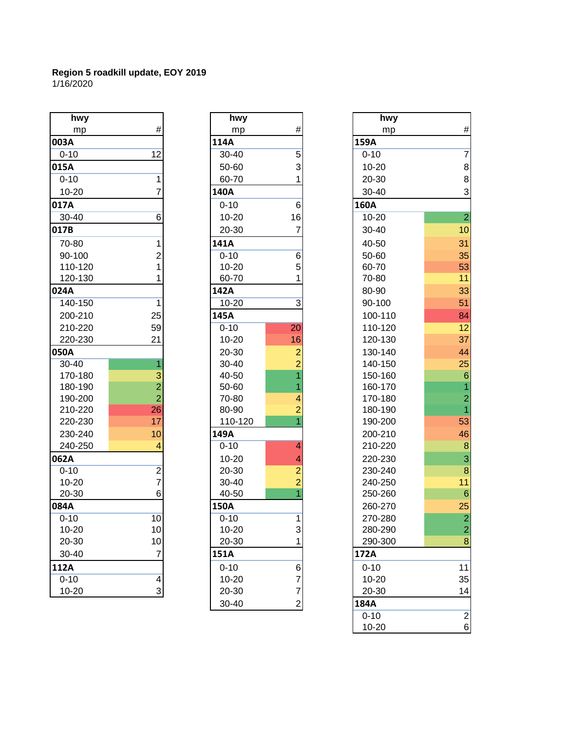| hwy       |                         | hwy       |                | hwy         |
|-----------|-------------------------|-----------|----------------|-------------|
| mp        | #                       | mp        | #              | mp          |
| 003A      |                         | 114A      |                | 159A        |
| $0 - 10$  | 12                      | 30-40     | 5              | $0 - 10$    |
| 015A      |                         | 50-60     | 3              | 10-20       |
| $0 - 10$  | 1                       | 60-70     | 1              | 20-30       |
| 10-20     | 7                       | 140A      |                | 30-40       |
| 017A      |                         | $0 - 10$  | 6              | <b>160A</b> |
| 30-40     | 6                       | $10 - 20$ | 16             | 10-20       |
| 017B      |                         | 20-30     | $\overline{7}$ | $30 - 40$   |
| 70-80     | 1                       | 141A      |                | 40-50       |
| 90-100    | $\overline{2}$          | $0 - 10$  | 6              | 50-60       |
| 110-120   | 1                       | 10-20     | 5              | 60-70       |
| 120-130   |                         | 60-70     | 1              | 70-80       |
| 024A      |                         | 142A      |                | 80-90       |
| 140-150   | 1                       | $10 - 20$ | 3              | 90-100      |
| 200-210   | 25                      | 145A      |                | 100-110     |
| 210-220   | 59                      | $0 - 10$  | 20             | 110-120     |
| 220-230   | 21                      | 10-20     | 16             | 120-130     |
| 050A      |                         | 20-30     | $\overline{a}$ | 130-140     |
| 30-40     | 1                       | 30-40     | $\overline{2}$ | 140-150     |
| 170-180   | 3                       | 40-50     | 1              | 150-160     |
| 180-190   | $\overline{2}$          | 50-60     | 1              | 160-170     |
| 190-200   | $\overline{2}$          | 70-80     | 4              | 170-180     |
| 210-220   | 26                      | 80-90     | $\overline{2}$ | 180-190     |
| 220-230   | 17                      | 110-120   | $\overline{1}$ | 190-200     |
| 230-240   | 10                      | 149A      |                | 200-210     |
| 240-250   | $\overline{4}$          | $0 - 10$  | $\overline{4}$ | 210-220     |
| 062A      |                         | $10 - 20$ | 4              | 220-230     |
| $0 - 10$  | $\overline{2}$          | 20-30     | $\overline{c}$ | 230-240     |
| 10-20     | $\overline{7}$          | 30-40     | $\overline{2}$ | 240-250     |
| 20-30     | 6                       | 40-50     | $\overline{1}$ | 250-260     |
| 084A      |                         | 150A      |                | 260-270     |
| $0 - 10$  | 10                      | $0 - 10$  | 1              | 270-280     |
| $10 - 20$ | 10                      | $10 - 20$ | 3              | 280-290     |
| 20-30     | 10                      | 20-30     | 1              | 290-300     |
| 30-40     | 7                       | 151A      |                | 172A        |
| 112A      |                         | $0 - 10$  | 6              | $0 - 10$    |
| $0 - 10$  | $\overline{\mathbf{r}}$ | $10 - 20$ | 7              | 10-20       |
| $10 - 20$ | 3                       | 20-30     | $\overline{7}$ | 20-30       |

| hwy<br>mp        | #                                |            |
|------------------|----------------------------------|------------|
| 114A             |                                  | 159A       |
| $30 - 40$        | 5                                | $0 - 1$    |
| 50-60            | 3                                | $10 -$     |
| 60-70            | $\overline{1}$                   | $20 -$     |
| 140A             |                                  | $30 -$     |
| $0 - 10$         | 6                                | 160A       |
| 10-20            | 16                               | $10 -$     |
| 20-30            | $\overline{7}$                   | $30 -$     |
| 141A             |                                  | 40-        |
| $0 - 10$         | 6                                | 50-        |
| $10 - 20$        | 5                                | $60 -$     |
| 60-70            | $\overline{1}$                   | $70-$      |
| 142A             |                                  | $80 -$     |
| 10-20            | 3                                | 90-        |
| 145A             |                                  | 10C        |
| $0 - 10$         | 20                               | 11C        |
| 10-20            | 16                               | 120        |
| 20-30            | $\overline{\mathbf{c}}$          | <b>130</b> |
| 30-40            | $\frac{2}{1}$                    | <b>140</b> |
| 40-50            |                                  | 15C        |
| 50-60            | $\overline{1}$                   | 160        |
| 70-80            | 4                                | 17C        |
| 80-90            | $\overline{a}$<br>$\overline{1}$ | <b>180</b> |
| 110-120          |                                  | <b>190</b> |
| 149A<br>$0 - 10$ | 4                                | 200<br>210 |
| 10-20            |                                  | 220        |
| 20-30            |                                  | 230        |
| 30-40            |                                  | 240        |
| 40-50            | $\frac{4}{2}$ $\frac{2}{1}$      | <b>250</b> |
| 150A             |                                  | 260        |
| $0 - 10$         | $\overline{1}$                   | 27C        |
| $10 - 20$        |                                  | <b>280</b> |
| 20-30            | 3<br>1                           | 290        |
| 151A             |                                  | 172A       |
| $0 - 10$         |                                  | $0 - 1$    |
| 10-20            |                                  | $10 -$     |
| 20-30            | 6772                             | $20 -$     |
| 30-40            |                                  | 184A       |

| hwy       |                         | hwy       |                | hwy       |          |
|-----------|-------------------------|-----------|----------------|-----------|----------|
| mp        | #                       | mp        | #              | mp        |          |
| 003A      |                         | 114A      |                | 159A      |          |
| $0 - 10$  | 12                      | 30-40     | 5              | $0 - 10$  |          |
| 015A      |                         | 50-60     | 3              | $10 - 20$ |          |
| $0 - 10$  | 1                       | 60-70     |                | 20-30     |          |
| $10 - 20$ | 7                       | 140A      |                | 30-40     |          |
| 017A      |                         | $0 - 10$  | $\,6$          | 160A      |          |
| 30-40     | 6                       | $10 - 20$ | 16             | $10 - 20$ |          |
| 017B      |                         | 20-30     | 7              | 30-40     | 10       |
| 70-80     | 1                       | 141A      |                | 40-50     | 31       |
| 90-100    |                         | $0 - 10$  |                | 50-60     |          |
| 110-120   | $\overline{c}$<br>1     | $10 - 20$ | 6<br>5         | 60-70     | 35<br>53 |
| 120-130   |                         | 60-70     |                | 70-80     | 11       |
| 024A      |                         | 142A      |                | 80-90     | 33       |
| 140-150   |                         |           |                |           |          |
|           | 1                       | $10 - 20$ | 3              | 90-100    | 51       |
| 200-210   | 25                      | 145A      |                | 100-110   | 84       |
| 210-220   | 59                      | $0 - 10$  | 20             | 110-120   | 12       |
| 220-230   | 21                      | $10 - 20$ | 16             | 120-130   | 37       |
| 050A      |                         | 20-30     | $\overline{c}$ | 130-140   | 44       |
| $30 - 40$ | 1                       | 30-40     | $\overline{2}$ | 140-150   | 25       |
| 170-180   | 3                       | 40-50     | $\overline{1}$ | 150-160   |          |
| 180-190   | $\overline{2}$          | 50-60     |                | 160-170   |          |
| 190-200   | $\overline{2}$          | 70-80     | 4              | 170-180   |          |
| 210-220   | 26                      | 80-90     | $\overline{c}$ | 180-190   |          |
| 220-230   | 17                      | 110-120   |                | 190-200   | 53       |
| 230-240   | 10                      | 149A      |                | 200-210   | 46       |
| 240-250   | 4                       | $0 - 10$  | 4              | 210-220   |          |
| 062A      |                         | $10 - 20$ | 4              | 220-230   |          |
| $0 - 10$  | $\overline{\mathbf{c}}$ | 20-30     | $\overline{c}$ | 230-240   |          |
| $10 - 20$ | 7                       | 30-40     | $\overline{2}$ | 240-250   | 11       |
| 20-30     | 6                       | 40-50     |                | 250-260   |          |
| 084A      |                         | 150A      |                | 260-270   | 25       |
| $0 - 10$  | 10                      | $0 - 10$  | 1              | 270-280   |          |
| 10-20     | 10                      | $10 - 20$ | 3              | 280-290   |          |
| 20-30     | 10                      | 20-30     |                | 290-300   |          |
| 30-40     | $\overline{7}$          | 151A      |                | 172A      |          |
| 112A      |                         | $0 - 10$  | 6              | $0 - 10$  | 11       |
| $0 - 10$  | 4                       | $10 - 20$ | 7              | 10-20     | 35       |
| 10-20     | $\mathbf{3}$            | 20-30     | $\overline{7}$ | 20-30     | 14       |
|           |                         | 30-40     | $\mathbf{2}$   | 184A      |          |
|           |                         |           |                | $0 - 10$  |          |
|           |                         |           |                | $10 - 20$ |          |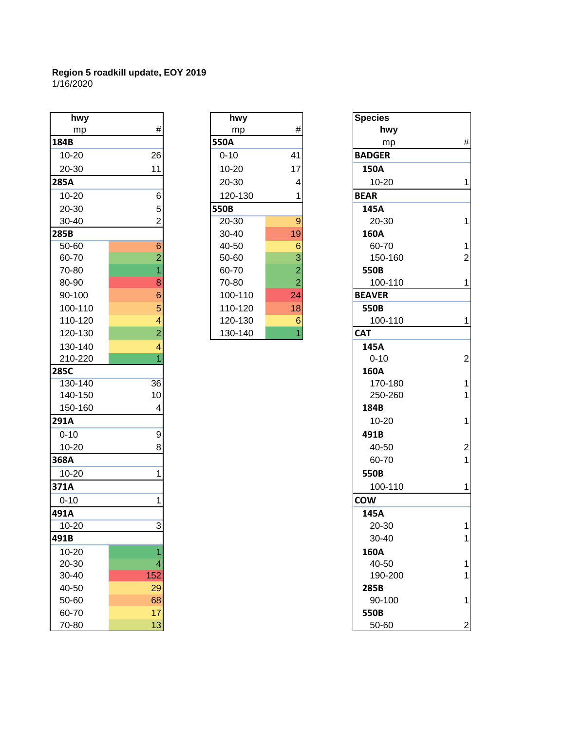1/16/2020

| hwy       |                 | hwy      |                | <b>Species</b> |
|-----------|-----------------|----------|----------------|----------------|
| mp        | $\#$            | mp       | #              | hv             |
| 184B      |                 | 550A     |                | m              |
| 10-20     | 26              | $0 - 10$ | 41             | <b>BADGER</b>  |
| 20-30     | 11              | 10-20    | 17             | 150A           |
| 285A      |                 | 20-30    | 4              | $10 - 20$      |
| 10-20     | 6               | 120-130  | 1              | <b>BEAR</b>    |
| 20-30     | 5               | 550B     |                | 145A           |
| 30-40     | $\overline{2}$  | 20-30    | 9              | $20 - 30$      |
| 285B      |                 | 30-40    | 19             | 160A           |
| 50-60     | 6               | 40-50    | 6              | $60 - 70$      |
| 60-70     | $\overline{2}$  | 50-60    | 3              | $150 - 7$      |
| 70-80     | 1               | 60-70    | $\overline{2}$ | 550B           |
| 80-90     | 8               | 70-80    | $\overline{2}$ | $100 - 7$      |
| 90-100    | $6\phantom{1}6$ | 100-110  | 24             | <b>BEAVER</b>  |
| 100-110   | 5               | 110-120  | 18             | 550B           |
| 110-120   | 4               | 120-130  | 6              | $100 -$        |
| 120-130   | $\overline{2}$  | 130-140  | $\overline{1}$ | <b>CAT</b>     |
| 130-140   | $\overline{4}$  |          |                | 145A           |
| 210-220   | $\overline{1}$  |          |                | $0 - 10$       |
| 285C      |                 |          |                | 160A           |
| 130-140   | 36              |          |                | $170 -$        |
| 140-150   | 10              |          |                | $250 - 2$      |
| 150-160   | 4               |          |                | 184B           |
| 291A      |                 |          |                | $10 - 20$      |
| $0 - 10$  | 9               |          |                | 491B           |
| 10-20     | 8               |          |                | $40 - 50$      |
| 368A      |                 |          |                | $60 - 70$      |
| 10-20     | 1               |          |                | 550B           |
| 371A      |                 |          |                | $100 - 7$      |
| $0 - 10$  | 1               |          |                | <b>COW</b>     |
| 491A      |                 |          |                | 145A           |
| $10 - 20$ | $\overline{3}$  |          |                | $20 - 30$      |
| 491B      |                 |          |                | $30 - 40$      |
| 10-20     | 1               |          |                | 160A           |
| 20-30     | 4               |          |                | $40 - 50$      |
| 30-40     | 152             |          |                | $190 - 2$      |
| 40-50     | 29              |          |                | 285B           |
| 50-60     | 68              |          |                | $90 - 10$      |
| 60-70     | 17              |          |                | 550B           |
| 70-80     | 13              |          |                | $50 - 60$      |

| hwy   |                | hwy      |    | <b>Species</b> |
|-------|----------------|----------|----|----------------|
| mp    | #              | mp       | #  | hwy            |
|       |                | 550A     |    | mp             |
| -20   | 26             | $0 - 10$ | 41 | <b>BADGER</b>  |
| -30   | 11             | 10-20    | 17 | 150A           |
|       |                | 20-30    | 4  | 10-20          |
| $-20$ | 6              | 120-130  |    | <b>BEAR</b>    |
| -30   | 5              | 550B     |    | 145A           |
| -40   | 2              | 20-30    | 9  | 20-30          |
|       |                | 30-40    | 19 | 160A           |
| -60   | 6              | 40-50    | 6  | 60-70          |
| -70   | 2              | 50-60    | 3  | 150-16         |
| -80   |                | 60-70    | 2  | 550B           |
| -90   | 8              | 70-80    | 2  | 100-11         |
| -100  | 6              | 100-110  | 24 | <b>BEAVER</b>  |
| 0-110 | 5              | 110-120  | 18 | 550B           |
| 0-120 | 4              | 120-130  | 6  | 100-11         |
| 0-130 | $\overline{2}$ | 130-140  | 1  | <b>CAT</b>     |

| hwy       |                           | hwy         |                  |  |
|-----------|---------------------------|-------------|------------------|--|
| mp        | $\#$                      | mp          | $\#$             |  |
| 184B      |                           | <b>550A</b> |                  |  |
| $10 - 20$ | 26                        | $0 - 10$    | 41               |  |
| 20-30     |                           |             |                  |  |
|           | 11                        | $10 - 20$   | 17               |  |
| 285A      |                           | 20-30       | 4                |  |
| 10-20     | 6                         | 120-130     | 1                |  |
| 20-30     | 5                         | 550B        |                  |  |
| 30-40     | $\overline{2}$            | 20-30       | $\overline{9}$   |  |
| 285B      |                           | 30-40       | 19               |  |
| $50 - 60$ | $6 \overline{6}$          | 40-50       | $6\phantom{1}6$  |  |
| 60-70     | $\overline{2}$            | 50-60       | 3                |  |
| 70-80     | 1                         | 60-70       | $\overline{c}$   |  |
| 80-90     | 8                         | 70-80       | $\overline{2}$   |  |
| 90-100    | $6\phantom{1}6$           | 100-110     | 24               |  |
| 100-110   | 5                         | 110-120     | 18               |  |
| 110-120   | 4                         | 120-130     | $\boldsymbol{6}$ |  |
| 120-130   | $\overline{2}$            | 130-140     | $\overline{1}$   |  |
| 130-140   | 4                         |             |                  |  |
| 210-220   |                           |             |                  |  |
| 285C      |                           |             |                  |  |
| 130-140   | 36                        |             |                  |  |
| 140-150   | 10                        |             |                  |  |
| 150-160   | 4                         |             |                  |  |
| 291A      |                           |             |                  |  |
| $0 - 10$  | 9                         |             |                  |  |
| $10 - 20$ | 8                         |             |                  |  |
| 368A      |                           |             |                  |  |
|           |                           |             |                  |  |
| 10-20     | 1                         |             |                  |  |
| 371A      |                           |             |                  |  |
| $0 - 10$  |                           |             |                  |  |
| 491A      |                           |             |                  |  |
| $10 - 20$ | $\ensuremath{\mathsf{3}}$ |             |                  |  |
| 491B      |                           |             |                  |  |
| 10-20     | 1                         |             |                  |  |
| $20 - 30$ | 4                         |             |                  |  |
| 30-40     | 152                       |             |                  |  |
| 40-50     | 29                        |             |                  |  |
| 50-60     | 68                        |             |                  |  |
| 60-70     | 17                        |             |                  |  |
| 70-80     |                           |             |                  |  |
|           | 13                        |             |                  |  |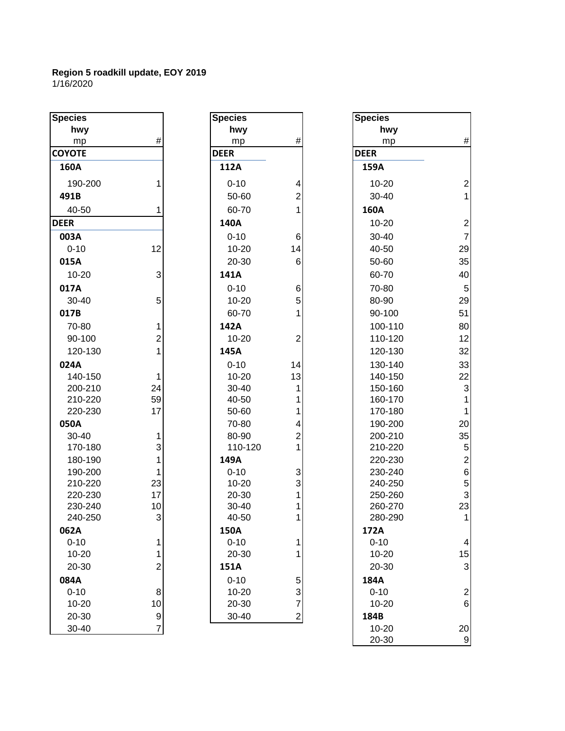| <b>Species</b> |                | <b>Species</b> |                         | <b>Species</b> |                |
|----------------|----------------|----------------|-------------------------|----------------|----------------|
| hwy            |                | hwy            |                         | hwy            |                |
| mp             | #              | mp             | #                       | mp             | #              |
| <b>COYOTE</b>  |                | <b>DEER</b>    |                         | <b>DEER</b>    |                |
| 160A           |                | 112A           |                         | 159A           |                |
| 190-200        | 1              | $0 - 10$       | 4                       | 10-20          | $\overline{2}$ |
| 491B           |                | 50-60          | $\overline{\mathbf{c}}$ | 30-40          | 1              |
| 40-50          |                | 60-70          | 1                       | 160A           |                |
| <b>DEER</b>    |                | 140A           |                         | 10-20          | $\overline{a}$ |
| 003A           |                | $0 - 10$       | 6                       | 30-40          | $\overline{7}$ |
| $0 - 10$       | 12             | $10 - 20$      | 14                      | 40-50          | 29             |
| 015A           |                | 20-30          | 6                       | 50-60          | 35             |
| $10 - 20$      | 3              | 141A           |                         | 60-70          | 40             |
| 017A           |                | $0 - 10$       | 6                       | 70-80          | 5              |
| 30-40          | 5              | $10 - 20$      | 5                       | 80-90          | 29             |
| 017B           |                | 60-70          | 1                       | 90-100         | 51             |
| 70-80          | 1              | 142A           |                         | 100-110        | 80             |
| 90-100         | $\overline{c}$ | $10 - 20$      | $\overline{c}$          | 110-120        | 12             |
| 120-130        | 1              | 145A           |                         | 120-130        | 32             |
| 024A           |                | $0 - 10$       | 14                      | 130-140        | 33             |
| 140-150        | 1              | $10 - 20$      | 13                      | 140-150        | 22             |
| 200-210        | 24             | 30-40          | 1                       | 150-160        | 3              |
| 210-220        | 59             | 40-50          | 1                       | 160-170        | 1              |
| 220-230        | 17             | 50-60          | 1                       | 170-180        | $\mathbf{1}$   |
| 050A           |                | 70-80          | 4                       | 190-200        | 20             |
| 30-40          | 1              | 80-90          | $\overline{\mathbf{c}}$ | 200-210        | 35             |
| 170-180        | 3              | 110-120        | 1                       | 210-220        | 5              |
| 180-190        | 1              | 149A           |                         | 220-230        | $\overline{c}$ |
| 190-200        | 1              | $0 - 10$       | 3                       | 230-240        | $\overline{6}$ |
| 210-220        | 23             | $10 - 20$      | 3                       | 240-250        | 5              |
| 220-230        | 17             | 20-30          | 1                       | 250-260        | 3              |
| 230-240        | 10             | 30-40          | 1                       | 260-270        | 23             |
| 240-250        | 3              | 40-50          | 1                       | 280-290        | 1              |
| 062A           |                | 150A           |                         | 172A           |                |
| $0 - 10$       | $\mathbf 1$    | $0 - 10$       | 1                       | $0 - 10$       | 4              |
| 10-20          | $\mathbf{1}$   | 20-30          | 1                       | 10-20          | 15             |
| 20-30          | $\overline{2}$ | 151A           |                         | 20-30          | 3              |
| 084A           |                | $0 - 10$       | 5                       | 184A           |                |
| $0 - 10$       | 8              | $10 - 20$      | 3                       | $0 - 10$       | $\overline{2}$ |
| $10 - 20$      | 10             | 20-30          | $\overline{7}$          | $10 - 20$      | 6              |
| 20-30          | 9              | 30-40          | $\mathbf{2}$            | 184B           |                |
| $30 - 40$      | $\overline{7}$ |                |                         | $10-20$        | 20             |

| cies                    |                | <b>Species</b> |                  | <b>Species</b> |                |
|-------------------------|----------------|----------------|------------------|----------------|----------------|
| hwy                     |                | hwy            |                  | hwy            |                |
| mp                      | $\#$           | mp             | #                | mp             | #              |
| <b>OTE</b>              |                | <b>DEER</b>    |                  | <b>DEER</b>    |                |
| 50A                     |                | 112A           |                  | 159A           |                |
| 190-200                 |                | $0 - 10$       | 4                | 10-20          | $\overline{c}$ |
| )1B                     |                | 50-60          | $\boldsymbol{2}$ | 30-40          | $\mathbf{1}$   |
| 40-50                   |                | 60-70          |                  | 160A           |                |
| $\overline{\mathbf{R}}$ |                | 140A           |                  | 10-20          | $\overline{c}$ |
| )3A                     |                | $0 - 10$       | 6                | 30-40          | $\overline{7}$ |
| $0 - 10$                | 12             | $10 - 20$      | 14               | 40-50          | 29             |
| L5A                     |                | 20-30          | 6                | 50-60          | 35             |
| 10-20                   | 3              | 141A           |                  | 60-70          | 40             |
| L7A                     |                | $0 - 10$       | 6                | 70-80          | 5              |
| 30-40                   | 5              | $10 - 20$      | 5                | 80-90          | 29             |
| L7B                     |                | 60-70          |                  | 90-100         | 51             |
| 70-80                   | 1              | 142A           |                  | 100-110        | 80             |
| 90-100                  | 2              | $10 - 20$      | $\overline{2}$   | 110-120        | 12             |
| 120-130                 | 1              | 145A           |                  | 120-130        | 32             |
| 24A                     |                | $0 - 10$       | 14               | 130-140        | 33             |
| 140-150                 | 1              | $10 - 20$      | 13               | 140-150        | 22             |
| 200-210                 | 24             | 30-40          | 1                | 150-160        | 3              |
| 210-220                 | 59             | 40-50          |                  | 160-170        | 1              |
| 220-230                 | 17             | 50-60          | 1                | 170-180        | $\mathbf{1}$   |
| 50A                     |                | 70-80          | 4                | 190-200        | 20             |
| 30-40                   | 1              | 80-90          | $\mathbf{2}$     | 200-210        | 35             |
| 170-180                 | 3              | 110-120        | 1                | 210-220        | 5              |
| 180-190                 | 1              | 149A           |                  | 220-230        | $\overline{c}$ |
| 190-200                 | 1              | $0 - 10$       | 3                | 230-240        | $\overline{6}$ |
| 210-220                 | 23             | $10 - 20$      | 3                | 240-250        | 5              |
| 220-230                 | 17             | 20-30          | 1                | 250-260        | 3              |
| 230-240                 | 10             | 30-40          |                  | 260-270        | 23             |
| 240-250                 | $\mathbf{3}$   | 40-50          | 1                | 280-290        | $\mathbf{1}$   |
| 52A                     |                | 150A           |                  | 172A           |                |
| 0-10                    | 1              | $0 - 10$       | 1                | $0 - 10$       | $\overline{4}$ |
| 10-20                   | 1              | 20-30          |                  | 10-20          | 15             |
| 20-30                   | $\overline{2}$ | 151A           |                  | 20-30          | 3              |
| 34A                     |                | $0 - 10$       | 5                | 184A           |                |
| 0-10                    | 8              | $10 - 20$      | $\mathbf{3}$     | $0 - 10$       | $\overline{2}$ |
| 10-20                   | 10             | 20-30          | $\overline{7}$   | 10-20          | $6\phantom{a}$ |
| 20-30                   | 9              | 30-40          | $\overline{2}$   | 184B           |                |
| 30-40                   | 7              |                |                  | 10-20          | 20             |

| <b>Species</b>     |                                           |
|--------------------|-------------------------------------------|
| hwy                |                                           |
| mp                 | #                                         |
| <b>DEER</b>        |                                           |
| 159A               |                                           |
| 10-20              | 2<br>1                                    |
| 30-40              |                                           |
| 160A               |                                           |
| 10-20              | $\overline{\mathbf{c}}$                   |
| 30-40              | $\overline{7}$                            |
| 40-50              | 29                                        |
| 50-60              | 35                                        |
| 60-70              | 40                                        |
| 70-80              | 5                                         |
| 80-90              | 29                                        |
| 90-100             | 51                                        |
| 100-110            | 80                                        |
| 110-120            | 12                                        |
| 120-130            | 32                                        |
| 130-140            | 33                                        |
| 140-150            | 22                                        |
| 150-160            | 3                                         |
| 160-170            | $\overline{\mathbf{1}}$                   |
| 170-180            | 1                                         |
| 190-200            | 20                                        |
| 200-210<br>210-220 | 35                                        |
| 220-230            | 5<br>2<br>6<br>5<br>3<br>2<br>3<br>2<br>3 |
| 230-240            |                                           |
| 240-250            |                                           |
| 250-260            |                                           |
| 260-270            |                                           |
| 280-290            | 1                                         |
| 1/2A               |                                           |
| $0 - 10$           | 4                                         |
| 10-20              | 15                                        |
| 20-30              | $\frac{1}{3}$                             |
| 184A               |                                           |
| $0 - 10$           | $\frac{2}{6}$                             |
| 10-20              |                                           |
| 184B               |                                           |
| 10-20              | 20                                        |
| 20-30              |                                           |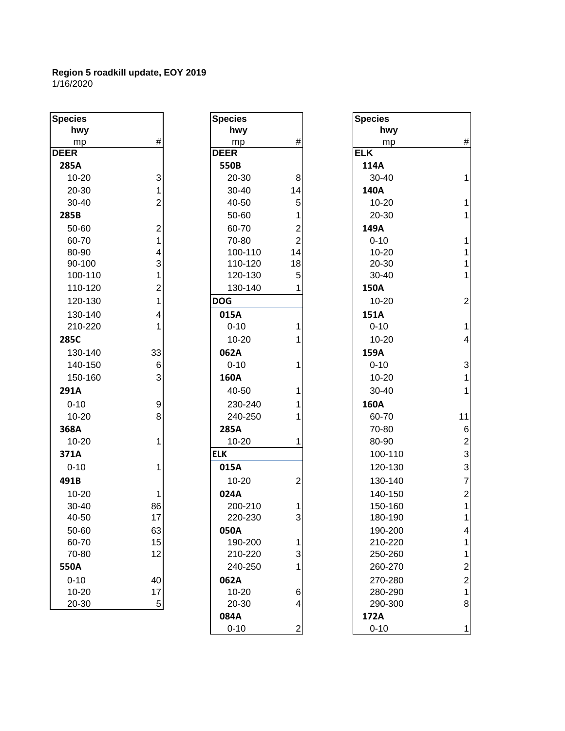| <b>Species</b> |                                            |
|----------------|--------------------------------------------|
| hwy            |                                            |
| mp             | #                                          |
| <b>DEER</b>    |                                            |
| 285A           |                                            |
| 10-20          | $\begin{array}{c} 3 \\ 1 \\ 2 \end{array}$ |
| 20-30          |                                            |
| 30-40          |                                            |
| 285B           |                                            |
| 50-60          | 21431214                                   |
| 60-70          |                                            |
| 80-90          |                                            |
| 90-100         |                                            |
| 100-110        |                                            |
| 110-120        |                                            |
| 120-130        |                                            |
| 130-140        |                                            |
| 210-220        | 1                                          |
| 285C           |                                            |
| 130-140        | 33                                         |
| 140-150        | 6                                          |
| 150-160        | 3                                          |
| 291A           |                                            |
| $0 - 10$       | 9                                          |
| 10-20          | 8                                          |
| 368A           |                                            |
| 10-20          | 1                                          |
| 371A           |                                            |
| $0 - 10$       | 1                                          |
| 491B           |                                            |
| 10-20          |                                            |
| 30-40          | 86                                         |
| 40-50          | 17                                         |
| 50-60          | 63                                         |
| 60-70          | 15                                         |
| 70-80          | 12                                         |
| 550A           |                                            |
| $0 - 10$       | 40                                         |
| 10-20          | 17                                         |
| 20-30          |                                            |

| <b>Species</b> |                         | <b>Species</b> |                | <b>Species</b> |                 |
|----------------|-------------------------|----------------|----------------|----------------|-----------------|
| hwy            |                         | hwy            |                | hwy            |                 |
| mp             | $\#$                    | mp             | $\#$           | mp             | #               |
| <b>DEER</b>    |                         | <b>DEER</b>    |                | <b>ELK</b>     |                 |
| 285A           |                         | 550B           |                | 114A           |                 |
| 10-20          | $\mathbf{3}$            | 20-30          | 8              | 30-40          | 1               |
| 20-30          | 1                       | 30-40          | 14             | 140A           |                 |
| 30-40          | $\overline{2}$          | 40-50          | 5              | 10-20          | 1               |
| 285B           |                         | 50-60          | 1              | 20-30          | 1               |
| 50-60          | $\overline{\mathbf{c}}$ | 60-70          | $\overline{c}$ | 149A           |                 |
| 60-70          | 1                       | 70-80          | $\overline{2}$ | $0 - 10$       | 1               |
| 80-90          | 4                       | 100-110        | 14             | 10-20          | $\mathbf 1$     |
| 90-100         | 3                       | 110-120        | 18             | 20-30          | $\mathbf 1$     |
| 100-110        | 1                       | 120-130        | 5              | 30-40          | $\mathbf 1$     |
| 110-120        | $\overline{c}$          | 130-140        |                | 150A           |                 |
| 120-130        | 1                       | <b>DOG</b>     |                | 10-20          | $\overline{2}$  |
| 130-140        | 4                       | 015A           |                | 151A           |                 |
| 210-220        |                         | $0 - 10$       | 1              | $0 - 10$       | $\overline{1}$  |
| 285C           |                         | $10 - 20$      | 1              | 10-20          | 4               |
| 130-140        | 33                      | 062A           |                | 159A           |                 |
| 140-150        | 6                       | $0 - 10$       | 1              | $0 - 10$       | 3               |
| 150-160        | 3                       | 160A           |                | 10-20          | $\overline{1}$  |
| 291A           |                         | 40-50          | 1              | 30-40          | 1               |
| $0 - 10$       | $\mathsf g$             | 230-240        | 1              | 160A           |                 |
| 10-20          | 8                       | 240-250        | 1              | 60-70          | 11              |
| 368A           |                         | 285A           |                | 70-80          | $6\phantom{1}6$ |
| $10 - 20$      | 1                       | $10 - 20$      | 1              | 80-90          | $\overline{c}$  |
| 371A           |                         | <b>ELK</b>     |                | 100-110        | 3               |
| $0 - 10$       | 1                       | 015A           |                | 120-130        | 3               |
| 491B           |                         | 10-20          | 2              | 130-140        | $\overline{7}$  |
| $10 - 20$      | 1                       | 024A           |                | 140-150        | $\overline{c}$  |
| 30-40          | 86                      | 200-210        | 1              | 150-160        | 1               |
| 40-50          | 17                      | 220-230        | 3              | 180-190        | 1               |
| 50-60          | 63                      | 050A           |                | 190-200        | 4               |
| 60-70          | 15                      | 190-200        | $\mathbf{1}$   | 210-220        | 1               |
| 70-80          | 12                      | 210-220        | 3              | 250-260        | 1               |
| 550A           |                         | 240-250        | 1              | 260-270        | $\overline{c}$  |
| $0 - 10$       | 40                      | 062A           |                | 270-280        | $\overline{c}$  |
| $10 - 20$      | 17                      | $10 - 20$      | 6              | 280-290        | 1               |
| 20-30          | 5 <sup>1</sup>          | 20-30          | 4              | 290-300        | 8               |
|                |                         | 084A           |                | 172A           |                 |
|                |                         | $0 - 10$       | 2              | $0 - 10$       | 1               |

| pecies    |                         | <b>Species</b> |                | <b>Species</b> |                 |
|-----------|-------------------------|----------------|----------------|----------------|-----------------|
| hwy       |                         | hwy            |                | hwy            |                 |
| mp        | $\#$                    | mp             | $\#$           | mp             | #               |
| EER       |                         | <b>DEER</b>    |                | <b>ELK</b>     |                 |
| 285A      |                         | 550B           |                | 114A           |                 |
| 10-20     | 3                       | 20-30          | 8              | 30-40          | $\mathbf 1$     |
| 20-30     | 1                       | 30-40          | 14             | 140A           |                 |
| 30-40     | 2                       | 40-50          | 5              | $10 - 20$      | $\mathbf 1$     |
| 285B      |                         | 50-60          | 1              | 20-30          | $\mathbf 1$     |
| 50-60     | $\overline{2}$          | 60-70          | $\overline{2}$ | 149A           |                 |
| 60-70     | 1                       | 70-80          | $\overline{2}$ | $0 - 10$       | $\mathbf{1}$    |
| 80-90     | 4                       | 100-110        | 14             | 10-20          | 1               |
| 90-100    | 3                       | 110-120        | 18             | 20-30          | $\mathbf 1$     |
| 100-110   |                         | 120-130        | 5              | 30-40          | $\mathbf 1$     |
| 110-120   | $\overline{\mathbf{c}}$ | 130-140        | 1              | 150A           |                 |
| 120-130   | 1                       | <b>DOG</b>     |                | $10 - 20$      | $\overline{2}$  |
| 130-140   | 4                       | 015A           |                | 151A           |                 |
| 210-220   | 1                       | $0 - 10$       | 1              | $0 - 10$       | $\mathbf{1}$    |
| 285C      |                         | $10 - 20$      |                | $10 - 20$      | 4               |
| 130-140   | 33                      | 062A           |                | 159A           |                 |
| 140-150   | $6 \,$                  | $0 - 10$       | 1              | $0 - 10$       | 3               |
| 150-160   | 3                       | 160A           |                | 10-20          | $\mathbf{1}$    |
| 291A      |                         | 40-50          | 1              | 30-40          | $\mathbf 1$     |
| $0 - 10$  | $\boldsymbol{9}$        | 230-240        |                | 160A           |                 |
| $10 - 20$ | 8                       | 240-250        |                | 60-70          | 11              |
| 368A      |                         | 285A           |                | 70-80          | $6\phantom{1}6$ |
| 10-20     |                         | $10 - 20$      | 1              | 80-90          | $\overline{c}$  |
| 371A      |                         | <b>ELK</b>     |                | 100-110        | 3               |
| $0 - 10$  | 1                       | 015A           |                | 120-130        | 3               |
| 491B      |                         | $10 - 20$      | $\overline{2}$ | 130-140        | $\overline{7}$  |
| $10 - 20$ | 1                       | 024A           |                | 140-150        | $\overline{2}$  |
| 30-40     | 86                      | 200-210        | 1              | 150-160        | $\mathbf{1}$    |
| 40-50     | 17                      | 220-230        | $\overline{3}$ | 180-190        | $\mathbf{1}$    |
| 50-60     | 63                      | 050A           |                | 190-200        | 4               |
| 60-70     | 15                      | 190-200        | 1              | 210-220        | 1               |
| 70-80     | 12                      | 210-220        | 3              | 250-260        | 1               |
| 550A      |                         | 240-250        |                | 260-270        | $\overline{c}$  |
| $0 - 10$  | 40                      | 062A           |                | 270-280        | $\overline{c}$  |
| $10 - 20$ | 17                      | $10 - 20$      | 6              | 280-290        | 1               |
| 20-30     | $\sqrt{5}$              | 20-30          | 4              | 290-300        | 8               |
|           |                         | 084A           |                | 172A           |                 |
|           |                         | 0.10           | ∩              | 0.10           |                 |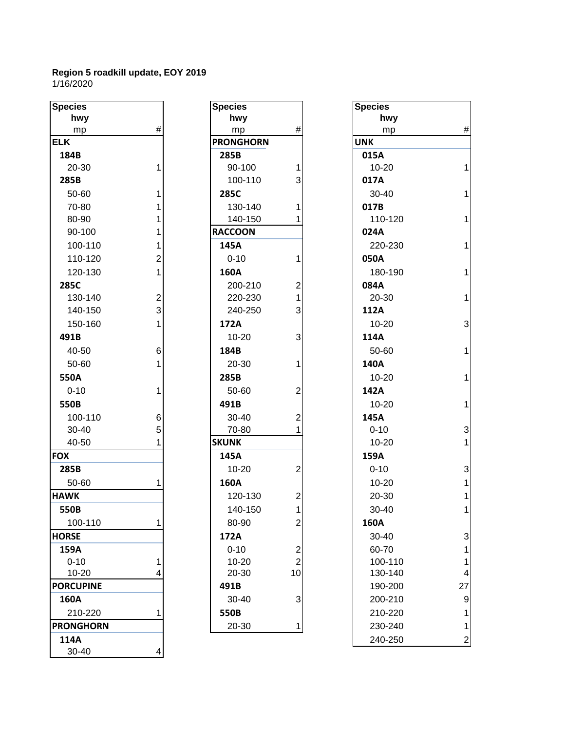| <b>Species</b>   |                | <b>Species</b>   |                | <b>Species</b> |
|------------------|----------------|------------------|----------------|----------------|
| hwy              |                | hwy              |                | h۷             |
| mp               | $\#$           | mp               | #              | m              |
| <b>ELK</b>       |                | <b>PRONGHORN</b> |                | <b>UNK</b>     |
| 184B             |                | 285B             |                | 015A           |
| 20-30            | 1              | 90-100           | 1              | $10-2$         |
| 285B             |                | 100-110          | 3              | 017A           |
| 50-60            | 1              | 285C             |                | $30 - 4$       |
| 70-80            | $\mathbf{1}$   | 130-140          | 1              | 017B           |
| 80-90            | $\mathbf{1}$   | 140-150          | 1              | $110 -$        |
| 90-100           | $\mathbf{1}$   | <b>RACCOON</b>   |                | 024A           |
| 100-110          | 1              | 145A             |                | $220 -$        |
| 110-120          | $\overline{2}$ | $0 - 10$         | 1              | 050A           |
| 120-130          | 1              | 160A             |                | $180 -$        |
| 285C             |                | 200-210          | $\overline{c}$ | 084A           |
| 130-140          | $\overline{c}$ | 220-230          | 1              | $20 - 3$       |
| 140-150          | $\overline{3}$ | 240-250          | 3              | 112A           |
| 150-160          | 1              | 172A             |                | $10-2$         |
| 491B             |                | $10 - 20$        | 3              | 114A           |
| 40-50            | 6              | 184B             |                | $50-6$         |
| 50-60            | 1              | 20-30            | 1              | 140A           |
| 550A             |                | 285B             |                | $10 - 2$       |
| $0 - 10$         | $\mathbf{1}$   | 50-60            | $\overline{2}$ | 142A           |
| 550B             |                | 491B             |                | $10-2$         |
| 100-110          | 6              | 30-40            | $\overline{2}$ | 145A           |
| 30-40            | 5              | 70-80            | 1              | $0 - 10$       |
| 40-50            | 1              | <b>SKUNK</b>     |                | $10 - 2$       |
| <b>FOX</b>       |                | 145A             |                | 159A           |
| 285B             |                | 10-20            | $\overline{2}$ | $0 - 10$       |
| 50-60            | 1              | 160A             |                | $10 - 2$       |
| <b>HAWK</b>      |                | 120-130          | 2              | $20 - 3$       |
| 550B             |                | 140-150          | 1              | $30 - 4$       |
| 100-110          | 1.             | 80-90            | $\overline{2}$ | 160A           |
| <b>HORSE</b>     |                | 172A             |                | $30 - 4$       |
| 159A             |                | $0 - 10$         | 2              | $60 - 7$       |
| $0 - 10$         | 1              | 10-20            | $\overline{2}$ | $100 -$        |
| 10-20            | 4              | 20-30            | 10             | 130-           |
| <b>PORCUPINE</b> |                | 491B             |                | 190-           |
| 160A             |                | 30-40            | 3              | $200 - 1$      |
| 210-220          | 1              | 550B             |                | $210 -$        |
| <b>PRONGHORN</b> |                | 20-30            | 1              | 230-           |
| 114A             |                |                  |                | 240-           |
| 30-40            | 4              |                  |                |                |

| cies          |                | <b>Species</b>   |                | <b>Species</b> |
|---------------|----------------|------------------|----------------|----------------|
| hwy           |                | hwy              |                | hwy            |
| mp            | $\#$           | mp               | #              | mp             |
| C             |                | <b>PRONGHORN</b> |                | <b>UNK</b>     |
| 34B           |                | 285B             |                | 015A           |
| 20-30         | 1              | 90-100           | 1              | $10 - 20$      |
| 35B           |                | 100-110          | 3              | 017A           |
| 50-60         | $\mathbf{1}$   | 285C             |                | 30-40          |
| 70-80         | $\mathbf{1}$   | 130-140          | 1              | 017B           |
| 80-90         | $\mathbf{1}$   | 140-150          | 1              | 110-12         |
| 90-100        | $\mathbf{1}$   | <b>RACCOON</b>   |                | 024A           |
| 100-110       | 1              | 145A             |                | 220-23         |
| 110-120       | $\overline{2}$ | $0 - 10$         | 1              | 050A           |
| 120-130       | $\mathbf{1}$   | 160A             |                | 180-19         |
| 35C           |                | 200-210          | $\overline{2}$ | 084A           |
| 130-140       | $\overline{c}$ | 220-230          | 1              | 20-30          |
| 140-150       | $\overline{3}$ | 240-250          | 3              | 112A           |
| 150-160       | $\mathbf{1}$   | 172A             |                | 10-20          |
| )1B           |                | $10 - 20$        | 3              | 114A           |
| 40-50         | 6              | 184B             |                | 50-60          |
| 50-60         | $\mathbf{1}$   | 20-30            | 1              | 140A           |
| 50A           |                | 285B             |                | $10 - 20$      |
| 0-10          | $\mathbf{1}$   | 50-60            | $\overline{2}$ | 142A           |
| 50B           |                | 491B             |                | $10 - 20$      |
| 100-110       | 6              | 30-40            | 2              | 145A           |
| 30-40         | 5              | 70-80            | 1              | $0 - 10$       |
| 40-50         | 1              | <b>SKUNK</b>     |                | $10 - 20$      |
|               |                | 145A             |                | 159A           |
| 35B           |                | 10-20            | $\overline{2}$ | $0 - 10$       |
| 50-60         | 1              | 160A             |                | $10 - 20$      |
| NΚ            |                | 120-130          | 2              | 20-30          |
| 50B           |                | 140-150          | $\mathbf{1}$   | 30-40          |
| 100-110       | 1              | 80-90            | 2              | 160A           |
| RSE           |                | 172A             |                | 30-40          |
| 59A           |                | $0 - 10$         | 2              | 60-70          |
| $0 - 10$      | 1              | $10 - 20$        | $\overline{2}$ | 100-11         |
| 10-20         | 4              | 20-30            | 10             | 130-14         |
| <b>CUPINE</b> |                | 491B             |                | 190-20         |
| 50A           |                | 30-40            | 3              | 200-21         |
| 210-220       | 1              | 550B             |                | 210-22         |
| <b>NGHORN</b> |                | 20-30            | 1              | 230-24         |
|               |                |                  |                |                |

| <b>Species</b>   |                  | <b>Species</b>   |                         | <b>Species</b> |                  |
|------------------|------------------|------------------|-------------------------|----------------|------------------|
| hwy              |                  | hwy              |                         | hwy            |                  |
| mp               | $\#$             | mp               | $\#$                    | mp             | $\#$             |
| <b>ELK</b>       |                  | <b>PRONGHORN</b> |                         | <b>UNK</b>     |                  |
| 184B             |                  | 285B             |                         | 015A           |                  |
| 20-30            |                  | 90-100           |                         | $10 - 20$      | $\mathbf{1}$     |
| 285B             |                  | 100-110          | 3                       | 017A           |                  |
| 50-60            | 1                | 285C             |                         | $30 - 40$      | $\mathbf{1}$     |
| 70-80            |                  | 130-140          |                         | 017B           |                  |
| 80-90            |                  | 140-150          |                         | 110-120        | $\mathbf{1}$     |
| 90-100           |                  | <b>RACCOON</b>   |                         | 024A           |                  |
| 100-110          |                  | 145A             |                         | 220-230        | $\mathbf{1}$     |
| 110-120          | 2                | $0 - 10$         |                         | 050A           |                  |
| 120-130          | 1                | 160A             |                         | 180-190        | $\mathbf{1}$     |
| 285C             |                  | 200-210          | $\overline{2}$          | 084A           |                  |
| 130-140          | $\boldsymbol{2}$ | 220-230          | 1                       | 20-30          | $\mathbf{1}$     |
| 140-150          | $\overline{3}$   | 240-250          | 3                       | 112A           |                  |
| 150-160          | 1                | 172A             |                         | $10 - 20$      | $\mathbf{3}$     |
| 491B             |                  | $10 - 20$        | 3                       | 114A           |                  |
| 40-50            | $6 \,$           | 184B             |                         | 50-60          | $\mathbf{1}$     |
| 50-60            |                  | 20-30            |                         | 140A           |                  |
| 550A             |                  | 285B             |                         | $10 - 20$      | $\mathbf{1}$     |
| $0 - 10$         |                  | 50-60            | $\overline{2}$          | 142A           |                  |
| 550B             |                  | 491B             |                         | $10 - 20$      | $\mathbf{1}$     |
| 100-110          | $6 \,$           | 30-40            |                         | 145A           |                  |
| 30-40            | 5 <sup>1</sup>   | 70-80            |                         | $0 - 10$       | $\mathbf{3}$     |
| 40-50            |                  | <b>SKUNK</b>     |                         | $10 - 20$      | $\mathbf{1}$     |
| <b>FOX</b>       |                  | 145A             |                         | 159A           |                  |
| 285B             |                  | $10 - 20$        | $\overline{2}$          | $0 - 10$       | $\mathbf{3}$     |
| 50-60            |                  | 160A             |                         | 10-20          | 1                |
| <b>HAWK</b>      |                  | 120-130          | $\overline{\mathbf{c}}$ | 20-30          | 1                |
| 550 <sub>B</sub> |                  | 140-150          | 1                       | 30-40          | 1                |
| 100-110          |                  | 80-90            | 2                       | 160A           |                  |
| <b>HORSE</b>     |                  | 172A             |                         | 30-40          | 3                |
| 159A             |                  | $0 - 10$         | 2                       | 60-70          |                  |
| $0 - 10$         |                  | 10-20            | $\overline{c}$          | 100-110        | $\mathbf{1}$     |
| 10-20            |                  | 20-30            | 10                      | 130-140        | 4                |
| <b>PORCUPINE</b> |                  | 491B             |                         | 190-200        | 27               |
| 160A             |                  | 30-40            | 3                       | 200-210        | $\boldsymbol{9}$ |
| 210-220          |                  | 550B             |                         | 210-220        |                  |
| <b>PRONGHORN</b> |                  | 20-30            |                         | 230-240        | 1                |
| 114A             |                  |                  |                         | 240-250        | $\overline{c}$   |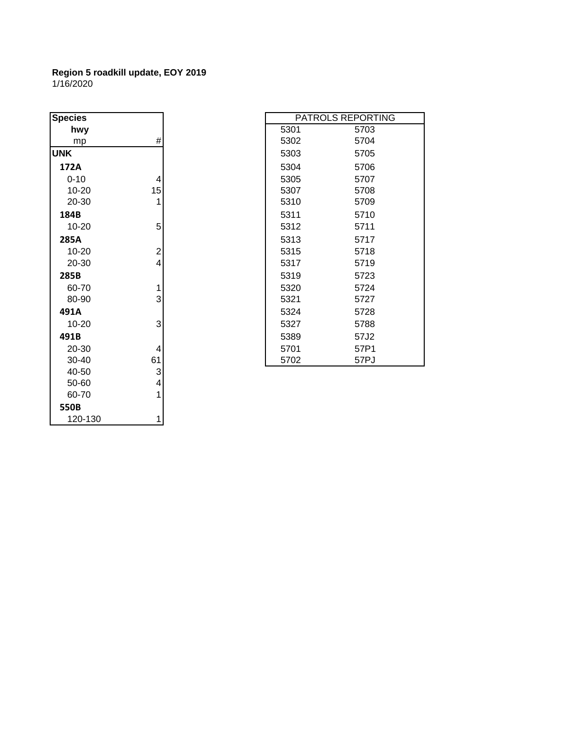| <b>Species</b> |                |      | PATROLS REPORT |  |
|----------------|----------------|------|----------------|--|
| hwy            |                | 5301 | 5703           |  |
| mp             | $\#$           | 5302 | 5704           |  |
| <b>UNK</b>     |                | 5303 | 5705           |  |
| 172A           |                | 5304 | 5706           |  |
| $0 - 10$       | 4              | 5305 | 5707           |  |
| 10-20          | 15             | 5307 | 5708           |  |
| 20-30          | 1              | 5310 | 5709           |  |
| 184B           |                | 5311 | 5710           |  |
| 10-20          | 5              | 5312 | 5711           |  |
| 285A           |                | 5313 | 5717           |  |
| 10-20          | $\overline{c}$ | 5315 | 5718           |  |
| 20-30          | $\overline{4}$ | 5317 | 5719           |  |
| 285B           |                | 5319 | 5723           |  |
| 60-70          | 1              | 5320 | 5724           |  |
| 80-90          | 3              | 5321 | 5727           |  |
| 491A           |                | 5324 | 5728           |  |
| 10-20          | 3              | 5327 | 5788           |  |
| 491B           |                | 5389 | 57J2           |  |
| 20-30          | 4              | 5701 | 57P1           |  |
| 30-40          | 61             | 5702 | 57PJ           |  |
| 40-50          | 3              |      |                |  |
| 50-60          | 4              |      |                |  |
| 60-70          | 1              |      |                |  |
| 550B           |                |      |                |  |
| 120-130        | 1              |      |                |  |

| pecies    |                         | PATROLS REPORTING |      |
|-----------|-------------------------|-------------------|------|
| hwy       |                         | 5301              | 5703 |
| mp        | #                       | 5302              | 5704 |
| NΚ        |                         | 5303              | 5705 |
| 172A      |                         | 5304              | 5706 |
| $0 - 10$  | 4                       | 5305              | 5707 |
| 10-20     | 15                      | 5307              | 5708 |
| 20-30     | 1                       | 5310              | 5709 |
| 184B      |                         | 5311              | 5710 |
| 10-20     | 5                       | 5312              | 5711 |
| 285A      |                         | 5313              | 5717 |
| 10-20     | $\overline{\mathbf{c}}$ | 5315              | 5718 |
| 20-30     | 4                       | 5317              | 5719 |
| 285B      |                         | 5319              | 5723 |
| 60-70     | 1                       | 5320              | 5724 |
| 80-90     | 3                       | 5321              | 5727 |
| 491A      |                         | 5324              | 5728 |
| 10-20     | 3                       | 5327              | 5788 |
| 491B      |                         | 5389              | 57J2 |
| 20-30     | 4                       | 5701              | 57P1 |
| $30 - 40$ | 61                      | 5702              | 57PJ |
| 10.50     | C                       |                   |      |